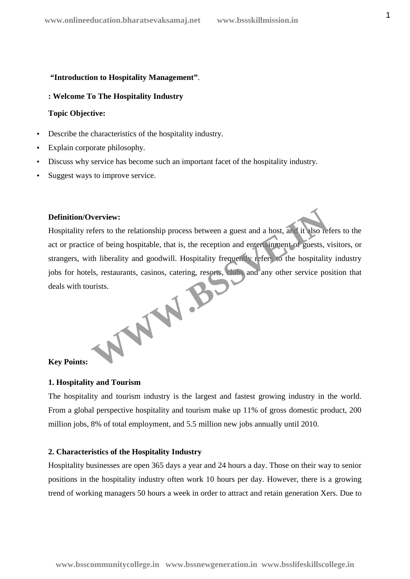#### **"Introduction to Hospitality Management"**.

**: Welcome To The Hospitality Industry**

#### **Topic Objective:**

- Describe the characteristics of the hospitality industry.
- Explain corporate philosophy.
- Discuss why service has become such an important facet of the hospitality industry.
- Suggest ways to improve service.

# **Definition/Overview:**

Hospitality refers to the relationship process between a guest and a host, and it also refers to the act or practice of being hospitable, that is, the reception and entertainment of guests, visitors, or strangers, with liberality and goodwill. Hospitality frequently refers to the hospitality industry jobs for hotels, restaurants, casinos, catering, resorts, clubs and any other service position that deals with tourists.

WWW.BC

#### **Key Points:**

# **1. Hospitality and Tourism**

The hospitality and tourism industry is the largest and fastest growing industry in the world. From a global perspective hospitality and tourism make up 11% of gross domestic product, 200 million jobs, 8% of total employment, and 5.5 million new jobs annually until 2010.

#### **2. Characteristics of the Hospitality Industry**

Hospitality businesses are open 365 days a year and 24 hours a day. Those on their way to senior positions in the hospitality industry often work 10 hours per day. However, there is a growing trend of working managers 50 hours a week in order to attract and retain generation Xers. Due to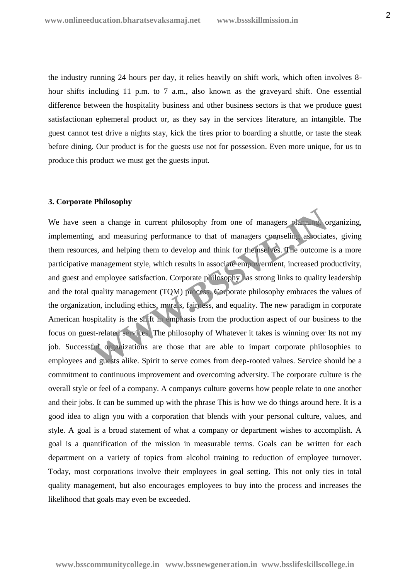the industry running 24 hours per day, it relies heavily on shift work, which often involves 8 hour shifts including 11 p.m. to 7 a.m., also known as the graveyard shift. One essential difference between the hospitality business and other business sectors is that we produce guest satisfactionan ephemeral product or, as they say in the services literature, an intangible. The guest cannot test drive a nights stay, kick the tires prior to boarding a shuttle, or taste the steak before dining. Our product is for the guests use not for possession. Even more unique, for us to produce this product we must get the guests input.

# **3. Corporate Philosophy**

We have seen a change in current philosophy from one of managers planning, organizing, implementing, and measuring performance to that of managers counseling associates, giving them resources, and helping them to develop and think for themselves. The outcome is a more participative management style, which results in associate empowerment, increased productivity, and guest and employee satisfaction. Corporate philosophy has strong links to quality leadership and the total quality management (TQM) process. Corporate philosophy embraces the values of the organization, including ethics, morals, fairness, and equality. The new paradigm in corporate American hospitality is the shift in emphasis from the production aspect of our business to the focus on guest-related services. The philosophy of Whatever it takes is winning over Its not my job. Successful organizations are those that are able to impart corporate philosophies to employees and guests alike. Spirit to serve comes from deep-rooted values. Service should be a commitment to continuous improvement and overcoming adversity. The corporate culture is the overall style or feel of a company. A companys culture governs how people relate to one another and their jobs. It can be summed up with the phrase This is how we do things around here. It is a good idea to align you with a corporation that blends with your personal culture, values, and style. A goal is a broad statement of what a company or department wishes to accomplish. A goal is a quantification of the mission in measurable terms. Goals can be written for each department on a variety of topics from alcohol training to reduction of employee turnover. Today, most corporations involve their employees in goal setting. This not only ties in total quality management, but also encourages employees to buy into the process and increases the likelihood that goals may even be exceeded. en a change in current philosophy from one of managers planning<br>g, and measuring performance to that of managers counseling associates, and helping them to develop and think for themselves. The outcome<br>management style, wh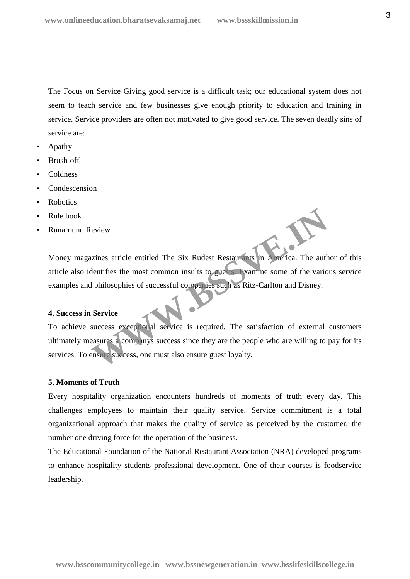The Focus on Service Giving good service is a difficult task; our educational system does not seem to teach service and few businesses give enough priority to education and training in service. Service providers are often not motivated to give good service. The seven deadly sins of service are:

- Apathy
- Brush-off
- Coldness
- Condescension
- Robotics
- Rule book
- Runaround Review

Money magazines article entitled The Six Rudest Restaurants in America. The author of this article also identifies the most common insults to guests. Examine some of the various service examples and philosophies of successful companies such as Ritz-Carlton and Disney.

#### **4. Success in Service**

To achieve success exceptional service is required. The satisfaction of external customers ultimately measures a companys success since they are the people who are willing to pay for its services. To ensure success, one must also ensure guest loyalty. Existe anticle entitled The Six Rudest Restaurants in America. The authentifies the most common insults to guests. Examine some of the various philosophies of successful companies such as Ritz-Carlton and Disney.<br>Service<br>s

#### **5. Moments of Truth**

Every hospitality organization encounters hundreds of moments of truth every day. This challenges employees to maintain their quality service. Service commitment is a total organizational approach that makes the quality of service as perceived by the customer, the number one driving force for the operation of the business.

The Educational Foundation of the National Restaurant Association (NRA) developed programs to enhance hospitality students professional development. One of their courses is foodservice leadership.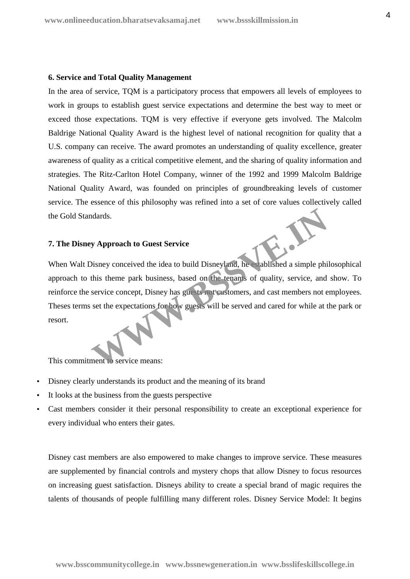## **6. Service and Total Quality Management**

In the area of service, TQM is a participatory process that empowers all levels of employees to work in groups to establish guest service expectations and determine the best way to meet or exceed those expectations. TQM is very effective if everyone gets involved. The Malcolm Baldrige National Quality Award is the highest level of national recognition for quality that a U.S. company can receive. The award promotes an understanding of quality excellence, greater awareness of quality as a critical competitive element, and the sharing of quality information and strategies. The Ritz-Carlton Hotel Company, winner of the 1992 and 1999 Malcolm Baldrige National Quality Award, was founded on principles of groundbreaking levels of customer service. The essence of this philosophy was refined into a set of core values collectively called the Gold Standards.

# **7. The Disney Approach to Guest Service**

When Walt Disney conceived the idea to build Disneyland, he established a simple philosophical approach to this theme park business, based on the tenants of quality, service, and show. To reinforce the service concept, Disney has guests not customers, and cast members not employees. Theses terms set the expectations for how guests will be served and cared for while at the park or resort. Mards.<br> **WApproach to Guest Service**<br>
Disney conceived the idea to build Disneyland, he saidlished a simple phit<br>
this theme park business, based on the tenants of quality, service, and<br>
service concept, Disney has guests

This commitment to service means:

- Disney clearly understands its product and the meaning of its brand
- It looks at the business from the guests perspective
- Cast members consider it their personal responsibility to create an exceptional experience for every individual who enters their gates.

Disney cast members are also empowered to make changes to improve service. These measures are supplemented by financial controls and mystery chops that allow Disney to focus resources on increasing guest satisfaction. Disneys ability to create a special brand of magic requires the talents of thousands of people fulfilling many different roles. Disney Service Model: It begins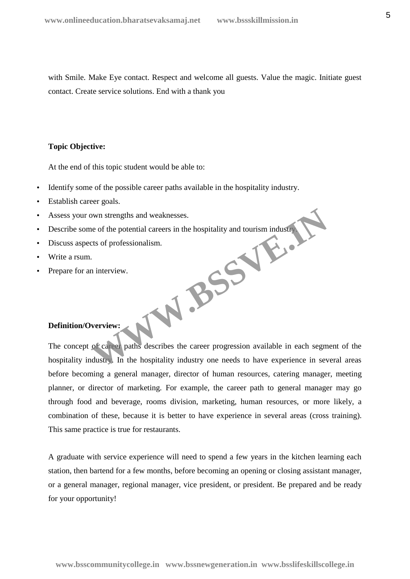with Smile. Make Eye contact. Respect and welcome all guests. Value the magic. Initiate guest contact. Create service solutions. End with a thank you

# **Topic Objective:**

At the end of this topic student would be able to:

- Identify some of the possible career paths available in the hospitality industry.
- Establish career goals.
- Assess your own strengths and weaknesses.
- Describe some of the potential careers in the hospitality and tourism industry. W.BSSV.
- Discuss aspects of professionalism.
- Write a rsum.
- Prepare for an interview.

# **Definition/Overview:**

The concept of career paths describes the career progression available in each segment of the hospitality industry. In the hospitality industry one needs to have experience in several areas before becoming a general manager, director of human resources, catering manager, meeting planner, or director of marketing. For example, the career path to general manager may go through food and beverage, rooms division, marketing, human resources, or more likely, a combination of these, because it is better to have experience in several areas (cross training). This same practice is true for restaurants.

A graduate with service experience will need to spend a few years in the kitchen learning each station, then bartend for a few months, before becoming an opening or closing assistant manager, or a general manager, regional manager, vice president, or president. Be prepared and be ready for your opportunity!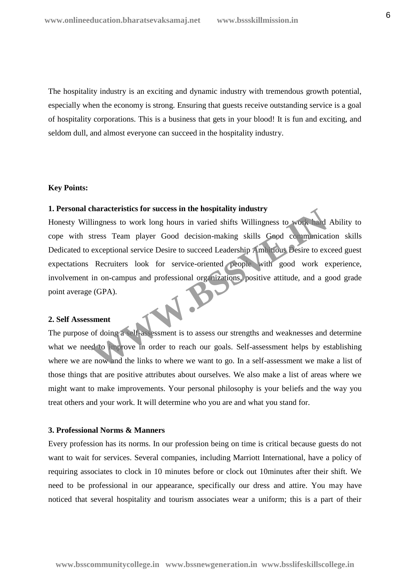The hospitality industry is an exciting and dynamic industry with tremendous growth potential, especially when the economy is strong. Ensuring that guests receive outstanding service is a goal of hospitality corporations. This is a business that gets in your blood! It is fun and exciting, and seldom dull, and almost everyone can succeed in the hospitality industry.

#### **Key Points:**

# **1. Personal characteristics for success in the hospitality industry**

Honesty Willingness to work long hours in varied shifts Willingness to work hard Ability to cope with stress Team player Good decision-making skills Good communication skills Dedicated to exceptional service Desire to succeed Leadership Ambitious Desire to exceed guest expectations Recruiters look for service-oriented people with good work experience, involvement in on-campus and professional organizations, positive attitude, and a good grade point average (GPA). maracteristics for success in the hospitality mutstry<br>
lingness to work long hours in varied shifts Willingness to work<br>
Itess Team player Good decision-making skills Good communicat<br>
exceptional service Desire to succeed

#### **2. Self Assessment**

The purpose of doing a self-assessment is to assess our strengths and weaknesses and determine what we need to improve in order to reach our goals. Self-assessment helps by establishing where we are now and the links to where we want to go. In a self-assessment we make a list of those things that are positive attributes about ourselves. We also make a list of areas where we might want to make improvements. Your personal philosophy is your beliefs and the way you treat others and your work. It will determine who you are and what you stand for.

#### **3. Professional Norms & Manners**

Every profession has its norms. In our profession being on time is critical because guests do not want to wait for services. Several companies, including Marriott International, have a policy of requiring associates to clock in 10 minutes before or clock out 10minutes after their shift. We need to be professional in our appearance, specifically our dress and attire. You may have noticed that several hospitality and tourism associates wear a uniform; this is a part of their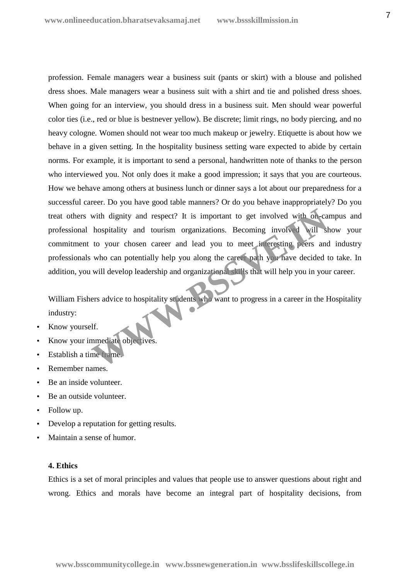profession. Female managers wear a business suit (pants or skirt) with a blouse and polished dress shoes. Male managers wear a business suit with a shirt and tie and polished dress shoes. When going for an interview, you should dress in a business suit. Men should wear powerful color ties (i.e., red or blue is bestnever yellow). Be discrete; limit rings, no body piercing, and no heavy cologne. Women should not wear too much makeup or jewelry. Etiquette is about how we behave in a given setting. In the hospitality business setting ware expected to abide by certain norms. For example, it is important to send a personal, handwritten note of thanks to the person who interviewed you. Not only does it make a good impression; it says that you are courteous. How we behave among others at business lunch or dinner says a lot about our preparedness for a successful career. Do you have good table manners? Or do you behave inappropriately? Do you treat others with dignity and respect? It is important to get involved with on-campus and professional hospitality and tourism organizations. Becoming involved will show your commitment to your chosen career and lead you to meet interesting peers and industry professionals who can potentially help you along the career path you have decided to take. In addition, you will develop leadership and organizational skills that will help you in your career. with dignity and respect? It is important to get involved with on-ca<br>hospitality and tourism organizations. Becoming involved will st<br>to your chosen career and lead you to meet in eresting peers and<br>who can potentially hel

William Fishers advice to hospitality students who want to progress in a career in the Hospitality industry:

- Know yourself.
- Know your immediate objectives.
- Establish a time frame.
- Remember names.
- Be an inside volunteer.
- Be an outside volunteer.
- Follow up.
- Develop a reputation for getting results.
- Maintain a sense of humor.

## **4. Ethics**

Ethics is a set of moral principles and values that people use to answer questions about right and wrong. Ethics and morals have become an integral part of hospitality decisions, from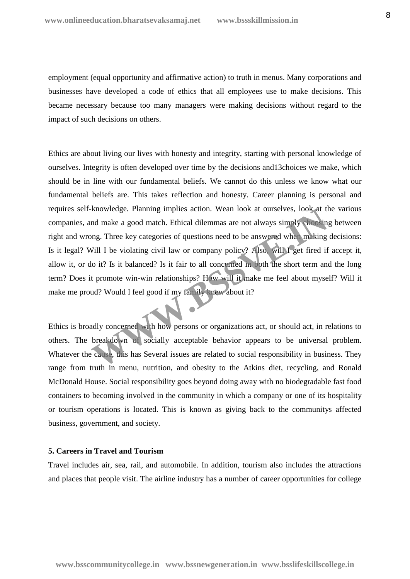employment (equal opportunity and affirmative action) to truth in menus. Many corporations and businesses have developed a code of ethics that all employees use to make decisions. This became necessary because too many managers were making decisions without regard to the impact of such decisions on others.

Ethics are about living our lives with honesty and integrity, starting with personal knowledge of ourselves. Integrity is often developed over time by the decisions and13choices we make, which should be in line with our fundamental beliefs. We cannot do this unless we know what our fundamental beliefs are. This takes reflection and honesty. Career planning is personal and requires self-knowledge. Planning implies action. Wean look at ourselves, look at the various companies, and make a good match. Ethical dilemmas are not always simply choosing between right and wrong. Three key categories of questions need to be answered when making decisions: Is it legal? Will I be violating civil law or company policy? Also, will I get fired if accept it, allow it, or do it? Is it balanced? Is it fair to all concerned in both the short term and the long term? Does it promote win-win relationships? How will it make me feel about myself? Will it make me proud? Would I feel good if my family knew about it? Experience of the property of the Atkins distribution and obesity to the Atkins distribution in the anti-<br>
Western the Atkins distribution of the anti-<br>
Western Common Common Common Control of the anti-<br>
Western Common Com

Ethics is broadly concerned with how persons or organizations act, or should act, in relations to others. The breakdown of socially acceptable behavior appears to be universal problem. Whatever the cause, this has Several issues are related to social responsibility in business. They range from truth in menu, nutrition, and obesity to the Atkins diet, recycling, and Ronald McDonald House. Social responsibility goes beyond doing away with no biodegradable fast food containers to becoming involved in the community in which a company or one of its hospitality or tourism operations is located. This is known as giving back to the communitys affected business, government, and society.

# **5. Careers in Travel and Tourism**

Travel includes air, sea, rail, and automobile. In addition, tourism also includes the attractions and places that people visit. The airline industry has a number of career opportunities for college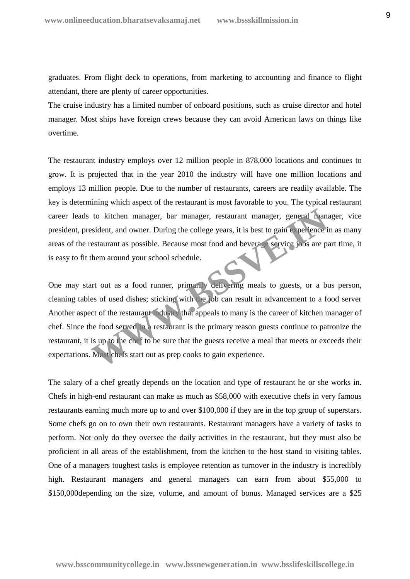graduates. From flight deck to operations, from marketing to accounting and finance to flight attendant, there are plenty of career opportunities.

The cruise industry has a limited number of onboard positions, such as cruise director and hotel manager. Most ships have foreign crews because they can avoid American laws on things like overtime.

The restaurant industry employs over 12 million people in 878,000 locations and continues to grow. It is projected that in the year 2010 the industry will have one million locations and employs 13 million people. Due to the number of restaurants, careers are readily available. The key is determining which aspect of the restaurant is most favorable to you. The typical restaurant career leads to kitchen manager, bar manager, restaurant manager, general manager, vice president, president, and owner. During the college years, it is best to gain experience in as many areas of the restaurant as possible. Because most food and beverage service jobs are part time, it is easy to fit them around your school schedule.

One may start out as a food runner, primarily delivering meals to guests, or a bus person, cleaning tables of used dishes; sticking with the job can result in advancement to a food server Another aspect of the restaurant industry that appeals to many is the career of kitchen manager of chef. Since the food served in a restaurant is the primary reason guests continue to patronize the restaurant, it is up to the chef to be sure that the guests receive a meal that meets or exceeds their expectations. Most chefs start out as prep cooks to gain experience. to kitchen manager, bar manager, restaurant manager, general manager<br>
Sident, and owner. During the college years, it is best to gain conclience is<br>
estaurant as possible. Because most food and beverage service jobs are pr

The salary of a chef greatly depends on the location and type of restaurant he or she works in. Chefs in high-end restaurant can make as much as \$58,000 with executive chefs in very famous restaurants earning much more up to and over \$100,000 if they are in the top group of superstars. Some chefs go on to own their own restaurants. Restaurant managers have a variety of tasks to perform. Not only do they oversee the daily activities in the restaurant, but they must also be proficient in all areas of the establishment, from the kitchen to the host stand to visiting tables. One of a managers toughest tasks is employee retention as turnover in the industry is incredibly high. Restaurant managers and general managers can earn from about \$55,000 to \$150,000 depending on the size, volume, and amount of bonus. Managed services are a \$25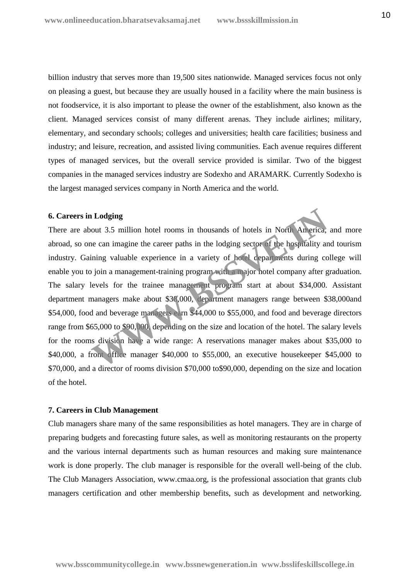billion industry that serves more than 19,500 sites nationwide. Managed services focus not only on pleasing a guest, but because they are usually housed in a facility where the main business is not foodservice, it is also important to please the owner of the establishment, also known as the client. Managed services consist of many different arenas. They include airlines; military, elementary, and secondary schools; colleges and universities; health care facilities; business and industry; and leisure, recreation, and assisted living communities. Each avenue requires different types of managed services, but the overall service provided is similar. Two of the biggest companies in the managed services industry are Sodexho and ARAMARK. Currently Sodexho is the largest managed services company in North America and the world.

## **6. Careers in Lodging**

There are about 3.5 million hotel rooms in thousands of hotels in North America, and more abroad, so one can imagine the career paths in the lodging sector of the hospitality and tourism industry. Gaining valuable experience in a variety of hotel departments during college will enable you to join a management-training program with a major hotel company after graduation. The salary levels for the trainee management program start at about \$34,000. Assistant department managers make about \$38,000, department managers range between \$38,000and \$54,000, food and beverage managers earn \$44,000 to \$55,000, and food and beverage directors range from \$65,000 to \$90,000, depending on the size and location of the hotel. The salary levels for the rooms division have a wide range: A reservations manager makes about \$35,000 to \$40,000, a front office manager \$40,000 to \$55,000, an executive housekeeper \$45,000 to \$70,000, and a director of rooms division \$70,000 to\$90,000, depending on the size and location of the hotel. **Example 18 and Solution** 1 and S5 million hotel rooms in thousands of hotels in North America,<br>the can imagine the career paths in the lodging sector of the hospitality are<br>ining valuable experience in a variety of hotel

## **7. Careers in Club Management**

Club managers share many of the same responsibilities as hotel managers. They are in charge of preparing budgets and forecasting future sales, as well as monitoring restaurants on the property and the various internal departments such as human resources and making sure maintenance work is done properly. The club manager is responsible for the overall well-being of the club. The Club Managers Association, www.cmaa.org, is the professional association that grants club managers certification and other membership benefits, such as development and networking.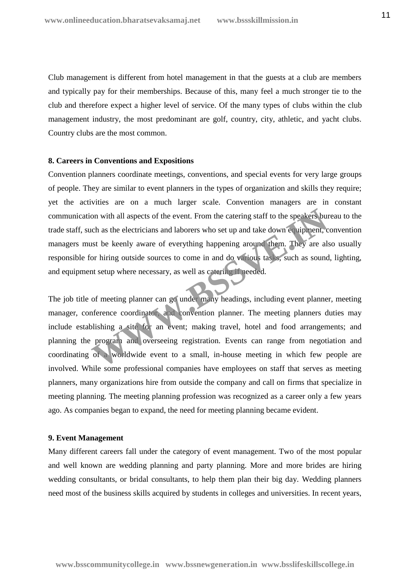Club management is different from hotel management in that the guests at a club are members and typically pay for their memberships. Because of this, many feel a much stronger tie to the club and therefore expect a higher level of service. Of the many types of clubs within the club management industry, the most predominant are golf, country, city, athletic, and yacht clubs. Country clubs are the most common.

## **8. Careers in Conventions and Expositions**

Convention planners coordinate meetings, conventions, and special events for very large groups of people. They are similar to event planners in the types of organization and skills they require; yet the activities are on a much larger scale. Convention managers are in constant communication with all aspects of the event. From the catering staff to the speakers bureau to the trade staff, such as the electricians and laborers who set up and take down equipment, convention managers must be keenly aware of everything happening around them. They are also usually responsible for hiring outside sources to come in and do various tasks, such as sound, lighting, and equipment setup where necessary, as well as catering if needed.

The job title of meeting planner can go under many headings, including event planner, meeting manager, conference coordinator, and convention planner. The meeting planners duties may include establishing a site for an event; making travel, hotel and food arrangements; and planning the program and overseeing registration. Events can range from negotiation and coordinating of a worldwide event to a small, in-house meeting in which few people are involved. While some professional companies have employees on staff that serves as meeting planners, many organizations hire from outside the company and call on firms that specialize in meeting planning. The meeting planning profession was recognized as a career only a few years ago. As companies began to expand, the need for meeting planning became evident. on with all aspects of the event. From the catering staff to the speakers bured as the electricians and laborers who set up and take down equipment, court is the keenly aware of everything happening around them. They are a

#### **9. Event Management**

Many different careers fall under the category of event management. Two of the most popular and well known are wedding planning and party planning. More and more brides are hiring wedding consultants, or bridal consultants, to help them plan their big day. Wedding planners need most of the business skills acquired by students in colleges and universities. In recent years,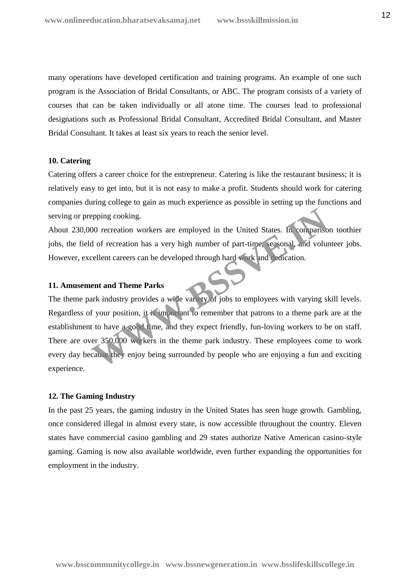many operations have developed certification and training programs. An example of one such program is the Association of Bridal Consultants, or ABC. The program consists of a variety of courses that can be taken individually or all atone time. The courses lead to professional designations such as Professional Bridal Consultant, Accredited Bridal Consultant, and Master Bridal Consultant. It takes at least six years to reach the senior level.

# **10. Catering**

Catering offers a career choice for the entrepreneur. Catering is like the restaurant business; it is relatively easy to get into, but it is not easy to make a profit. Students should work for catering companies during college to gain as much experience as possible in setting up the functions and serving or prepping cooking.

About 230,000 recreation workers are employed in the United States. In comparison toothier jobs, the field of recreation has a very high number of part-time, seasonal, and volunteer jobs. However, excellent careers can be developed through hard work and dedication.

#### **11. Amusement and Theme Parks**

The theme park industry provides a wide variety of jobs to employees with varying skill levels. Regardless of your position, it is important to remember that patrons to a theme park are at the establishment to have a good time, and they expect friendly, fun-loving workers to be on staff. There are over 350,000 workers in the theme park industry. These employees come to work every day because they enjoy being surrounded by people who are enjoying a fun and exciting experience. epping cooking.<br>
00 recreation workers are employed in the United States. In compariso<br>
d of recreation has a very high number of part-time, versonal, and volum<br>
cellent careers can be developed through hard work and verti

## **12. The Gaming Industry**

In the past 25 years, the gaming industry in the United States has seen huge growth. Gambling, once considered illegal in almost every state, is now accessible throughout the country. Eleven states have commercial casino gambling and 29 states authorize Native American casino-style gaming. Gaming is now also available worldwide, even further expanding the opportunities for employment in the industry.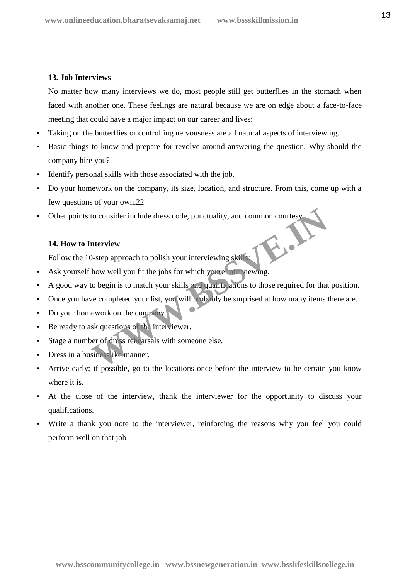# **13. Job Interviews**

No matter how many interviews we do, most people still get butterflies in the stomach when faced with another one. These feelings are natural because we are on edge about a face-to-face meeting that could have a major impact on our career and lives:

- Taking on the butterflies or controlling nervousness are all natural aspects of interviewing.
- Basic things to know and prepare for revolve around answering the question, Why should the company hire you?
- Identify personal skills with those associated with the job.
- Do your homework on the company, its size, location, and structure. From this, come up with a few questions of your own.22
- Other points to consider include dress code, punctuality, and common courtesy.

# **14. How to Interview**

14. How to Interview<br>Follow the 10-step approach to polish your interviewing skills:

- Ask yourself how well you fit the jobs for which youre interviewing.
- A good way to begin is to match your skills and qualifications to those required for that position.
- Once you have completed your list, you will probably be surprised at how many items there are. to consider include dress code, punctuality, and common courtesy<br> **Merview**<br>
D-step approach to polish your interviewing skills:<br>
how well you fit the jobs for which you're interviewing.<br>
to begin is to match your skills a
- Do your homework on the company.
- Be ready to ask questions of the interviewer.
- Stage a number of dress rehearsals with someone else.
- Dress in a businesslike manner.
- Arrive early; if possible, go to the locations once before the interview to be certain you know where it is.
- At the close of the interview, thank the interviewer for the opportunity to discuss your qualifications.
- Write a thank you note to the interviewer, reinforcing the reasons why you feel you could perform well on that job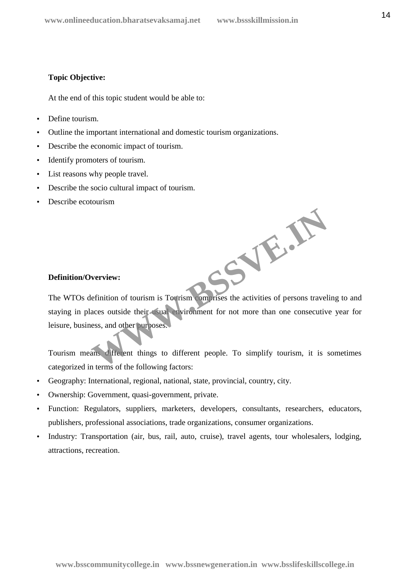**WWW.BSSVE.IN**

# **Topic Objective:**

At the end of this topic student would be able to:

- Define tourism.
- Outline the important international and domestic tourism organizations.
- Describe the economic impact of tourism.
- Identify promoters of tourism.
- List reasons why people travel.
- Describe the socio cultural impact of tourism.
- Describe ecotourism

# **Definition/Overview:**

The WTOs definition of tourism is Tourism comprises the activities of persons traveling to and staying in places outside their usual environment for not more than one consecutive year for leisure, business, and other purposes.

Tourism means different things to different people. To simplify tourism, it is sometimes categorized in terms of the following factors:

- Geography: International, regional, national, state, provincial, country, city.
- Ownership: Government, quasi-government, private.
- Function: Regulators, suppliers, marketers, developers, consultants, researchers, educators, publishers, professional associations, trade organizations, consumer organizations.
- Industry: Transportation (air, bus, rail, auto, cruise), travel agents, tour wholesalers, lodging, attractions, recreation.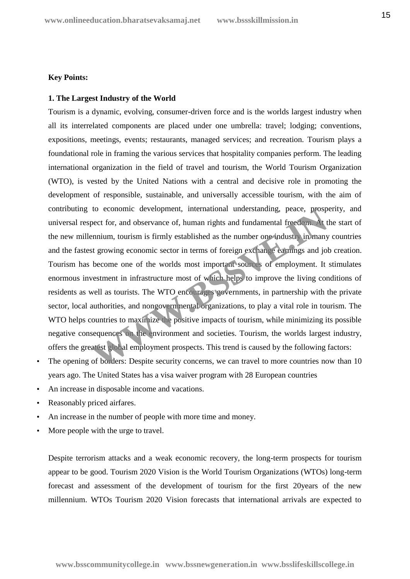# **Key Points:**

# **1. The Largest Industry of the World**

Tourism is a dynamic, evolving, consumer-driven force and is the worlds largest industry when all its interrelated components are placed under one umbrella: travel; lodging; conventions, expositions, meetings, events; restaurants, managed services; and recreation. Tourism plays a foundational role in framing the various services that hospitality companies perform. The leading international organization in the field of travel and tourism, the World Tourism Organization (WTO), is vested by the United Nations with a central and decisive role in promoting the development of responsible, sustainable, and universally accessible tourism, with the aim of contributing to economic development, international understanding, peace, prosperity, and universal respect for, and observance of, human rights and fundamental freedom. At the start of the new millennium, tourism is firmly established as the number one industry in many countries and the fastest growing economic sector in terms of foreign exchange earnings and job creation. Tourism has become one of the worlds most important sources of employment. It stimulates enormous investment in infrastructure most of which helps to improve the living conditions of residents as well as tourists. The WTO encourages governments, in partnership with the private sector, local authorities, and nongovernmental organizations, to play a vital role in tourism. The WTO helps countries to maximize the positive impacts of tourism, while minimizing its possible negative consequences on the environment and societies. Tourism, the worlds largest industry, offers the greatest global employment prospects. This trend is caused by the following factors: to economic development, international understanding, peace, prosp<br>pect for, and observance of, human rights and fundamental freedom. At<br>ennium, tourism is firmly established as the number one industry in many<br>st growing e

- The opening of borders: Despite security concerns, we can travel to more countries now than 10 years ago. The United States has a visa waiver program with 28 European countries
- An increase in disposable income and vacations.
- Reasonably priced airfares.
- An increase in the number of people with more time and money.
- More people with the urge to travel.

Despite terrorism attacks and a weak economic recovery, the long-term prospects for tourism appear to be good. Tourism 2020 Vision is the World Tourism Organizations (WTOs) long-term forecast and assessment of the development of tourism for the first 20years of the new millennium. WTOs Tourism 2020 Vision forecasts that international arrivals are expected to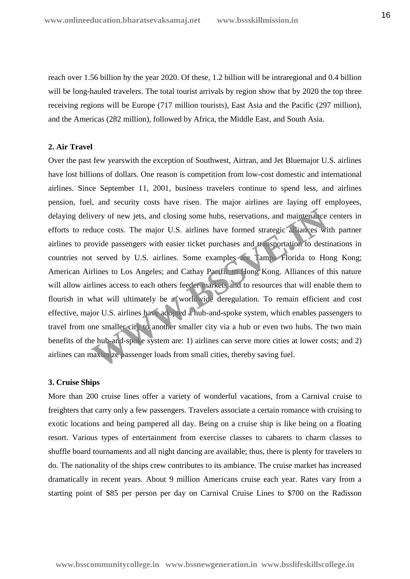reach over 1.56 billion by the year 2020. Of these, 1.2 billion will be intraregional and 0.4 billion will be long-hauled travelers. The total tourist arrivals by region show that by 2020 the top three receiving regions will be Europe (717 million tourists), East Asia and the Pacific (297 million), and the Americas (282 million), followed by Africa, the Middle East, and South Asia.

## **2. Air Travel**

Over the past few yearswith the exception of Southwest, Airtran, and Jet Bluemajor U.S. airlines have lost billions of dollars. One reason is competition from low-cost domestic and international airlines. Since September 11, 2001, business travelers continue to spend less, and airlines pension, fuel, and security costs have risen. The major airlines are laying off employees, delaying delivery of new jets, and closing some hubs, reservations, and maintenance centers in efforts to reduce costs. The major U.S. airlines have formed strategic alliances with partner airlines to provide passengers with easier ticket purchases and transportation to destinations in countries not served by U.S. airlines. Some examples are Tampa Florida to Hong Kong; American Airlines to Los Angeles; and Cathay Pacific to Hong Kong. Alliances of this nature will allow airlines access to each others feeder markets and to resources that will enable them to flourish in what will ultimately be a worldwide deregulation. To remain efficient and cost effective, major U.S. airlines have adopted a hub-and-spoke system, which enables passengers to travel from one smaller city to another smaller city via a hub or even two hubs. The two main benefits of the hub-and-spoke system are: 1) airlines can serve more cities at lower costs; and 2) airlines can maximize passenger loads from small cities, thereby saving fuel. very of new jets, and closing some hubs, reservations, and maintenance<br>duce costs. The major U.S. airlines have formed strategic aliances wi<br>ovide passengers with easier ticket purchases and transportation to destit<br>t serv

#### **3. Cruise Ships**

More than 200 cruise lines offer a variety of wonderful vacations, from a Carnival cruise to freighters that carry only a few passengers. Travelers associate a certain romance with cruising to exotic locations and being pampered all day. Being on a cruise ship is like being on a floating resort. Various types of entertainment from exercise classes to cabarets to charm classes to shuffle board tournaments and all night dancing are available; thus, there is plenty for travelers to do. The nationality of the ships crew contributes to its ambiance. The cruise market has increased dramatically in recent years. About 9 million Americans cruise each year. Rates vary from a starting point of \$85 per person per day on Carnival Cruise Lines to \$700 on the Radisson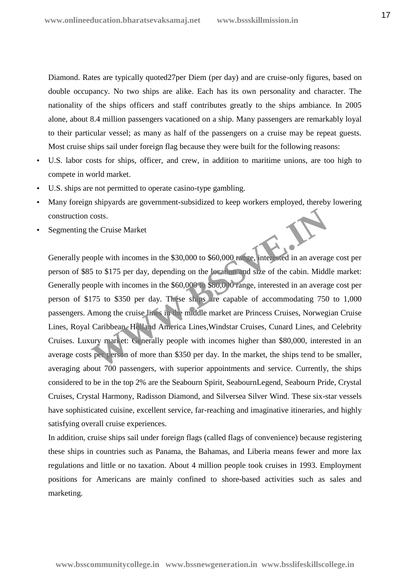Diamond. Rates are typically quoted27per Diem (per day) and are cruise-only figures, based on double occupancy. No two ships are alike. Each has its own personality and character. The nationality of the ships officers and staff contributes greatly to the ships ambiance. In 2005 alone, about 8.4 million passengers vacationed on a ship. Many passengers are remarkably loyal to their particular vessel; as many as half of the passengers on a cruise may be repeat guests. Most cruise ships sail under foreign flag because they were built for the following reasons:

- U.S. labor costs for ships, officer, and crew, in addition to maritime unions, are too high to compete in world market.
- U.S. ships are not permitted to operate casino-type gambling.
- Many foreign shipyards are government-subsidized to keep workers employed, thereby lowering construction costs.
- Segmenting the Cruise Market

Generally people with incomes in the \$30,000 to \$60,000 range, interested in an average cost per person of \$85 to \$175 per day, depending on the location and size of the cabin. Middle market: Generally people with incomes in the \$60,000 to \$80,000 range, interested in an average cost per person of \$175 to \$350 per day. These ships are capable of accommodating 750 to 1,000 passengers. Among the cruise lines in the middle market are Princess Cruises, Norwegian Cruise Lines, Royal Caribbean, Holland America Lines,Windstar Cruises, Cunard Lines, and Celebrity Cruises. Luxury market: Generally people with incomes higher than \$80,000, interested in an average costs per person of more than \$350 per day. In the market, the ships tend to be smaller, averaging about 700 passengers, with superior appointments and service. Currently, the ships considered to be in the top 2% are the Seabourn Spirit, SeabournLegend, Seabourn Pride, Crystal Cruises, Crystal Harmony, Radisson Diamond, and Silversea Silver Wind. These six-star vessels have sophisticated cuisine, excellent service, far-reaching and imaginative itineraries, and highly satisfying overall cruise experiences. costs.<br>
the Cruise Market<br>
ople with incomes in the \$30,000 to \$60,000 range, interested in an averag<br>
5 to \$175 per day, depending on the location and size of the cabin. Midd<br>
ople with incomes in the \$60,000 co \$80,000 r

In addition, cruise ships sail under foreign flags (called flags of convenience) because registering these ships in countries such as Panama, the Bahamas, and Liberia means fewer and more lax regulations and little or no taxation. About 4 million people took cruises in 1993. Employment positions for Americans are mainly confined to shore-based activities such as sales and marketing.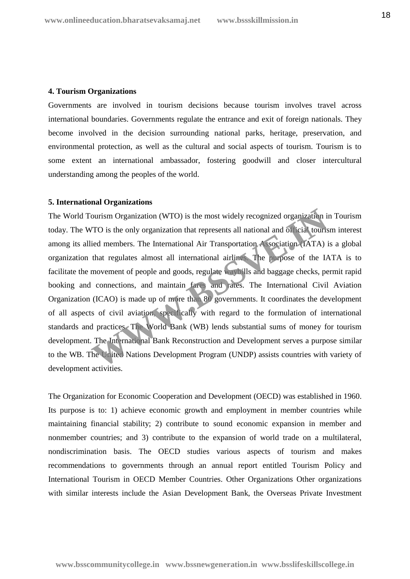#### **4. Tourism Organizations**

Governments are involved in tourism decisions because tourism involves travel across international boundaries. Governments regulate the entrance and exit of foreign nationals. They become involved in the decision surrounding national parks, heritage, preservation, and environmental protection, as well as the cultural and social aspects of tourism. Tourism is to some extent an international ambassador, fostering goodwill and closer intercultural understanding among the peoples of the world.

## **5. International Organizations**

The World Tourism Organization (WTO) is the most widely recognized organization in Tourism today. The WTO is the only organization that represents all national and official tourism interest among its allied members. The International Air Transportation Association (IATA) is a global organization that regulates almost all international airlines. The purpose of the IATA is to facilitate the movement of people and goods, regulate waybills and baggage checks, permit rapid booking and connections, and maintain fares and rates. The International Civil Aviation Organization (ICAO) is made up of more than 80 governments. It coordinates the development of all aspects of civil aviation, specifically with regard to the formulation of international standards and practices. The World Bank (WB) lends substantial sums of money for tourism development. The International Bank Reconstruction and Development serves a purpose similar to the WB. The United Nations Development Program (UNDP) assists countries with variety of development activities. ourism Organization (WTO) is the most widely recognized organization in<br>TO is the only organization that represents all national and of relations<br>ied members. The International Air Transportation (Association (IATA) is<br>tha

The Organization for Economic Cooperation and Development (OECD) was established in 1960. Its purpose is to: 1) achieve economic growth and employment in member countries while maintaining financial stability; 2) contribute to sound economic expansion in member and nonmember countries; and 3) contribute to the expansion of world trade on a multilateral, nondiscrimination basis. The OECD studies various aspects of tourism and makes recommendations to governments through an annual report entitled Tourism Policy and International Tourism in OECD Member Countries. Other Organizations Other organizations with similar interests include the Asian Development Bank, the Overseas Private Investment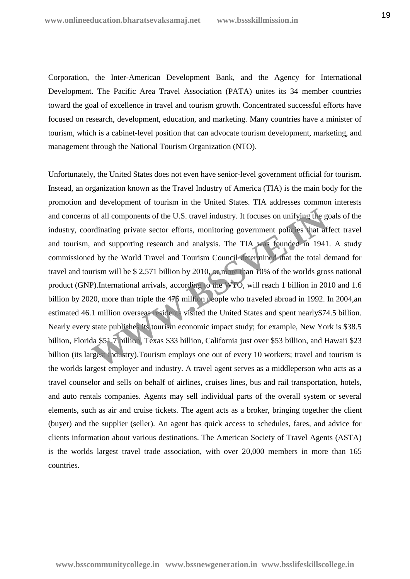Corporation, the Inter-American Development Bank, and the Agency for International Development. The Pacific Area Travel Association (PATA) unites its 34 member countries toward the goal of excellence in travel and tourism growth. Concentrated successful efforts have focused on research, development, education, and marketing. Many countries have a minister of tourism, which is a cabinet-level position that can advocate tourism development, marketing, and management through the National Tourism Organization (NTO).

Unfortunately, the United States does not even have senior-level government official for tourism. Instead, an organization known as the Travel Industry of America (TIA) is the main body for the promotion and development of tourism in the United States. TIA addresses common interests and concerns of all components of the U.S. travel industry. It focuses on unifying the goals of the industry, coordinating private sector efforts, monitoring government policies that affect travel and tourism, and supporting research and analysis. The TIA was founded in 1941. A study commissioned by the World Travel and Tourism Council determined that the total demand for travel and tourism will be \$ 2,571 billion by 2010, or more than 10% of the worlds gross national product (GNP).International arrivals, according to the WTO, will reach 1 billion in 2010 and 1.6 billion by 2020, more than triple the 475 million people who traveled abroad in 1992. In 2004,an estimated 46.1 million overseas residents visited the United States and spent nearly\$74.5 billion. Nearly every state publishes its tourism economic impact study; for example, New York is \$38.5 billion, Florida \$51.7 billion, Texas \$33 billion, California just over \$53 billion, and Hawaii \$23 billion (its largest industry).Tourism employs one out of every 10 workers; travel and tourism is the worlds largest employer and industry. A travel agent serves as a middleperson who acts as a travel counselor and sells on behalf of airlines, cruises lines, bus and rail transportation, hotels, and auto rentals companies. Agents may sell individual parts of the overall system or several elements, such as air and cruise tickets. The agent acts as a broker, bringing together the client (buyer) and the supplier (seller). An agent has quick access to schedules, fares, and advice for clients information about various destinations. The American Society of Travel Agents (ASTA) is the worlds largest travel trade association, with over 20,000 members in more than 165 countries. of all components of the U.S. travel industry. It focuses on unifying the gendinating private sector efforts, monitoring government polices that af<br>and supporting research and analysis. The TIA was founded in 1941<br>d by the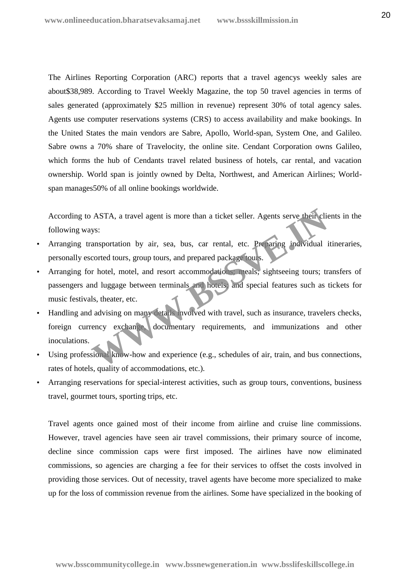The Airlines Reporting Corporation (ARC) reports that a travel agencys weekly sales are about\$38,989. According to Travel Weekly Magazine, the top 50 travel agencies in terms of sales generated (approximately \$25 million in revenue) represent 30% of total agency sales. Agents use computer reservations systems (CRS) to access availability and make bookings. In the United States the main vendors are Sabre, Apollo, World-span, System One, and Galileo. Sabre owns a 70% share of Travelocity, the online site. Cendant Corporation owns Galileo, which forms the hub of Cendants travel related business of hotels, car rental, and vacation ownership. World span is jointly owned by Delta, Northwest, and American Airlines; World span manages50% of all online bookings worldwide.

According to ASTA, a travel agent is more than a ticket seller. Agents serve their clients in the following ways:

- Arranging transportation by air, sea, bus, car rental, etc. Preparing individual itineraries, personally escorted tours, group tours, and prepared package tours.
- Arranging for hotel, motel, and resort accommodations; meals; sightseeing tours; transfers of passengers and luggage between terminals and hotels; and special features such as tickets for music festivals, theater, etc. ASTA, a travel agent is more than a ticket seller. Agents serve their clies<br>
ys:<br>
ansportation by air, sea, bus, car rental, etc. Pre aring individual is<br>
corted tours, group tours, and prepared package tours.<br>
In the mode
- Handling and advising on many details involved with travel, such as insurance, travelers checks, foreign currency exchange, documentary requirements, and immunizations and other inoculations.
- Using professional know-how and experience (e.g., schedules of air, train, and bus connections, rates of hotels, quality of accommodations, etc.).
- Arranging reservations for special-interest activities, such as group tours, conventions, business travel, gourmet tours, sporting trips, etc.

Travel agents once gained most of their income from airline and cruise line commissions. However, travel agencies have seen air travel commissions, their primary source of income, decline since commission caps were first imposed. The airlines have now eliminated commissions, so agencies are charging a fee for their services to offset the costs involved in providing those services. Out of necessity, travel agents have become more specialized to make up for the loss of commission revenue from the airlines. Some have specialized in the booking of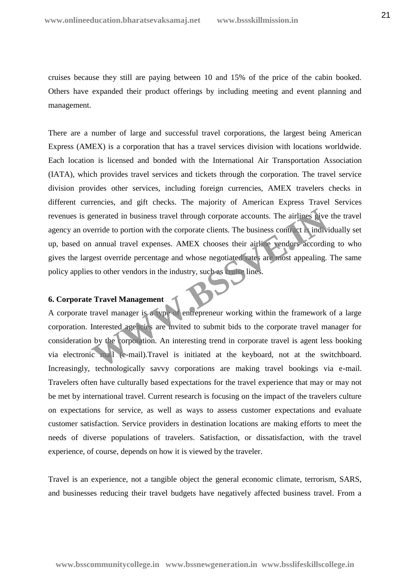cruises because they still are paying between 10 and 15% of the price of the cabin booked. Others have expanded their product offerings by including meeting and event planning and management.

There are a number of large and successful travel corporations, the largest being American Express (AMEX) is a corporation that has a travel services division with locations worldwide. Each location is licensed and bonded with the International Air Transportation Association (IATA), which provides travel services and tickets through the corporation. The travel service division provides other services, including foreign currencies, AMEX travelers checks in different currencies, and gift checks. The majority of American Express Travel Services revenues is generated in business travel through corporate accounts. The airlines give the travel agency an override to portion with the corporate clients. The business contract is individually set up, based on annual travel expenses. AMEX chooses their airline vendors according to who gives the largest override percentage and whose negotiated rates are most appealing. The same policy applies to other vendors in the industry, such as cruise lines. Example 10 and the state of the state of the state of the state of the state of the state of the state of the state of the state of the state of the state of the state of the state of the state of the state of the state of

# **6. Corporate Travel Management**

A corporate travel manager is a type of entrepreneur working within the framework of a large corporation. Interested agencies are invited to submit bids to the corporate travel manager for consideration by the corporation. An interesting trend in corporate travel is agent less booking via electronic mail (e-mail).Travel is initiated at the keyboard, not at the switchboard. Increasingly, technologically savvy corporations are making travel bookings via e-mail. Travelers often have culturally based expectations for the travel experience that may or may not be met by international travel. Current research is focusing on the impact of the travelers culture on expectations for service, as well as ways to assess customer expectations and evaluate customer satisfaction. Service providers in destination locations are making efforts to meet the needs of diverse populations of travelers. Satisfaction, or dissatisfaction, with the travel experience, of course, depends on how it is viewed by the traveler.

Travel is an experience, not a tangible object the general economic climate, terrorism, SARS, and businesses reducing their travel budgets have negatively affected business travel. From a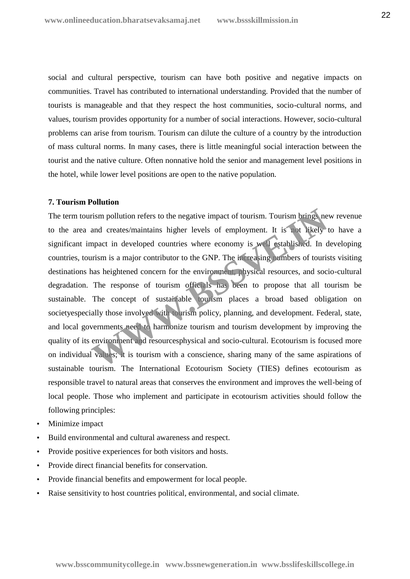social and cultural perspective, tourism can have both positive and negative impacts on communities. Travel has contributed to international understanding. Provided that the number of tourists is manageable and that they respect the host communities, socio-cultural norms, and values, tourism provides opportunity for a number of social interactions. However, socio-cultural problems can arise from tourism. Tourism can dilute the culture of a country by the introduction of mass cultural norms. In many cases, there is little meaningful social interaction between the tourist and the native culture. Often nonnative hold the senior and management level positions in the hotel, while lower level positions are open to the native population.

## **7. Tourism Pollution**

The term tourism pollution refers to the negative impact of tourism. Tourism brings new revenue to the area and creates/maintains higher levels of employment. It is not likely to have a significant impact in developed countries where economy is well established. In developing countries, tourism is a major contributor to the GNP. The increasing numbers of tourists visiting destinations has heightened concern for the environment, physical resources, and socio-cultural degradation. The response of tourism officials has been to propose that all tourism be sustainable. The concept of sustainable tourism places a broad based obligation on societyespecially those involved with tourism policy, planning, and development. Federal, state, and local governments need to harmonize tourism and tourism development by improving the quality of its environment and resourcesphysical and socio-cultural. Ecotourism is focused more on individual values; it is tourism with a conscience, sharing many of the same aspirations of sustainable tourism. The International Ecotourism Society (TIES) defines ecotourism as responsible travel to natural areas that conserves the environment and improves the well-being of local people. Those who implement and participate in ecotourism activities should follow the following principles: rism pollution refers to the negative impact of tourism. Tourism brings ne<br>and creates/maintains higher levels of employment. It is not likely the<br>mpact in developed countries where economy is well established. In d<br>urism

- Minimize impact
- Build environmental and cultural awareness and respect.
- Provide positive experiences for both visitors and hosts.
- Provide direct financial benefits for conservation.
- Provide financial benefits and empowerment for local people.
- Raise sensitivity to host countries political, environmental, and social climate.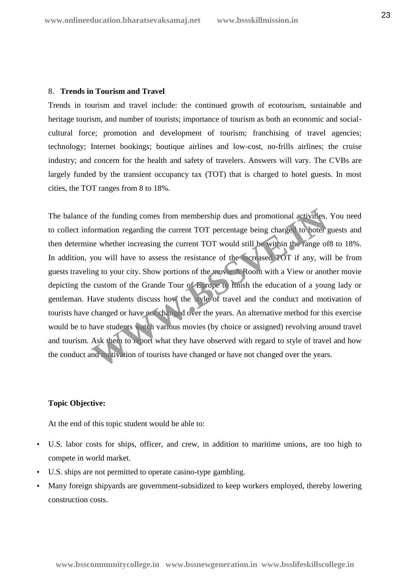#### 8. **Trends in Tourism and Travel**

Trends in tourism and travel include: the continued growth of ecotourism, sustainable and heritage tourism, and number of tourists; importance of tourism as both an economic and social cultural force; promotion and development of tourism; franchising of travel agencies; technology; Internet bookings; boutique airlines and low-cost, no-frills airlines; the cruise industry; and concern for the health and safety of travelers. Answers will vary. The CVBs are largely funded by the transient occupancy tax (TOT) that is charged to hotel guests. In most cities, the TOT ranges from 8 to 18%.

The balance of the funding comes from membership dues and promotional activities. You need to collect information regarding the current TOT percentage being charged to hotel guests and then determine whether increasing the current TOT would still be within the range of8 to 18%. In addition, you will have to assess the resistance of the increased TOT if any, will be from guests traveling to your city. Show portions of the movie A Room with a View or another movie depicting the custom of the Grande Tour of Europe to finish the education of a young lady or gentleman. Have students discuss how the style of travel and the conduct and motivation of tourists have changed or have not changed over the years. An alternative method for this exercise would be to have students watch various movies (by choice or assigned) revolving around travel and tourism. Ask them to report what they have observed with regard to style of travel and how the conduct and motivation of tourists have changed or have not changed over the years. or the funding comes from membership dues and promotional activities.<br>
Sormation regarding the current TOT percentage being charged to hotel<br>
he whether increasing the current TOT would still be within the range of<br>
you wi

# **Topic Objective:**

At the end of this topic student would be able to:

- U.S. labor costs for ships, officer, and crew, in addition to maritime unions, are too high to compete in world market.
- U.S. ships are not permitted to operate casino-type gambling.
- Many foreign shipyards are government-subsidized to keep workers employed, thereby lowering construction costs.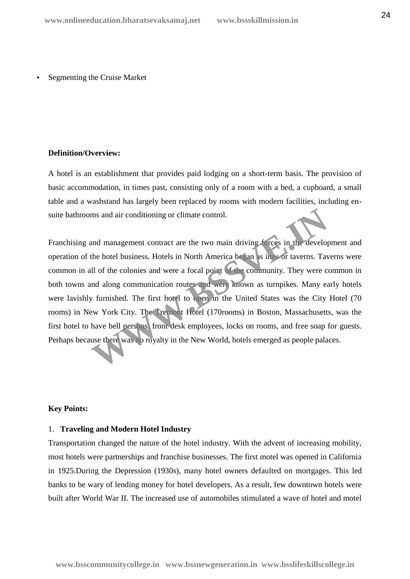Segmenting the Cruise Market

#### **Definition/Overview:**

A hotel is an establishment that provides paid lodging on a short-term basis. The provision of basic accommodation, in times past, consisting only of a room with a bed, a cupboard, a small table and a washstand has largely been replaced by rooms with modern facilities, including en suite bathrooms and air conditioning or climate control.

Franchising and management contract are the two main driving forces in the development and operation of the hotel business. Hotels in North America began as inns or taverns. Taverns were common in all of the colonies and were a focal point of the community. They were common in both towns and along communication routes and were known as turnpikes. Many early hotels were lavishly furnished. The first hotel to open in the United States was the City Hotel (70 rooms) in New York City. The Tremont Hotel (170rooms) in Boston, Massachusetts, was the first hotel to have bell persons, front desk employees, locks on rooms, and free soap for guests. Perhaps because there was no royalty in the New World, hotels emerged as people palaces. ms and air conditioning or climate control.<br>
and management contract are the two main driving forces in the develop<br>
the hotel business. Hotels in North America began as in foor taverns. Tay<br>
all of the colonies and were a

### **Key Points:**

#### 1. **Traveling and Modern Hotel Industry**

Transportation changed the nature of the hotel industry. With the advent of increasing mobility, most hotels were partnerships and franchise businesses. The first motel was opened in California in 1925.During the Depression (1930s), many hotel owners defaulted on mortgages. This led banks to be wary of lending money for hotel developers. As a result, few downtown hotels were built after World War II. The increased use of automobiles stimulated a wave of hotel and motel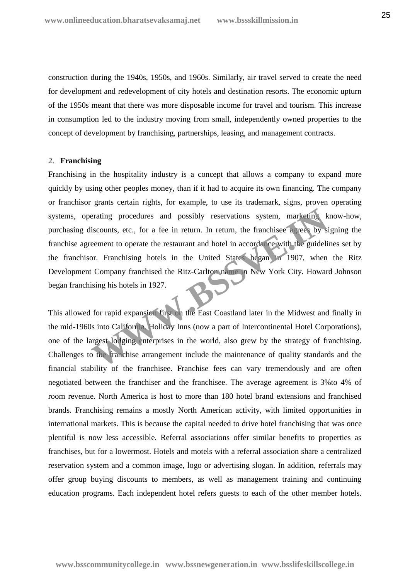construction during the 1940s, 1950s, and 1960s. Similarly, air travel served to create the need for development and redevelopment of city hotels and destination resorts. The economic upturn of the 1950s meant that there was more disposable income for travel and tourism. This increase in consumption led to the industry moving from small, independently owned properties to the concept of development by franchising, partnerships, leasing, and management contracts.

#### 2. **Franchising**

Franchising in the hospitality industry is a concept that allows a company to expand more quickly by using other peoples money, than if it had to acquire its own financing. The company or franchisor grants certain rights, for example, to use its trademark, signs, proven operating systems, operating procedures and possibly reservations system, marketing know-how, purchasing discounts, etc., for a fee in return. In return, the franchisee agrees by signing the franchise agreement to operate the restaurant and hotel in accordance with the guidelines set by the franchisor. Franchising hotels in the United States began in 1907, when the Ritz Development Company franchised the Ritz-Carlton name in New York City. Howard Johnson began franchising his hotels in 1927. erating procedures and possibly reservations system, marketing k<br>iscounts, etc., for a fee in return. In return, the franchisee a reces by si<br>eement to operate the restaurant and hotel in accordance with the guideli<br>or. Fr

This allowed for rapid expansion first on the East Coastland later in the Midwest and finally in the mid-1960s into California. Holiday Inns (now a part of Intercontinental Hotel Corporations), one of the largest lodging enterprises in the world, also grew by the strategy of franchising. Challenges to the franchise arrangement include the maintenance of quality standards and the financial stability of the franchisee. Franchise fees can vary tremendously and are often negotiated between the franchiser and the franchisee. The average agreement is 3%to 4% of room revenue. North America is host to more than 180 hotel brand extensions and franchised brands. Franchising remains a mostly North American activity, with limited opportunities in international markets. This is because the capital needed to drive hotel franchising that was once plentiful is now less accessible. Referral associations offer similar benefits to properties as franchises, but for a lowermost. Hotels and motels with a referral association share a centralized reservation system and a common image, logo or advertising slogan. In addition, referrals may offer group buying discounts to members, as well as management training and continuing education programs. Each independent hotel refers guests to each of the other member hotels.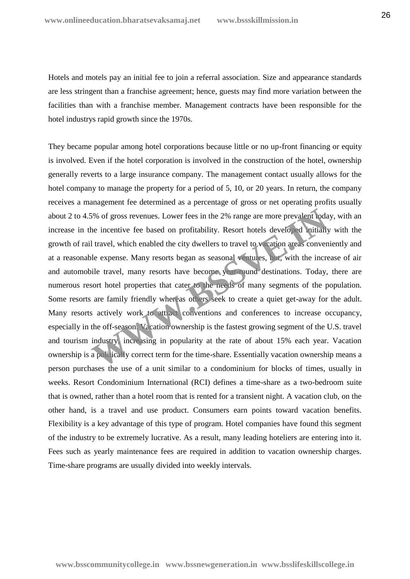Hotels and motels pay an initial fee to join a referral association. Size and appearance standards are less stringent than a franchise agreement; hence, guests may find more variation between the facilities than with a franchise member. Management contracts have been responsible for the hotel industrys rapid growth since the 1970s.

They became popular among hotel corporations because little or no up-front financing or equity is involved. Even if the hotel corporation is involved in the construction of the hotel, ownership generally reverts to a large insurance company. The management contact usually allows for the hotel company to manage the property for a period of 5, 10, or 20 years. In return, the company receives a management fee determined as a percentage of gross or net operating profits usually about 2 to 4.5% of gross revenues. Lower fees in the 2% range are more prevalent today, with an increase in the incentive fee based on profitability. Resort hotels developed initially with the growth of rail travel, which enabled the city dwellers to travel to vacation areas conveniently and at a reasonable expense. Many resorts began as seasonal ventures, but, with the increase of air and automobile travel, many resorts have become year-round destinations. Today, there are numerous resort hotel properties that cater to the needs of many segments of the population. Some resorts are family friendly whereas others seek to create a quiet get-away for the adult. Many resorts actively work to attract conventions and conferences to increase occupancy, especially in the off-season. Vacation ownership is the fastest growing segment of the U.S. travel and tourism industry, increasing in popularity at the rate of about 15% each year. Vacation ownership is a politically correct term for the time-share. Essentially vacation ownership means a person purchases the use of a unit similar to a condominium for blocks of times, usually in weeks. Resort Condominium International (RCI) defines a time-share as a two-bedroom suite that is owned, rather than a hotel room that is rented for a transient night. A vacation club, on the other hand, is a travel and use product. Consumers earn points toward vacation benefits. Flexibility is a key advantage of this type of program. Hotel companies have found this segment of the industry to be extremely lucrative. As a result, many leading hoteliers are entering into it. Fees such as yearly maintenance fees are required in addition to vacation ownership charges. Time-share programs are usually divided into weekly intervals. 5% of gross revenues. Lower fees in the 2% range are more prevalent lodate incentive fee based on profitability. Resort hotels developed initially all travel, which enabled the city dwellers to travel to warition areas con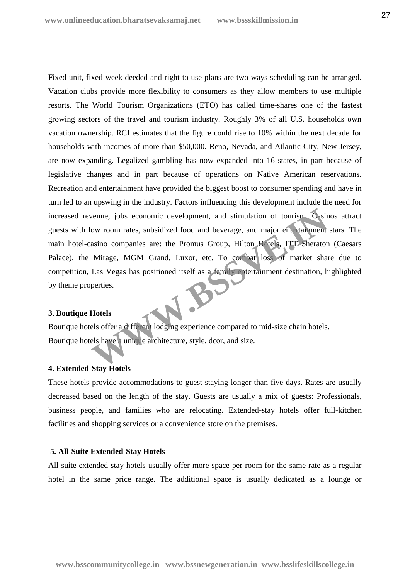Fixed unit, fixed-week deeded and right to use plans are two ways scheduling can be arranged. Vacation clubs provide more flexibility to consumers as they allow members to use multiple resorts. The World Tourism Organizations (ETO) has called time-shares one of the fastest growing sectors of the travel and tourism industry. Roughly 3% of all U.S. households own vacation ownership. RCI estimates that the figure could rise to 10% within the next decade for households with incomes of more than \$50,000. Reno, Nevada, and Atlantic City, New Jersey, are now expanding. Legalized gambling has now expanded into 16 states, in part because of legislative changes and in part because of operations on Native American reservations. Recreation and entertainment have provided the biggest boost to consumer spending and have in turn led to an upswing in the industry. Factors influencing this development include the need for increased revenue, jobs economic development, and stimulation of tourism. Casinos attract guests with low room rates, subsidized food and beverage, and major entertainment stars. The main hotel-casino companies are: the Promus Group, Hilton Hotels, ITT Sheraton (Caesars Palace), the Mirage, MGM Grand, Luxor, etc. To combat loss of market share due to competition, Las Vegas has positioned itself as a family entertainment destination, highlighted by theme properties. Exercise de Saloisier de Maria de Saloisier de Maria de Saloisier de Maria de Maria de Maria de Saloisier de Maria de Maria de Maria de Maria de Maria de Maria de Maria de Maria de Maria de Maria de Maria de Maria de Maria

#### **3. Boutique Hotels**

Boutique hotels offer a different lodging experience compared to mid-size chain hotels. Boutique hotels have a unique architecture, style, dcor, and size.

## **4. Extended-Stay Hotels**

These hotels provide accommodations to guest staying longer than five days. Rates are usually decreased based on the length of the stay. Guests are usually a mix of guests: Professionals, business people, and families who are relocating. Extended-stay hotels offer full-kitchen facilities and shopping services or a convenience store on the premises.

#### **5. All-Suite Extended-Stay Hotels**

All-suite extended-stay hotels usually offer more space per room for the same rate as a regular hotel in the same price range. The additional space is usually dedicated as a lounge or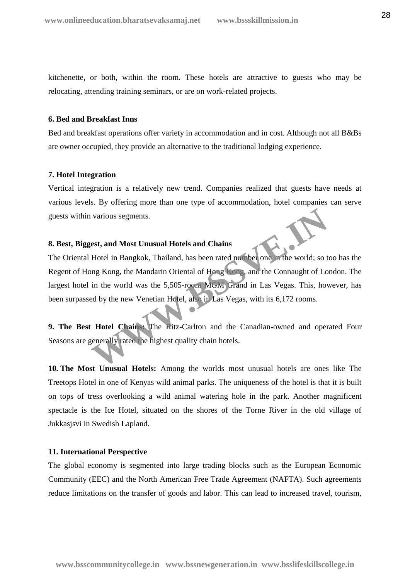kitchenette, or both, within the room. These hotels are attractive to guests who may be relocating, attending training seminars, or are on work-related projects.

## **6. Bed and Breakfast Inns**

Bed and breakfast operations offer variety in accommodation and in cost. Although not all B&Bs are owner occupied, they provide an alternative to the traditional lodging experience.

## **7. Hotel Integration**

Vertical integration is a relatively new trend. Companies realized that guests have needs at various levels. By offering more than one type of accommodation, hotel companies can serve guests within various segments.

# **8. Best, Biggest, and Most Unusual Hotels and Chains**

The Oriental Hotel in Bangkok, Thailand, has been rated number one in the world; so too has the Regent of Hong Kong, the Mandarin Oriental of Hong Kong, and the Connaught of London. The largest hotel in the world was the 5,505-room MGM Grand in Las Vegas. This, however, has been surpassed by the new Venetian Hotel, also in Las Vegas, with its 6,172 rooms. various segments.<br> **Exact, and Most Unusual Hotels and Chains**<br>
Hotel in Bangkok, Thailand, has been rated number one in the world; so to<br>
in the world was the 5,505-room MOM. Grand in Las Vegas. This, hose<br>
d by the new V

**9. The Best Hotel Chains:** The Ritz-Carlton and the Canadian-owned and operated Four Seasons are generally rated the highest quality chain hotels.

**10. The Most Unusual Hotels:** Among the worlds most unusual hotels are ones like The Treetops Hotel in one of Kenyas wild animal parks. The uniqueness of the hotel is that it is built on tops of tress overlooking a wild animal watering hole in the park. Another magnificent spectacle is the Ice Hotel, situated on the shores of the Torne River in the old village of Jukkasjsvi in Swedish Lapland.

#### **11. International Perspective**

The global economy is segmented into large trading blocks such as the European Economic Community (EEC) and the North American Free Trade Agreement (NAFTA). Such agreements reduce limitations on the transfer of goods and labor. This can lead to increased travel, tourism,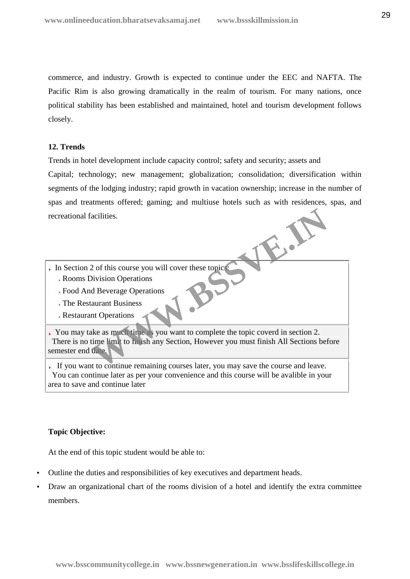commerce, and industry. Growth is expected to continue under the EEC and NAFTA. The Pacific Rim is also growing dramatically in the realm of tourism. For many nations, once political stability has been established and maintained, hotel and tourism development follows closely.

# **12. Trends**

Trends in hotel development include capacity control; safety and security; assets and

Capital; technology; new management; globalization; consolidation; diversification within segments of the lodging industry; rapid growth in vacation ownership; increase in the number of spas and treatments offered; gaming; and multiuse hotels such as with residences, spas, and recreational facilities.

- In Section 2 of this course you will cover these topics:
	- Rooms Division Operations
	- Food And Beverage Operations
	- The Restaurant Business
	- Restaurant Operations

You may take as much time as you want to complete the topic coverd in section 2. There is no time limit to finish any Section, However you must finish All Sections before semester end date. Pacifities.<br>
2 of this course you will cover these topics<br>
Division Operations<br>
alurant Business<br>
at Operations<br>
alurant Business<br>
and Division Complete the topic coverd in section 2.<br>
time I and to finish any Section, How

If you want to continue remaining courses later, you may save the course and leave. You can continue later as per your convenience and this course will be avalible in your area to save and continue later

# **Topic Objective:**

At the end of this topic student would be able to:

- Outline the duties and responsibilities of key executives and department heads.
- Draw an organizational chart of the rooms division of a hotel and identify the extra committee members.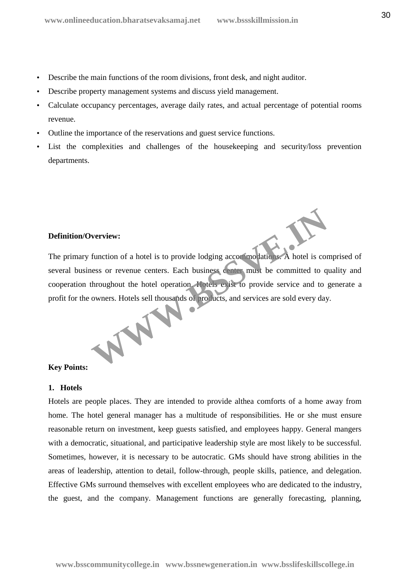- Describe the main functions of the room divisions, front desk, and night auditor.
- Describe property management systems and discuss yield management.
- Calculate occupancy percentages, average daily rates, and actual percentage of potential rooms revenue.
- Outline the importance of the reservations and guest service functions.
- List the complexities and challenges of the housekeeping and security/loss prevention departments.

# **Definition/Overview:**

The primary function of a hotel is to provide lodging accommodations. A hotel is comprised of several business or revenue centers. Each business center must be committed to quality and cooperation throughout the hotel operation. Hotels exist to provide service and to generate a profit for the owners. Hotels sell thousands of products, and services are sold every day. Werview:<br>
function of a hotel is to provide lodging accommodations. A hotel is corress or revenue centers. Each business center must be committed to q<br>
throughout the hotel operation. Hotels, exist to provide service and t

# **Key Points:**

## **1. Hotels**

Hotels are people places. They are intended to provide althea comforts of a home away from home. The hotel general manager has a multitude of responsibilities. He or she must ensure reasonable return on investment, keep guests satisfied, and employees happy. General mangers with a democratic, situational, and participative leadership style are most likely to be successful. Sometimes, however, it is necessary to be autocratic. GMs should have strong abilities in the areas of leadership, attention to detail, follow-through, people skills, patience, and delegation. Effective GMs surround themselves with excellent employees who are dedicated to the industry, the guest, and the company. Management functions are generally forecasting, planning,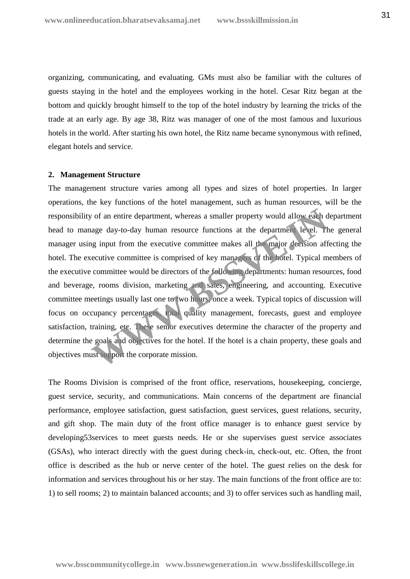organizing, communicating, and evaluating. GMs must also be familiar with the cultures of guests staying in the hotel and the employees working in the hotel. Cesar Ritz began at the bottom and quickly brought himself to the top of the hotel industry by learning the tricks of the trade at an early age. By age 38, Ritz was manager of one of the most famous and luxurious hotels in the world. After starting his own hotel, the Ritz name became synonymous with refined, elegant hotels and service.

#### **2. Management Structure**

The management structure varies among all types and sizes of hotel properties. In larger operations, the key functions of the hotel management, such as human resources, will be the responsibility of an entire department, whereas a smaller property would allow each department head to manage day-to-day human resource functions at the department level. The general manager using input from the executive committee makes all the major decision affecting the hotel. The executive committee is comprised of key managers of the hotel. Typical members of the executive committee would be directors of the following departments: human resources, food and beverage, rooms division, marketing and sales, engineering, and accounting. Executive committee meetings usually last one to two hours, once a week. Typical topics of discussion will focus on occupancy percentages, total quality management, forecasts, guest and employee satisfaction, training, etc. These senior executives determine the character of the property and determine the goals and objectives for the hotel. If the hotel is a chain property, these goals and objectives must support the corporate mission. or of an entire department, whereas a smaller property would allow each dage day-to-day human resource functions at the department level. They input from the executive committee makes all the major decision affectuative co

The Rooms Division is comprised of the front office, reservations, housekeeping, concierge, guest service, security, and communications. Main concerns of the department are financial performance, employee satisfaction, guest satisfaction, guest services, guest relations, security, and gift shop. The main duty of the front office manager is to enhance guest service by developing53services to meet guests needs. He or she supervises guest service associates (GSAs), who interact directly with the guest during check-in, check-out, etc. Often, the front office is described as the hub or nerve center of the hotel. The guest relies on the desk for information and services throughout his or her stay. The main functions of the front office are to: 1) to sell rooms; 2) to maintain balanced accounts; and 3) to offer services such as handling mail,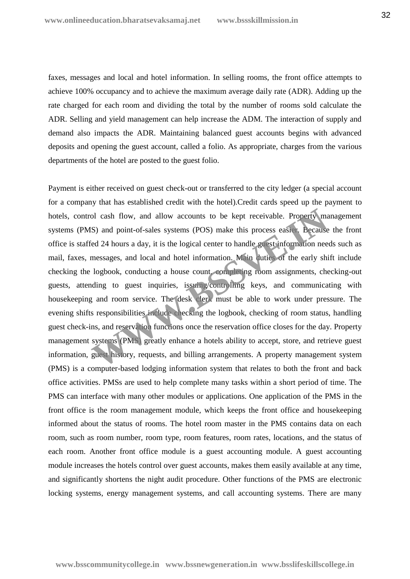faxes, messages and local and hotel information. In selling rooms, the front office attempts to achieve 100% occupancy and to achieve the maximum average daily rate (ADR). Adding up the rate charged for each room and dividing the total by the number of rooms sold calculate the ADR. Selling and yield management can help increase the ADM. The interaction of supply and demand also impacts the ADR. Maintaining balanced guest accounts begins with advanced deposits and opening the guest account, called a folio. As appropriate, charges from the various departments of the hotel are posted to the guest folio.

Payment is either received on guest check-out or transferred to the city ledger (a special account for a company that has established credit with the hotel).Credit cards speed up the payment to hotels, control cash flow, and allow accounts to be kept receivable. Property management systems (PMS) and point-of-sales systems (POS) make this process easier. Because the front office is staffed 24 hours a day, it is the logical center to handle guest information needs such as mail, faxes, messages, and local and hotel information. Main duties of the early shift include checking the logbook, conducting a house count, completing room assignments, checking-out guests, attending to guest inquiries, issuing/controlling keys, and communicating with housekeeping and room service. The desk clerk must be able to work under pressure. The evening shifts responsibilities include checking the logbook, checking of room status, handling guest check-ins, and reservation functions once the reservation office closes for the day. Property management systems (PMS) greatly enhance a hotels ability to accept, store, and retrieve guest information, guest history, requests, and billing arrangements. A property management system (PMS) is a computer-based lodging information system that relates to both the front and back office activities. PMSs are used to help complete many tasks within a short period of time. The PMS can interface with many other modules or applications. One application of the PMS in the front office is the room management module, which keeps the front office and housekeeping informed about the status of rooms. The hotel room master in the PMS contains data on each room, such as room number, room type, room features, room rates, locations, and the status of each room. Another front office module is a guest accounting module. A guest accounting module increases the hotels control over guest accounts, makes them easily available at any time, and significantly shortens the night audit procedure. Other functions of the PMS are electronic locking systems, energy management systems, and call accounting systems. There are many ol cash flow, and allow accounts to be kept receivable. Property ma<br>
S) and point-of-sales systems (POS) make this process easier. Because<br>
ed 24 hours a day, it is the logical center to handle guest information nee<br>
messa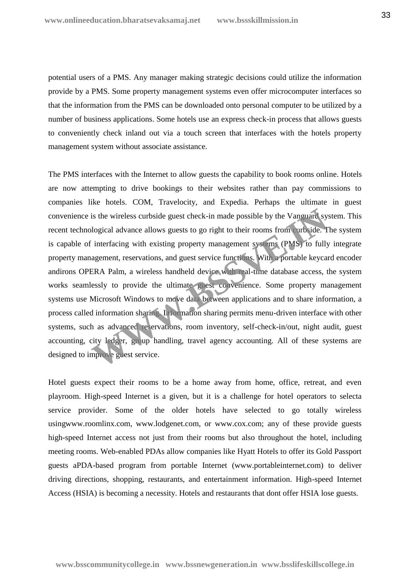potential users of a PMS. Any manager making strategic decisions could utilize the information provide by a PMS. Some property management systems even offer microcomputer interfaces so that the information from the PMS can be downloaded onto personal computer to be utilized by a number of business applications. Some hotels use an express check-in process that allows guests to conveniently check inland out via a touch screen that interfaces with the hotels property management system without associate assistance.

The PMS interfaces with the Internet to allow guests the capability to book rooms online. Hotels are now attempting to drive bookings to their websites rather than pay commissions to companies like hotels. COM, Travelocity, and Expedia. Perhaps the ultimate in guest convenience is the wireless curbside guest check-in made possible by the Vanguard system. This recent technological advance allows guests to go right to their rooms from curbside. The system is capable of interfacing with existing property management systems (PMS) to fully integrate property management, reservations, and guest service functions. With a portable keycard encoder andirons OPERA Palm, a wireless handheld device with real-time database access, the system works seamlessly to provide the ultimate guest convenience. Some property management systems use Microsoft Windows to move data between applications and to share information, a process called information sharing. Information sharing permits menu-driven interface with other systems, such as advanced reservations, room inventory, self-check-in/out, night audit, guest accounting, city ledger, group handling, travel agency accounting. All of these systems are designed to improve guest service. is the wireless curbside guest check-in made possible by the Vanguard sy-<br>blogical advance allows guests to go right to their rooms from curbside. T<br>interfacing with existing property management systems (PMS) to fully<br>agem

Hotel guests expect their rooms to be a home away from home, office, retreat, and even playroom. High-speed Internet is a given, but it is a challenge for hotel operators to selecta service provider. Some of the older hotels have selected to go totally wireless usingwww.roomlinx.com, www.lodgenet.com, or www.cox.com; any of these provide guests high-speed Internet access not just from their rooms but also throughout the hotel, including meeting rooms. Web-enabled PDAs allow companies like Hyatt Hotels to offer its Gold Passport guests aPDA-based program from portable Internet (www.portableinternet.com) to deliver driving directions, shopping, restaurants, and entertainment information. High-speed Internet Access (HSIA) is becoming a necessity. Hotels and restaurants that dont offer HSIA lose guests.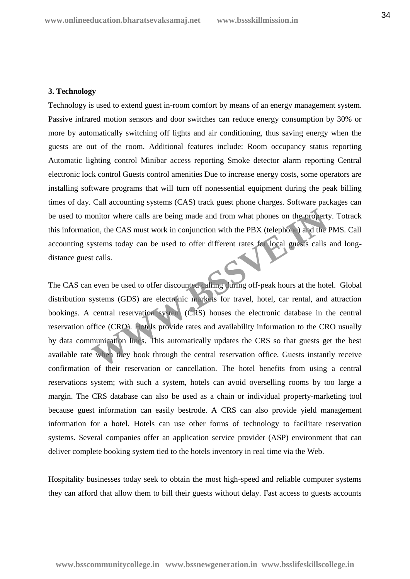#### **3. Technology**

Technology is used to extend guest in-room comfort by means of an energy management system. Passive infrared motion sensors and door switches can reduce energy consumption by 30% or more by automatically switching off lights and air conditioning, thus saving energy when the guests are out of the room. Additional features include: Room occupancy status reporting Automatic lighting control Minibar access reporting Smoke detector alarm reporting Central electronic lock control Guests control amenities Due to increase energy costs, some operators are installing software programs that will turn off nonessential equipment during the peak billing times of day. Call accounting systems (CAS) track guest phone charges. Software packages can be used to monitor where calls are being made and from what phones on the property. Totrack this information, the CAS must work in conjunction with the PBX (telephone) and the PMS. Call accounting systems today can be used to offer different rates for local guests calls and long distance guest calls.

The CAS can even be used to offer discounted calling during off-peak hours at the hotel. Global distribution systems (GDS) are electronic markets for travel, hotel, car rental, and attraction bookings. A central reservation system (CRS) houses the electronic database in the central reservation office (CRO). Hotels provide rates and availability information to the CRO usually by data communication lines. This automatically updates the CRS so that guests get the best available rate when they book through the central reservation office. Guests instantly receive confirmation of their reservation or cancellation. The hotel benefits from using a central reservations system; with such a system, hotels can avoid overselling rooms by too large a margin. The CRS database can also be used as a chain or individual property-marketing tool because guest information can easily bestrode. A CRS can also provide yield management information for a hotel. Hotels can use other forms of technology to facilitate reservation systems. Several companies offer an application service provider (ASP) environment that can deliver complete booking system tied to the hotels inventory in real time via the Web. onitor where calls are being made and from what phones on the propertion, the CAS must work in conjunction with the PBX (telephone) and the lystems today can be used to offer different rates for local guests calls at calls

Hospitality businesses today seek to obtain the most high-speed and reliable computer systems they can afford that allow them to bill their guests without delay. Fast access to guests accounts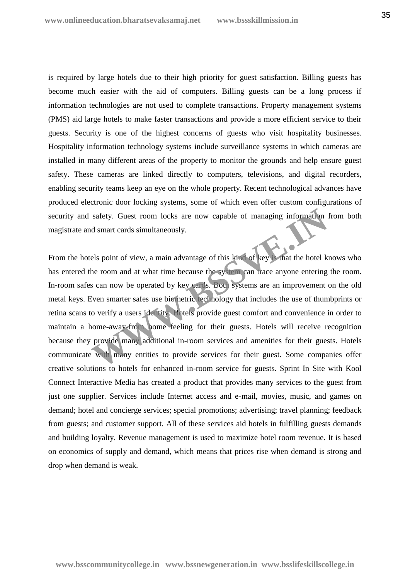is required by large hotels due to their high priority for guest satisfaction. Billing guests has become much easier with the aid of computers. Billing guests can be a long process if information technologies are not used to complete transactions. Property management systems (PMS) aid large hotels to make faster transactions and provide a more efficient service to their guests. Security is one of the highest concerns of guests who visit hospitality businesses. Hospitality information technology systems include surveillance systems in which cameras are installed in many different areas of the property to monitor the grounds and help ensure guest safety. These cameras are linked directly to computers, televisions, and digital recorders, enabling security teams keep an eye on the whole property. Recent technological advances have produced electronic door locking systems, some of which even offer custom configurations of security and safety. Guest room locks are now capable of managing information from both magistrate and smart cards simultaneously.

From the hotels point of view, a main advantage of this kind of key is that the hotel knows who has entered the room and at what time because the system can trace anyone entering the room. In-room safes can now be operated by key cards. Both systems are an improvement on the old metal keys. Even smarter safes use biometric technology that includes the use of thumbprints or retina scans to verify a users identity. Hotels provide guest comfort and convenience in order to maintain a home-away-from home feeling for their guests. Hotels will receive recognition because they provide many additional in-room services and amenities for their guests. Hotels communicate with many entities to provide services for their guest. Some companies offer creative solutions to hotels for enhanced in-room service for guests. Sprint In Site with Kool Connect Interactive Media has created a product that provides many services to the guest from just one supplier. Services include Internet access and e-mail, movies, music, and games on demand; hotel and concierge services; special promotions; advertising; travel planning; feedback from guests; and customer support. All of these services aid hotels in fulfilling guests demands and building loyalty. Revenue management is used to maximize hotel room revenue. It is based on economics of supply and demand, which means that prices rise when demand is strong and drop when demand is weak. safety. Guest room locks are now capable of managing information and smart cards simultaneously.<br>
Lels point of view, a main advantage of this kind of key what the hotel k<br>
the room and at what time because the systems can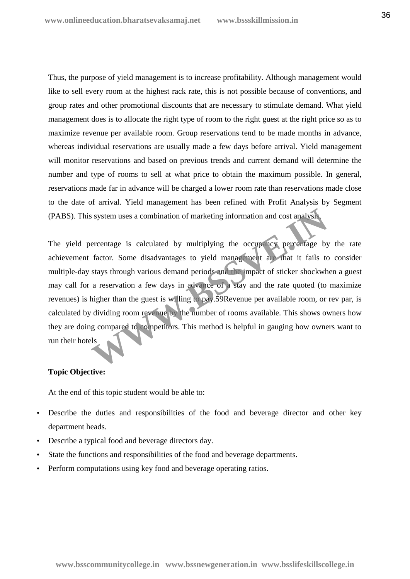Thus, the purpose of yield management is to increase profitability. Although management would like to sell every room at the highest rack rate, this is not possible because of conventions, and group rates and other promotional discounts that are necessary to stimulate demand. What yield management does is to allocate the right type of room to the right guest at the right price so as to maximize revenue per available room. Group reservations tend to be made months in advance, whereas individual reservations are usually made a few days before arrival. Yield management will monitor reservations and based on previous trends and current demand will determine the number and type of rooms to sell at what price to obtain the maximum possible. In general, reservations made far in advance will be charged a lower room rate than reservations made close to the date of arrival. Yield management has been refined with Profit Analysis by Segment (PABS). This system uses a combination of marketing information and cost analysis.

The yield percentage is calculated by multiplying the occupancy percentage by the rate achievement factor. Some disadvantages to yield management are that it fails to consider multiple-day stays through various demand periods and the impact of sticker shockwhen a guest may call for a reservation a few days in advance of a stay and the rate quoted (to maximize revenues) is higher than the guest is willing to pay.59Revenue per available room, or rev par, is calculated by dividing room revenue by the number of rooms available. This shows owners how they are doing compared to competitors. This method is helpful in gauging how owners want to run their hotels Solution and cost analysis<br>
ercentage is calculated by multiplying the occupancy percentage by<br>
factor. Some disadvantages to yield management and that it fails to<br>
stays through various demand periods and the impact of st

## **Topic Objective:**

At the end of this topic student would be able to:

- Describe the duties and responsibilities of the food and beverage director and other key department heads.
- Describe a typical food and beverage directors day.
- State the functions and responsibilities of the food and beverage departments.
- Perform computations using key food and beverage operating ratios.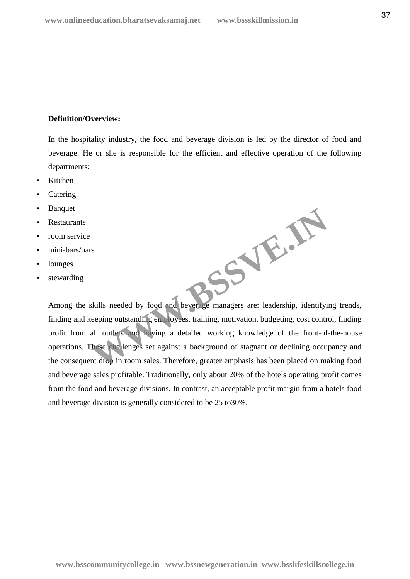# **Definition/Overview:**

In the hospitality industry, the food and beverage division is led by the director of food and beverage. He or she is responsible for the efficient and effective operation of the following departments:

- Kitchen
- Catering
- **Banquet**
- Restaurants
- room service
- mini-bars/bars
- lounges
- stewarding

**WWW.BSSVE.IN**

Among the skills needed by food and beverage managers are: leadership, identifying trends, finding and keeping outstanding employees, training, motivation, budgeting, cost control, finding profit from all outlets and having a detailed working knowledge of the front-of-the-house operations. These challenges set against a background of stagnant or declining occupancy and the consequent drop in room sales. Therefore, greater emphasis has been placed on making food and beverage sales profitable. Traditionally, only about 20% of the hotels operating profit comes from the food and beverage divisions. In contrast, an acceptable profit margin from a hotels food and beverage division is generally considered to be 25 to30%.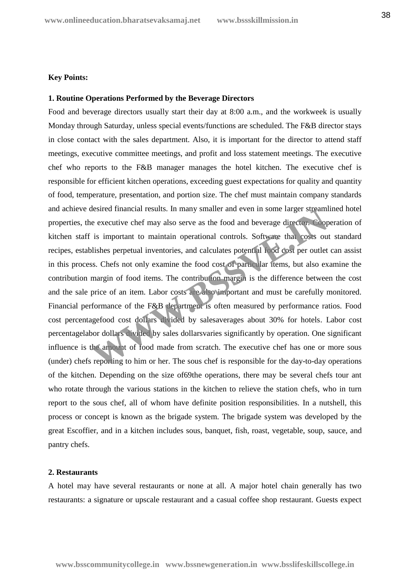# **Key Points:**

# **1. Routine Operations Performed by the Beverage Directors**

Food and beverage directors usually start their day at 8:00 a.m., and the workweek is usually Monday through Saturday, unless special events/functions are scheduled. The F&B director stays in close contact with the sales department. Also, it is important for the director to attend staff meetings, executive committee meetings, and profit and loss statement meetings. The executive chef who reports to the F&B manager manages the hotel kitchen. The executive chef is responsible for efficient kitchen operations, exceeding guest expectations for quality and quantity of food, temperature, presentation, and portion size. The chef must maintain company standards and achieve desired financial results. In many smaller and even in some larger streamlined hotel properties, the executive chef may also serve as the food and beverage director. Cooperation of kitchen staff is important to maintain operational controls. Software that costs out standard recipes, establishes perpetual inventories, and calculates potential food cost per outlet can assist in this process. Chefs not only examine the food cost of particular items, but also examine the contribution margin of food items. The contribution margin is the difference between the cost and the sale price of an item. Labor costs are also important and must be carefully monitored. Financial performance of the F&B department is often measured by performance ratios. Food cost percentagefood cost dollars divided by salesaverages about 30% for hotels. Labor cost percentagelabor dollars divided by sales dollarsvaries significantly by operation. One significant influence is the amount of food made from scratch. The executive chef has one or more sous (under) chefs reporting to him or her. The sous chef is responsible for the day-to-day operations of the kitchen. Depending on the size of69the operations, there may be several chefs tour ant who rotate through the various stations in the kitchen to relieve the station chefs, who in turn report to the sous chef, all of whom have definite position responsibilities. In a nutshell, this process or concept is known as the brigade system. The brigade system was developed by the great Escoffier, and in a kitchen includes sous, banquet, fish, roast, vegetable, soup, sauce, and pantry chefs. desired mancial results. In many smaller and even in some larger streamine executive chef may also serve as the food and beverage director. Coop is important to maintain operational controls. Software that costs our bishes

# **2. Restaurants**

A hotel may have several restaurants or none at all. A major hotel chain generally has two restaurants: a signature or upscale restaurant and a casual coffee shop restaurant. Guests expect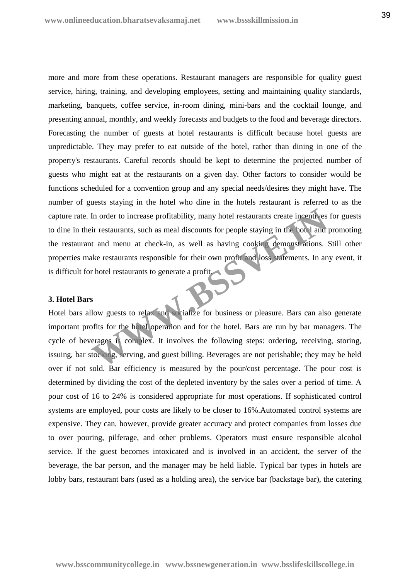more and more from these operations. Restaurant managers are responsible for quality guest service, hiring, training, and developing employees, setting and maintaining quality standards, marketing, banquets, coffee service, in-room dining, mini-bars and the cocktail lounge, and presenting annual, monthly, and weekly forecasts and budgets to the food and beverage directors. Forecasting the number of guests at hotel restaurants is difficult because hotel guests are unpredictable. They may prefer to eat outside of the hotel, rather than dining in one of the property's restaurants. Careful records should be kept to determine the projected number of guests who might eat at the restaurants on a given day. Other factors to consider would be functions scheduled for a convention group and any special needs/desires they might have. The number of guests staying in the hotel who dine in the hotels restaurant is referred to as the capture rate. In order to increase profitability, many hotel restaurants create incentives for guests to dine in their restaurants, such as meal discounts for people staying in the hotel and promoting the restaurant and menu at check-in, as well as having cooking demonstrations. Still other properties make restaurants responsible for their own profit and loss statements. In any event, it is difficult for hotel restaurants to generate a profit. In order to increase profitability, many hotel restaurants create incentives<br>ir restaurants, such as meal discounts for people staying in the lotel and<br>it and menu at check-in, as well as having cooking demonstrations.<br>Sak

# **3. Hotel Bars**

Hotel bars allow guests to relax and socialize for business or pleasure. Bars can also generate important profits for the hotel operation and for the hotel. Bars are run by bar managers. The cycle of beverages is complex. It involves the following steps: ordering, receiving, storing, issuing, bar stocking, serving, and guest billing. Beverages are not perishable; they may be held over if not sold. Bar efficiency is measured by the pour/cost percentage. The pour cost is determined by dividing the cost of the depleted inventory by the sales over a period of time. A pour cost of 16 to 24% is considered appropriate for most operations. If sophisticated control systems are employed, pour costs are likely to be closer to 16%.Automated control systems are expensive. They can, however, provide greater accuracy and protect companies from losses due to over pouring, pilferage, and other problems. Operators must ensure responsible alcohol service. If the guest becomes intoxicated and is involved in an accident, the server of the beverage, the bar person, and the manager may be held liable. Typical bar types in hotels are lobby bars, restaurant bars (used as a holding area), the service bar (backstage bar), the catering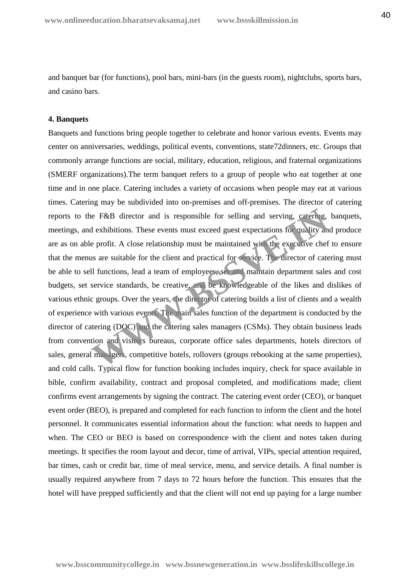and banquet bar (for functions), pool bars, mini-bars (in the guests room), nightclubs, sports bars, and casino bars.

#### **4. Banquets**

Banquets and functions bring people together to celebrate and honor various events. Events may center on anniversaries, weddings, political events, conventions, state72dinners, etc. Groups that commonly arrange functions are social, military, education, religious, and fraternal organizations (SMERF organizations).The term banquet refers to a group of people who eat together at one time and in one place. Catering includes a variety of occasions when people may eat at various times. Catering may be subdivided into on-premises and off-premises. The director of catering reports to the F&B director and is responsible for selling and serving, catering, banquets, meetings, and exhibitions. These events must exceed guest expectations for quality and produce are as on able profit. A close relationship must be maintained with the executive chef to ensure that the menus are suitable for the client and practical for service. The director of catering must be able to sell functions, lead a team of employees, set and maintain department sales and cost budgets, set service standards, be creative, and be knowledgeable of the likes and dislikes of various ethnic groups. Over the years, the director of catering builds a list of clients and a wealth of experience with various events. The main sales function of the department is conducted by the director of catering (DOC) and the catering sales managers (CSMs). They obtain business leads from convention and visitors bureaus, corporate office sales departments, hotels directors of sales, general managers, competitive hotels, rollovers (groups rebooking at the same properties), and cold calls. Typical flow for function booking includes inquiry, check for space available in bible, confirm availability, contract and proposal completed, and modifications made; client confirms event arrangements by signing the contract. The catering event order (CEO), or banquet event order (BEO), is prepared and completed for each function to inform the client and the hotel personnel. It communicates essential information about the function: what needs to happen and when. The CEO or BEO is based on correspondence with the client and notes taken during meetings. It specifies the room layout and decor, time of arrival, VIPs, special attention required, bar times, cash or credit bar, time of meal service, menu, and service details. A final number is usually required anywhere from 7 days to 72 hours before the function. This ensures that the hotel will have prepped sufficiently and that the client will not end up paying for a large number EXERCT A close relationship must be maintained with the executive the same profit. A close relationship must be maintained with the executive chero are suitable for the client and practical for service. The director of cat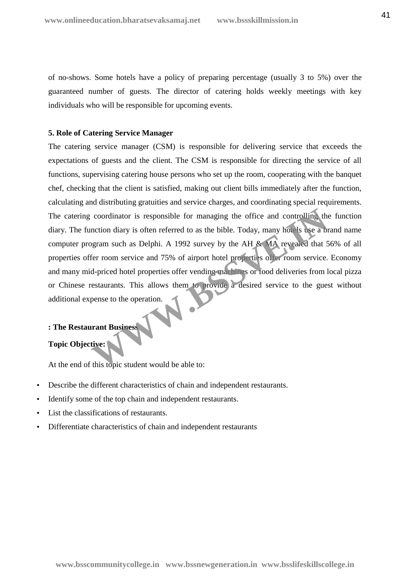of no-shows. Some hotels have a policy of preparing percentage (usually 3 to 5%) over the guaranteed number of guests. The director of catering holds weekly meetings with key individuals who will be responsible for upcoming events.

# **5. Role of Catering Service Manager**

The catering service manager (CSM) is responsible for delivering service that exceeds the expectations of guests and the client. The CSM is responsible for directing the service of all functions, supervising catering house persons who set up the room, cooperating with the banquet chef, checking that the client is satisfied, making out client bills immediately after the function, calculating and distributing gratuities and service charges, and coordinating special requirements. The catering coordinator is responsible for managing the office and controlling the function diary. The function diary is often referred to as the bible. Today, many hotels use a brand name computer program such as Delphi. A 1992 survey by the AH & MA revealed that 56% of all properties offer room service and 75% of airport hotel properties offer room service. Economy and many mid-priced hotel properties offer vending machines or food deliveries from local pizza or Chinese restaurants. This allows them to provide a desired service to the guest without additional expense to the operation. coordinator is responsible for managing the office and controlling the<br>nction diary is often referred to as the bible. Today, many hotels use a bigram such as Delphi. A 1992 survey by the AH & **M** revealed that 5<br>fer room

# **: The Restaurant Business**

# **Topic Objective:**

At the end of this topic student would be able to:

- Describe the different characteristics of chain and independent restaurants.
- Identify some of the top chain and independent restaurants.
- List the classifications of restaurants.
- Differentiate characteristics of chain and independent restaurants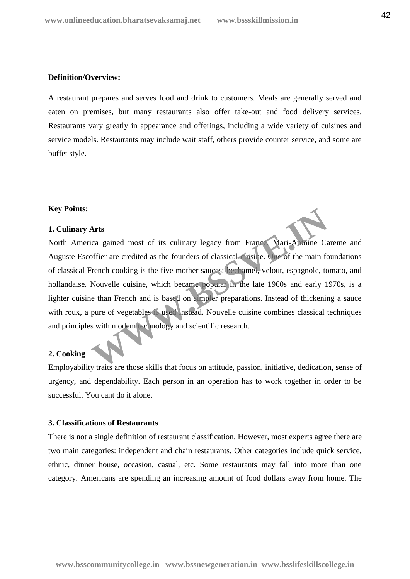## **Definition/Overview:**

A restaurant prepares and serves food and drink to customers. Meals are generally served and eaten on premises, but many restaurants also offer take-out and food delivery services. Restaurants vary greatly in appearance and offerings, including a wide variety of cuisines and service models. Restaurants may include wait staff, others provide counter service, and some are buffet style.

# **Key Points:**

# **1. Culinary Arts**

North America gained most of its culinary legacy from France. Mari-Antoine Careme and Auguste Escoffier are credited as the founders of classical cuisine. One of the main foundations of classical French cooking is the five mother sauces: bechamel, velout, espagnole, tomato, and hollandaise. Nouvelle cuisine, which became popular in the late 1960s and early 1970s, is a lighter cuisine than French and is based on simpler preparations. Instead of thickening a sauce with roux, a pure of vegetables is used instead. Nouvelle cuisine combines classical techniques and principles with modem technology and scientific research. Arts<br>
ica gained most of its culinary legacy from France Mari-Antoine Car<br>
offier are credited as the founders of classical visine. One of the main for<br>
irench cooking is the five mother sauces: bechamel, velout, espagnole

# **2. Cooking**

Employability traits are those skills that focus on attitude, passion, initiative, dedication, sense of urgency, and dependability. Each person in an operation has to work together in order to be successful. You cant do it alone.

#### **3. Classifications of Restaurants**

There is not a single definition of restaurant classification. However, most experts agree there are two main categories: independent and chain restaurants. Other categories include quick service, ethnic, dinner house, occasion, casual, etc. Some restaurants may fall into more than one category. Americans are spending an increasing amount of food dollars away from home. The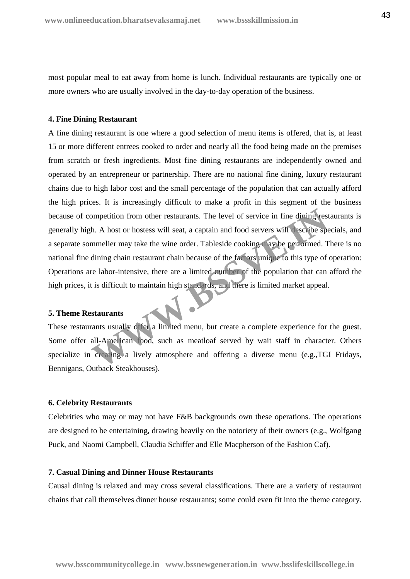most popular meal to eat away from home is lunch. Individual restaurants are typically one or more owners who are usually involved in the day-to-day operation of the business.

#### **4. Fine Dining Restaurant**

A fine dining restaurant is one where a good selection of menu items is offered, that is, at least 15 or more different entrees cooked to order and nearly all the food being made on the premises from scratch or fresh ingredients. Most fine dining restaurants are independently owned and operated by an entrepreneur or partnership. There are no national fine dining, luxury restaurant chains due to high labor cost and the small percentage of the population that can actually afford the high prices. It is increasingly difficult to make a profit in this segment of the business because of competition from other restaurants. The level of service in fine dining restaurants is generally high. A host or hostess will seat, a captain and food servers will describe specials, and a separate sommelier may take the wine order. Tableside cooking may be performed. There is no national fine dining chain restaurant chain because of the factors unique to this type of operation: Operations are labor-intensive, there are a limited number of the population that can afford the high prices, it is difficult to maintain high standards, and there is limited market appeal. ompetition from other restaurants. The level of service in fine dining rest<br>h. A host or hostess will seat, a captain and food servers will describe speemmelier may take the wine order. Tableside cooking in ay be performed

#### **5. Theme Restaurants**

These restaurants usually offer a limited menu, but create a complete experience for the guest. Some offer all-American food, such as meatloaf served by wait staff in character. Others specialize in creating a lively atmosphere and offering a diverse menu (e.g.,TGI Fridays, Bennigans, Outback Steakhouses).

#### **6. Celebrity Restaurants**

Celebrities who may or may not have F&B backgrounds own these operations. The operations are designed to be entertaining, drawing heavily on the notoriety of their owners (e.g., Wolfgang Puck, and Naomi Campbell, Claudia Schiffer and Elle Macpherson of the Fashion Caf).

#### **7. Casual Dining and Dinner House Restaurants**

Causal dining is relaxed and may cross several classifications. There are a variety of restaurant chains that call themselves dinner house restaurants; some could even fit into the theme category.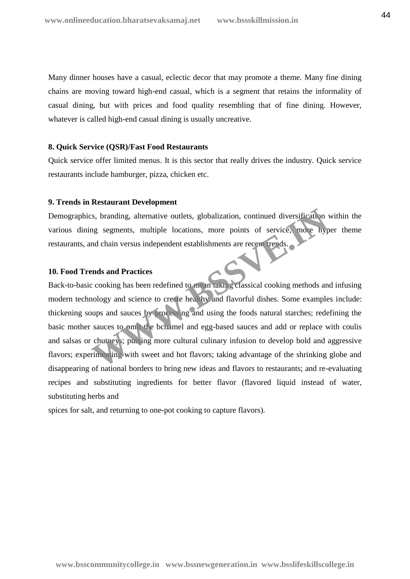Many dinner houses have a casual, eclectic decor that may promote a theme. Many fine dining chains are moving toward high-end casual, which is a segment that retains the informality of casual dining, but with prices and food quality resembling that of fine dining. However, whatever is called high-end casual dining is usually uncreative.

#### **8. Quick Service (QSR)/Fast Food Restaurants**

Quick service offer limited menus. It is this sector that really drives the industry. Quick service restaurants include hamburger, pizza, chicken etc.

# **9. Trends in Restaurant Development**

Demographics, branding, alternative outlets, globalization, continued diversification within the various dining segments, multiple locations, more points of service, more hyper theme restaurants, and chain versus independent establishments are recent trends.

# **10. Food Trends and Practices**

Back-to-basic cooking has been redefined to mean taking classical cooking methods and infusing modern technology and science to create healthy and flavorful dishes. Some examples include: thickening soups and sauces by processing and using the foods natural starches; redefining the basic mother sauces to omit the bchamel and egg-based sauces and add or replace with coulis and salsas or chutneys; pursing more cultural culinary infusion to develop bold and aggressive flavors; experimenting with sweet and hot flavors; taking advantage of the shrinking globe and disappearing of national borders to bring new ideas and flavors to restaurants; and re-evaluating recipes and substituting ingredients for better flavor (flavored liquid instead of water, substituting herbs and In the best and the set all the set all the set all the set all the set all the set all the set all the set all the set all the set all the set all the set all the set all the set all the set all the set all the set all th

spices for salt, and returning to one-pot cooking to capture flavors).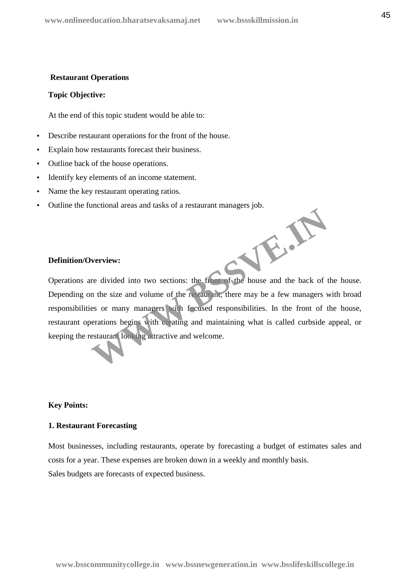#### **Restaurant Operations**

#### **Topic Objective:**

At the end of this topic student would be able to:

- Describe restaurant operations for the front of the house.
- Explain how restaurants forecast their business.
- Outline back of the house operations.
- Identify key elements of an income statement.
- Name the key restaurant operating ratios.
- Outline the functional areas and tasks of a restaurant managers job.

# **Definition/Overview:**

Operations are divided into two sections: the front of the house and the back of the house. Depending on the size and volume of the restaurant, there may be a few managers with broad responsibilities or many managers with focused responsibilities. In the front of the house, restaurant operations begins with creating and maintaining what is called curbside appeal, or keeping the restaurant looking attractive and welcome. WE.A.

# **Key Points:**

# **1. Restaurant Forecasting**

Most businesses, including restaurants, operate by forecasting a budget of estimates sales and costs for a year. These expenses are broken down in a weekly and monthly basis. Sales budgets are forecasts of expected business.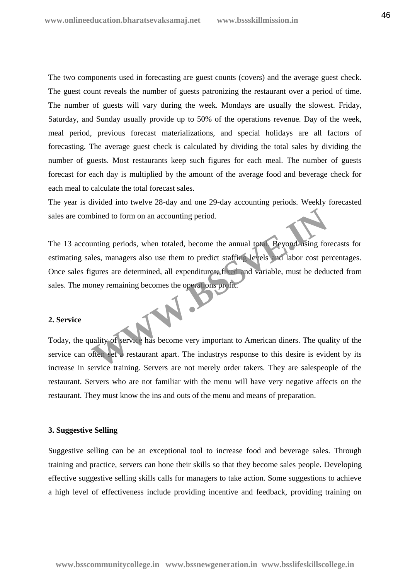The two components used in forecasting are guest counts (covers) and the average guest check. The guest count reveals the number of guests patronizing the restaurant over a period of time. The number of guests will vary during the week. Mondays are usually the slowest. Friday, Saturday, and Sunday usually provide up to 50% of the operations revenue. Day of the week, meal period, previous forecast materializations, and special holidays are all factors of forecasting. The average guest check is calculated by dividing the total sales by dividing the number of guests. Most restaurants keep such figures for each meal. The number of guests forecast for each day is multiplied by the amount of the average food and beverage check for each meal to calculate the total forecast sales.

The year is divided into twelve 28-day and one 29-day accounting periods. Weekly forecasted sales are combined to form on an accounting period.

The 13 accounting periods, when totaled, become the annual total. Beyond using forecasts for estimating sales, managers also use them to predict staffing levels and labor cost percentages. Once sales figures are determined, all expenditures, fixed and variable, must be deducted from sales. The money remaining becomes the operations profit. whined to form on an accounting period.<br>
unting periods, when totaled, become the annual total Reyond using for<br>
les, managers also use them to predict staffing levels and labor cost pe<br>
gures are determined, all expenditu

#### **2. Service**

Today, the quality of service has become very important to American diners. The quality of the service can often set a restaurant apart. The industrys response to this desire is evident by its increase in service training. Servers are not merely order takers. They are salespeople of the restaurant. Servers who are not familiar with the menu will have very negative affects on the restaurant. They must know the ins and outs of the menu and means of preparation.

#### **3. Suggestive Selling**

Suggestive selling can be an exceptional tool to increase food and beverage sales. Through training and practice, servers can hone their skills so that they become sales people. Developing effective suggestive selling skills calls for managers to take action. Some suggestions to achieve a high level of effectiveness include providing incentive and feedback, providing training on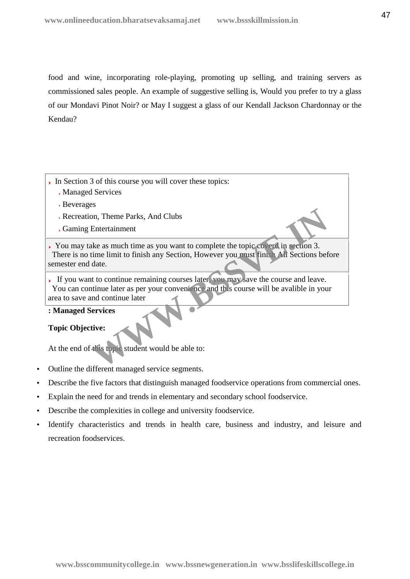food and wine, incorporating role-playing, promoting up selling, and training servers as commissioned sales people. An example of suggestive selling is, Would you prefer to try a glass of our Mondavi Pinot Noir? or May I suggest a glass of our Kendall Jackson Chardonnay or the Kendau?

- In Section 3 of this course you will cover these topics:
	- Managed Services
	- Beverages
	- Recreation, Theme Parks, And Clubs
	- Gaming Entertainment

You may take as much time as you want to complete the topic coverd in section 3. There is no time limit to finish any Section, However you must finish All Sections before semester end date. Find The Parks, And Clubs<br>
Entertainment<br>
Re as much time as you want to complete the topic coverd in section 3.<br>
time limit to finish any Section, However you must finis. All Sections bef<br>
date.<br>
It to continue remaining

If you want to continue remaining courses later, you may save the course and leave. You can continue later as per your convenience and this course will be avalible in your area to save and continue later

# **: Managed Services**

# **Topic Objective:**

At the end of this topic student would be able to:

- Outline the different managed service segments.
- Describe the five factors that distinguish managed foodservice operations from commercial ones.
- Explain the need for and trends in elementary and secondary school foodservice.
- Describe the complexities in college and university foodservice.
- Identify characteristics and trends in health care, business and industry, and leisure and recreation foodservices.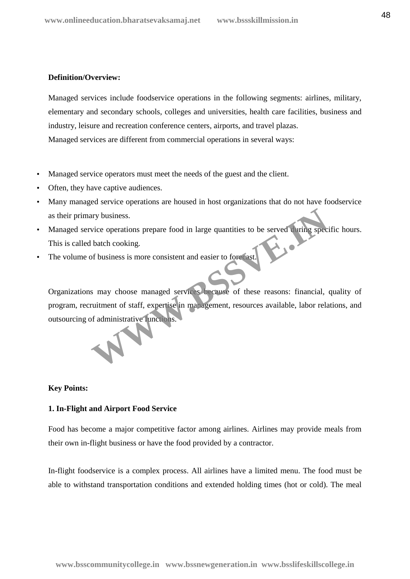# **Definition/Overview:**

Managed services include foodservice operations in the following segments: airlines, military, elementary and secondary schools, colleges and universities, health care facilities, business and industry, leisure and recreation conference centers, airports, and travel plazas. Managed services are different from commercial operations in several ways:

- Managed service operators must meet the needs of the guest and the client.
- Often, they have captive audiences.
- Many managed service operations are housed in host organizations that do not have foodservice as their primary business.
- Managed service operations prepare food in large quantities to be served during specific hours. This is called batch cooking.
- The volume of business is more consistent and easier to forecast.

Organizations may choose managed services because of these reasons: financial, quality of program, recruitment of staff, expertise in management, resources available, labor relations, and outsourcing of administrative functions. France de Contraster de la large quantities to be served thring specified batch cooking.<br>
So batch cooking.<br>
So business is more consistent and easier to forecast.<br>
So business is more consistent and easier to forecast.<br>
S

# **Key Points:**

# **1. In-Flight and Airport Food Service**

Food has become a major competitive factor among airlines. Airlines may provide meals from their own in-flight business or have the food provided by a contractor.

In-flight foodservice is a complex process. All airlines have a limited menu. The food must be able to withstand transportation conditions and extended holding times (hot or cold). The meal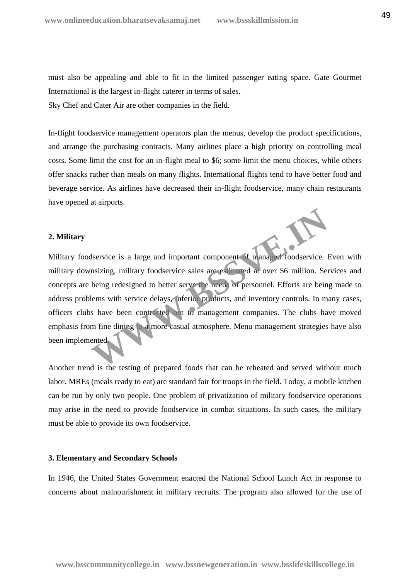must also be appealing and able to fit in the limited passenger eating space. Gate Gourmet International is the largest in-flight caterer in terms of sales. Sky Chef and Cater Air are other companies in the field.

In-flight foodservice management operators plan the menus, develop the product specifications, and arrange the purchasing contracts. Many airlines place a high priority on controlling meal costs. Some limit the cost for an in-flight meal to \$6; some limit the menu choices, while others offer snacks rather than meals on many flights. International flights tend to have better food and beverage service. As airlines have decreased their in-flight foodservice, many chain restaurants have opened at airports.

#### **2. Military**

Military foodservice is a large and important component of managed foodservice. Even with military downsizing, military foodservice sales are estimated at over \$6 million. Services and concepts are being redesigned to better serve the needs of personnel. Efforts are being made to address problems with service delays, inferior products, and inventory controls. In many cases, officers clubs have been contracted out to management companies. The clubs have moved emphasis from fine dining to a more casual atmosphere. Menu management strategies have also been implemented. Managed is a large and important component of managed foodservice. I<br>
Insizing, military foodservice sales are estimated at over \$6 million. Set<br>
being redesigned to better serve the need of personnel. Efforts are bein<br>
le

Another trend is the testing of prepared foods that can be reheated and served without much labor. MREs (meals ready to eat) are standard fair for troops in the field. Today, a mobile kitchen can be run by only two people. One problem of privatization of military foodservice operations may arise in the need to provide foodservice in combat situations. In such cases, the military must be able to provide its own foodservice.

# **3. Elementary and Secondary Schools**

In 1946, the United States Government enacted the National School Lunch Act in response to concerns about malnourishment in military recruits. The program also allowed for the use of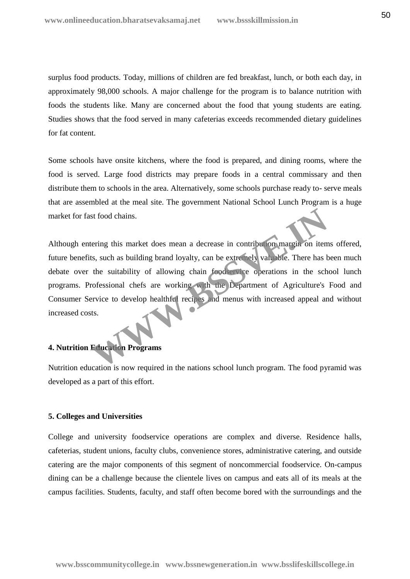surplus food products. Today, millions of children are fed breakfast, lunch, or both each day, in approximately 98,000 schools. A major challenge for the program is to balance nutrition with foods the students like. Many are concerned about the food that young students are eating. Studies shows that the food served in many cafeterias exceeds recommended dietary guidelines for fat content.

Some schools have onsite kitchens, where the food is prepared, and dining rooms, where the food is served. Large food districts may prepare foods in a central commissary and then distribute them to schools in the area. Alternatively, some schools purchase ready to- serve meals that are assembled at the meal site. The government National School Lunch Program is a huge market for fast food chains.

Although entering this market does mean a decrease in contribution margin on items offered, future benefits, such as building brand loyalty, can be extremely valuable. There has been much debate over the suitability of allowing chain foodservice operations in the school lunch programs. Professional chefs are working with the Department of Agriculture's Food and Consumer Service to develop healthful recipes and menus with increased appeal and without increased costs. Intering this market does mean a decrease in contribution margin on item<br>ts, such as building brand loyalty, can be extremely valuable. There has t<br>the suitability of allowing chain federal redependions in the sch<br>rofessio

#### **4. Nutrition Education Programs**

Nutrition education is now required in the nations school lunch program. The food pyramid was developed as a part of this effort.

#### **5. Colleges and Universities**

College and university foodservice operations are complex and diverse. Residence halls, cafeterias, student unions, faculty clubs, convenience stores, administrative catering, and outside catering are the major components of this segment of noncommercial foodservice. On-campus dining can be a challenge because the clientele lives on campus and eats all of its meals at the campus facilities. Students, faculty, and staff often become bored with the surroundings and the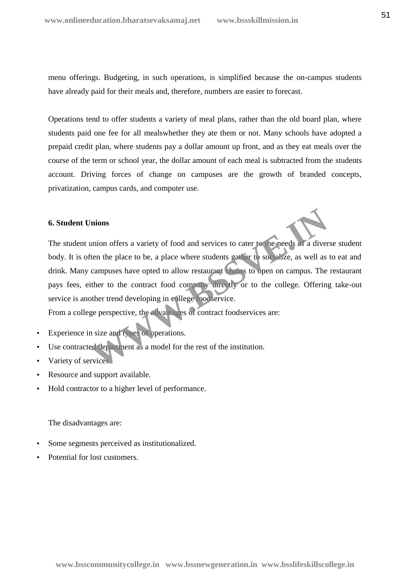menu offerings. Budgeting, in such operations, is simplified because the on-campus students have already paid for their meals and, therefore, numbers are easier to forecast.

Operations tend to offer students a variety of meal plans, rather than the old board plan, where students paid one fee for all mealswhether they ate them or not. Many schools have adopted a prepaid credit plan, where students pay a dollar amount up front, and as they eat meals over the course of the term or school year, the dollar amount of each meal is subtracted from the students account. Driving forces of change on campuses are the growth of branded concepts, privatization, campus cards, and computer use.

# **6. Student Unions**

The student union offers a variety of food and services to cater to the needs of a diverse student body. It is often the place to be, a place where students gather to socialize, as well as to eat and drink. Many campuses have opted to allow restaurant chains to open on campus. The restaurant pays fees, either to the contract food company directly or to the college. Offering take-out service is another trend developing in college foodservice. mions<br>
union offers a variety of food and services to cater to the needs of a diver<br>
ten the place to be, a place where students gather to socialize, as well as<br>
campuses have opted to allow restaurant chains to open on ca

From a college perspective, the advantages of contract foodservices are:

- Experience in size and types of operations.
- Use contracted department as a model for the rest of the institution.
- Variety of services.
- Resource and support available.
- Hold contractor to a higher level of performance.

The disadvantages are:

- Some segments perceived as institutionalized.
- Potential for lost customers.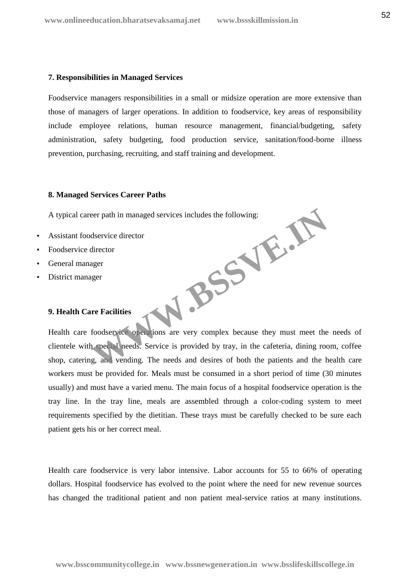#### **7. Responsibilities in Managed Services**

Foodservice managers responsibilities in a small or midsize operation are more extensive than those of managers of larger operations. In addition to foodservice, key areas of responsibility include employee relations, human resource management, financial/budgeting, safety administration, safety budgeting, food production service, sanitation/food-borne illness prevention, purchasing, recruiting, and staff training and development.

#### **8. Managed Services Career Paths**

A typical career path in managed services includes the following:

- Assistant foodservice director
- Foodservice director
- General manager
- District manager

# **9. Health Care Facilities**

Health care foodservice operations are very complex because they must meet the needs of clientele with special needs. Service is provided by tray, in the cafeteria, dining room, coffee shop, catering, and vending. The needs and desires of both the patients and the health care workers must be provided for. Meals must be consumed in a short period of time (30 minutes usually) and must have a varied menu. The main focus of a hospital foodservice operation is the tray line. In the tray line, meals are assembled through a color-coding system to meet requirements specified by the dietitian. These trays must be carefully checked to be sure each patient gets his or her correct meal. **WASSER** 

Health care foodservice is very labor intensive. Labor accounts for 55 to 66% of operating dollars. Hospital foodservice has evolved to the point where the need for new revenue sources has changed the traditional patient and non patient meal-service ratios at many institutions.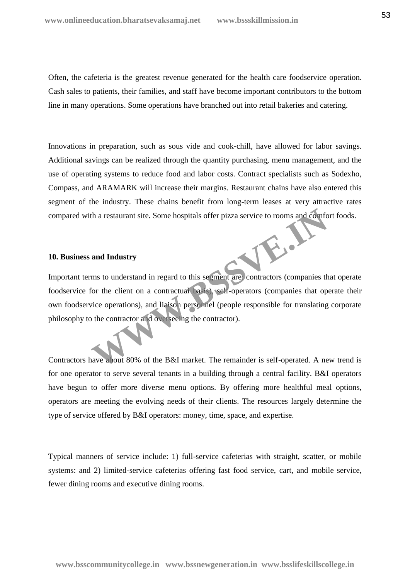Often, the cafeteria is the greatest revenue generated for the health care foodservice operation. Cash sales to patients, their families, and staff have become important contributors to the bottom line in many operations. Some operations have branched out into retail bakeries and catering.

Innovations in preparation, such as sous vide and cook-chill, have allowed for labor savings. Additional savings can be realized through the quantity purchasing, menu management, and the use of operating systems to reduce food and labor costs. Contract specialists such as Sodexho, Compass, and ARAMARK will increase their margins. Restaurant chains have also entered this segment of the industry. These chains benefit from long-term leases at very attractive rates compared with a restaurant site. Some hospitals offer pizza service to rooms and comfort foods.

#### **10. Business and Industry**

Important terms to understand in regard to this segment are: contractors (companies that operate foodservice for the client on a contractual basis), self-operators (companies that operate their own foodservice operations), and liaison personnel (people responsible for translating corporate philosophy to the contractor and overseeing the contractor). th a restaurant site. Some hospitals offer pizza service to rooms and comfort<br>and Industry<br>ms to understand in regard to this segment are contractors (companies the<br>for the client on a contractual passe), self-operators (c

Contractors have about 80% of the B&I market. The remainder is self-operated. A new trend is for one operator to serve several tenants in a building through a central facility. B&I operators have begun to offer more diverse menu options. By offering more healthful meal options, operators are meeting the evolving needs of their clients. The resources largely determine the type of service offered by B&I operators: money, time, space, and expertise.

Typical manners of service include: 1) full-service cafeterias with straight, scatter, or mobile systems: and 2) limited-service cafeterias offering fast food service, cart, and mobile service, fewer dining rooms and executive dining rooms.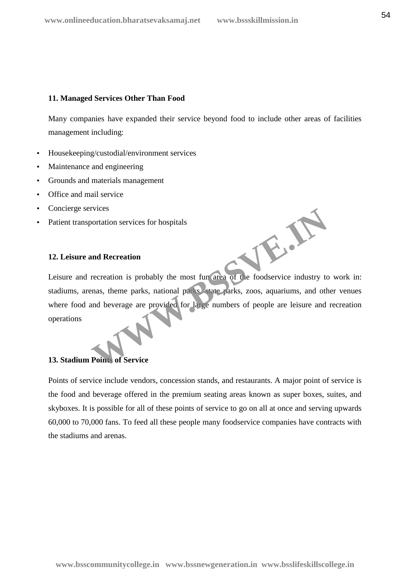# **11. Managed Services Other Than Food**

Many companies have expanded their service beyond food to include other areas of facilities management including:

- Housekeeping/custodial/environment services
- Maintenance and engineering
- Grounds and materials management
- Office and mail service
- Concierge services
- Patient transportation services for hospitals

# **12. Leisure and Recreation**

Leisure and recreation is probably the most fun area of the foodservice industry to work in: stadiums, arenas, theme parks, national parks, state parks, zoos, aquariums, and other venues where food and beverage are provided for large numbers of people are leisure and recreation operations

W.B.

# **13. Stadium Points of Service**

Points of service include vendors, concession stands, and restaurants. A major point of service is the food and beverage offered in the premium seating areas known as super boxes, suites, and skyboxes. It is possible for all of these points of service to go on all at once and serving upwards 60,000 to 70,000 fans. To feed all these people many foodservice companies have contracts with the stadiums and arenas.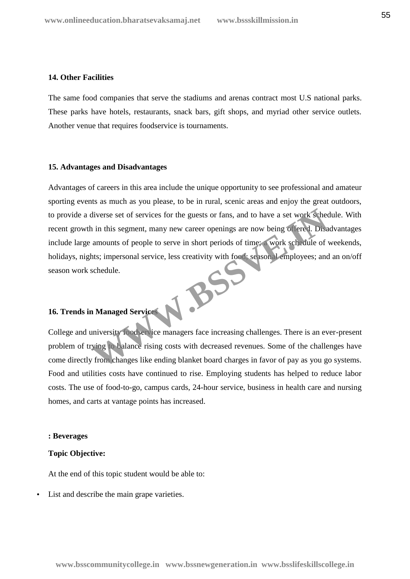# **14. Other Facilities**

The same food companies that serve the stadiums and arenas contract most U.S national parks. These parks have hotels, restaurants, snack bars, gift shops, and myriad other service outlets. Another venue that requires foodservice is tournaments.

#### **15. Advantages and Disadvantages**

Advantages of careers in this area include the unique opportunity to see professional and amateur sporting events as much as you please, to be in rural, scenic areas and enjoy the great outdoors, to provide a diverse set of services for the guests or fans, and to have a set work schedule. With recent growth in this segment, many new career openings are now being offered. Disadvantages include large amounts of people to serve in short periods of time; a work schedule of weekends, holidays, nights; impersonal service, less creativity with food; seasonal employees; and an on/off season work schedule. **WWW.BSSVE.IN**

# **16. Trends in Managed Services**

College and university foodservice managers face increasing challenges. There is an ever-present problem of trying to balance rising costs with decreased revenues. Some of the challenges have come directly from changes like ending blanket board charges in favor of pay as you go systems. Food and utilities costs have continued to rise. Employing students has helped to reduce labor costs. The use of food-to-go, campus cards, 24-hour service, business in health care and nursing homes, and carts at vantage points has increased.

#### **: Beverages**

#### **Topic Objective:**

At the end of this topic student would be able to:

List and describe the main grape varieties.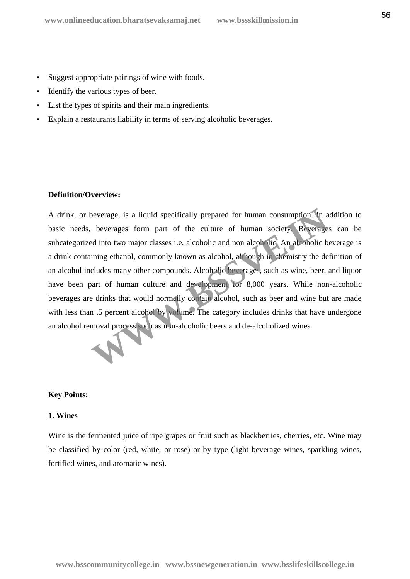- Suggest appropriate pairings of wine with foods.
- Identify the various types of beer.
- List the types of spirits and their main ingredients.
- Explain a restaurants liability in terms of serving alcoholic beverages.

# **Definition/Overview:**

A drink, or beverage, is a liquid specifically prepared for human consumption. In addition to basic needs, beverages form part of the culture of human society. Beverages can be subcategorized into two major classes i.e. alcoholic and non alcoholic. An alcoholic beverage is a drink containing ethanol, commonly known as alcohol, although in chemistry the definition of an alcohol includes many other compounds. Alcoholic beverages, such as wine, beer, and liquor have been part of human culture and development for 8,000 years. While non-alcoholic beverages are drinks that would normally contain alcohol, such as beer and wine but are made with less than .5 percent alcohol by volume. The category includes drinks that have undergone an alcohol removal process such as non-alcoholic beers and de-alcoholized wines. beverage, is a liquid specifically prepared for human consumption. In a beverages form part of the culture of human society. Beverage ed into two major classes i.e. alcoholic and non alcoholic. An alcoholic bining ethanol,

# **Key Points:**

# **1. Wines**

Wine is the fermented juice of ripe grapes or fruit such as blackberries, cherries, etc. Wine may be classified by color (red, white, or rose) or by type (light beverage wines, sparkling wines, fortified wines, and aromatic wines).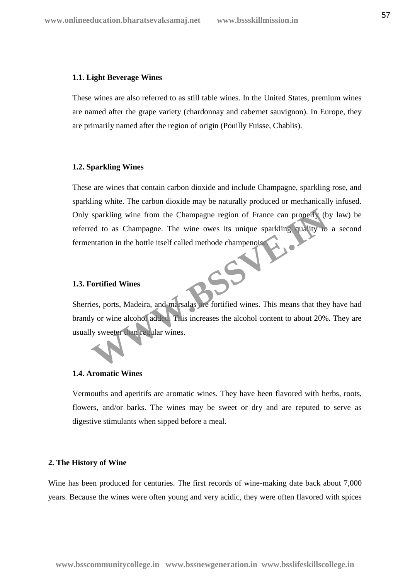#### **1.1. Light Beverage Wines**

These wines are also referred to as still table wines. In the United States, premium wines are named after the grape variety (chardonnay and cabernet sauvignon). In Europe, they are primarily named after the region of origin (Pouilly Fuisse, Chablis).

#### **1.2. Sparkling Wines**

These are wines that contain carbon dioxide and include Champagne, sparkling rose, and sparkling white. The carbon dioxide may be naturally produced or mechanically infused. Only sparkling wine from the Champagne region of France can properly (by law) be referred to as Champagne. The wine owes its unique sparkling quality to a second fermentation in the bottle itself called methode champenoise. sparkling wine from the Champagne region of France can properly (b<br>ed to as Champagne. The wine owes its unique sparkling quality to<br>matation in the bottle itself called methode champenois<br>**Continued Winds**<br>Contribution in

#### **1.3. Fortified Wines**

Sherries, ports, Madeira, and marsalas are fortified wines. This means that they have had brandy or wine alcohol added. This increases the alcohol content to about 20%. They are usually sweeter than regular wines.

# **1.4. Aromatic Wines**

Vermouths and aperitifs are aromatic wines. They have been flavored with herbs, roots, flowers, and/or barks. The wines may be sweet or dry and are reputed to serve as digestive stimulants when sipped before a meal.

# **2. The History of Wine**

Wine has been produced for centuries. The first records of wine-making date back about 7,000 years. Because the wines were often young and very acidic, they were often flavored with spices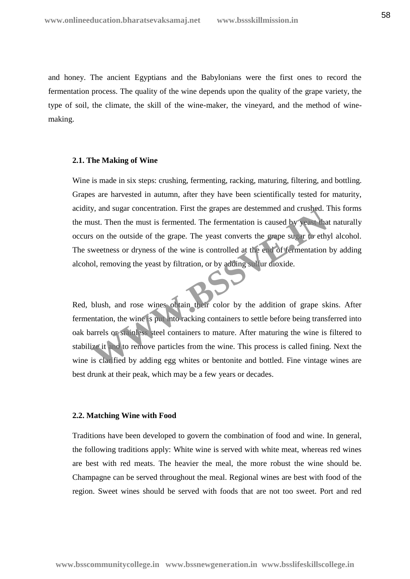and honey. The ancient Egyptians and the Babylonians were the first ones to record the fermentation process. The quality of the wine depends upon the quality of the grape variety, the type of soil, the climate, the skill of the wine-maker, the vineyard, and the method of wine making.

#### **2.1. The Making of Wine**

Wine is made in six steps: crushing, fermenting, racking, maturing, filtering, and bottling. Grapes are harvested in autumn, after they have been scientifically tested for maturity, acidity, and sugar concentration. First the grapes are destemmed and crushed. This forms the must. Then the must is fermented. The fermentation is caused by yeast that naturally occurs on the outside of the grape. The yeast converts the grape sugar to ethyl alcohol. The sweetness or dryness of the wine is controlled at the end of fermentation by adding alcohol, removing the yeast by filtration, or by adding sulfur dioxide.

Red, blush, and rose wines obtain their color by the addition of grape skins. After fermentation, the wine is put into racking containers to settle before being transferred into oak barrels or stainless steel containers to mature. After maturing the wine is filtered to stabilize it and to remove particles from the wine. This process is called fining. Next the wine is clarified by adding egg whites or bentonite and bottled. Fine vintage wines are best drunk at their peak, which may be a few years or decades. We shall also the must is fermentation. First the grapes are destemmed and cruspled. I<br>
ust. Then the must is fermented. The fermentation is caused by years that<br>
s on the outside of the grape. The yeast converts the grape

#### **2.2. Matching Wine with Food**

Traditions have been developed to govern the combination of food and wine. In general, the following traditions apply: White wine is served with white meat, whereas red wines are best with red meats. The heavier the meal, the more robust the wine should be. Champagne can be served throughout the meal. Regional wines are best with food of the region. Sweet wines should be served with foods that are not too sweet. Port and red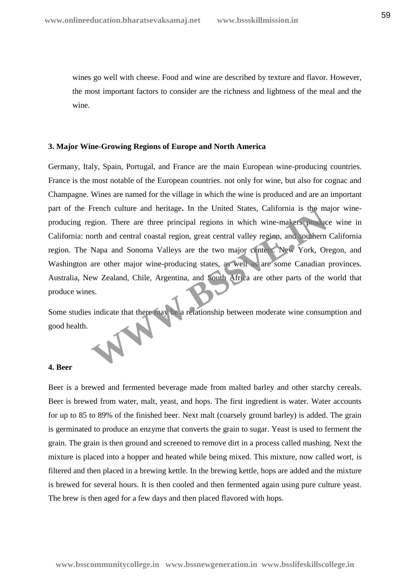wines go well with cheese. Food and wine are described by texture and flavor. However, the most important factors to consider are the richness and lightness of the meal and the wine.

## **3. Major Wine-Growing Regions of Europe and North America**

Germany, Italy, Spain, Portugal, and France are the main European wine-producing countries. France is the most notable of the European countries. not only for wine, but also for cognac and Champagne. Wines are named for the village in which the wine is produced and are an important part of the French culture and heritage**.** In the United States, California is the major wine producing region. There are three principal regions in which wine-makers produce wine in California: north and central coastal region, great central valley region, and southern California region. The Napa and Sonoma Valleys are the two major centers. New York, Oregon, and Washington are other major wine-producing states, as well as are some Canadian provinces. Australia, New Zealand, Chile, Argentina, and South Africa are other parts of the world that produce wines. French culture and nertrage. In the United States, California is the magion. There are three principal regions in which wine-makers product<br>gion. There are three principal region, great central valley region, and southern<br>

Some studies indicate that there may be a relationship between moderate wine consumption and good health.

# **4. Beer**

Beer is a brewed and fermented beverage made from malted barley and other starchy cereals. Beer is brewed from water, malt, yeast, and hops. The first ingredient is water. Water accounts for up to 85 to 89% of the finished beer. Next malt (coarsely ground barley) is added. The grain is germinated to produce an enzyme that converts the grain to sugar. Yeast is used to ferment the grain. The grain is then ground and screened to remove dirt in a process called mashing. Next the mixture is placed into a hopper and heated while being mixed. This mixture, now called wort, is filtered and then placed in a brewing kettle. In the brewing kettle, hops are added and the mixture is brewed for several hours. It is then cooled and then fermented again using pure culture yeast. The brew is then aged for a few days and then placed flavored with hops.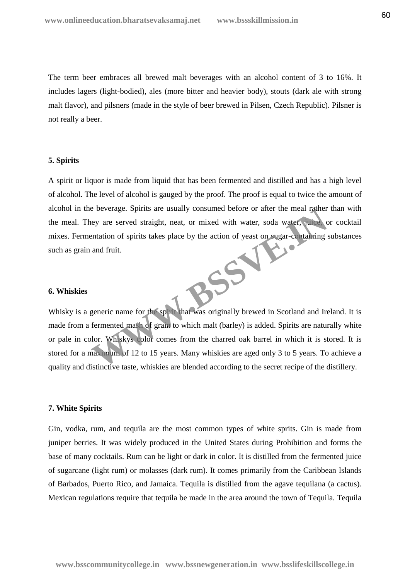The term beer embraces all brewed malt beverages with an alcohol content of 3 to 16%. It includes lagers (light-bodied), ales (more bitter and heavier body), stouts (dark ale with strong malt flavor), and pilsners (made in the style of beer brewed in Pilsen, Czech Republic). Pilsner is not really a beer.

#### **5. Spirits**

A spirit or liquor is made from liquid that has been fermented and distilled and has a high level of alcohol. The level of alcohol is gauged by the proof. The proof is equal to twice the amount of alcohol in the beverage. Spirits are usually consumed before or after the meal rather than with the meal. They are served straight, neat, or mixed with water, soda water, juice, or cocktail mixes. Fermentation of spirits takes place by the action of yeast on sugar-containing substances such as grain and fruit. **WWW.BSSVE.IN**

#### **6. Whiskies**

Whisky is a generic name for the spirit that was originally brewed in Scotland and Ireland. It is made from a fermented mash of grain to which malt (barley) is added. Spirits are naturally white or pale in color. Whiskys color comes from the charred oak barrel in which it is stored. It is stored for a maximum of 12 to 15 years. Many whiskies are aged only 3 to 5 years. To achieve a quality and distinctive taste, whiskies are blended according to the secret recipe of the distillery.

#### **7. White Spirits**

Gin, vodka, rum, and tequila are the most common types of white sprits. Gin is made from juniper berries. It was widely produced in the United States during Prohibition and forms the base of many cocktails. Rum can be light or dark in color. It is distilled from the fermented juice of sugarcane (light rum) or molasses (dark rum). It comes primarily from the Caribbean Islands of Barbados, Puerto Rico, and Jamaica. Tequila is distilled from the agave tequilana (a cactus). Mexican regulations require that tequila be made in the area around the town of Tequila. Tequila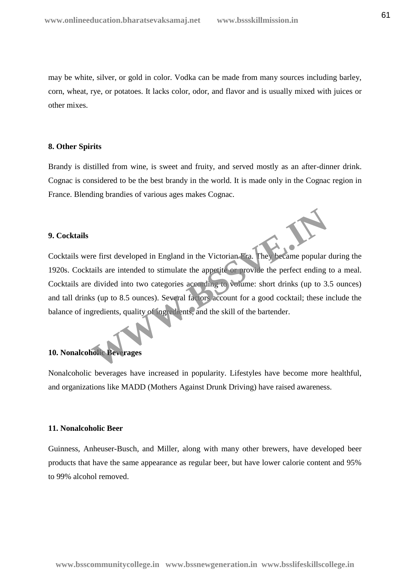may be white, silver, or gold in color. Vodka can be made from many sources including barley, corn, wheat, rye, or potatoes. It lacks color, odor, and flavor and is usually mixed with juices or other mixes.

# **8. Other Spirits**

Brandy is distilled from wine, is sweet and fruity, and served mostly as an after-dinner drink. Cognac is considered to be the best brandy in the world. It is made only in the Cognac region in France. Blending brandies of various ages makes Cognac.

# **9. Cocktails**

Cocktails were first developed in England in the Victorian Era. They became popular during the 1920s. Cocktails are intended to stimulate the appetite or provide the perfect ending to a meal. Cocktails are divided into two categories according to volume: short drinks (up to 3.5 ounces) and tall drinks (up to 8.5 ounces). Several factors account for a good cocktail; these include the balance of ingredients, quality of ingredients, and the skill of the bartender. The first developed in England in the Victorian Fra. They became popular<br>ails are intended to stimulate the appetite or provide the perfect ending<br>divided into two categories according to volume: short drinks (up to 3.<br>as

# **10. Nonalcoholic Beverages**

Nonalcoholic beverages have increased in popularity. Lifestyles have become more healthful, and organizations like MADD (Mothers Against Drunk Driving) have raised awareness.

# **11. Nonalcoholic Beer**

Guinness, Anheuser-Busch, and Miller, along with many other brewers, have developed beer products that have the same appearance as regular beer, but have lower calorie content and 95% to 99% alcohol removed.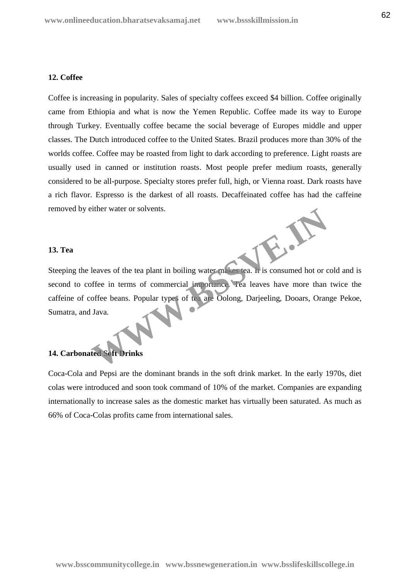# **12. Coffee**

Coffee is increasing in popularity. Sales of specialty coffees exceed \$4 billion. Coffee originally came from Ethiopia and what is now the Yemen Republic. Coffee made its way to Europe through Turkey. Eventually coffee became the social beverage of Europes middle and upper classes. The Dutch introduced coffee to the United States. Brazil produces more than 30% of the worlds coffee. Coffee may be roasted from light to dark according to preference. Light roasts are usually used in canned or institution roasts. Most people prefer medium roasts, generally considered to be all-purpose. Specialty stores prefer full, high, or Vienna roast. Dark roasts have a rich flavor. Espresso is the darkest of all roasts. Decaffeinated coffee has had the caffeine removed by either water or solvents.

# **13. Tea**

Steeping the leaves of the tea plant in boiling water makes tea. It is consumed hot or cold and is second to coffee in terms of commercial importance. Tea leaves have more than twice the caffeine of coffee beans. Popular types of tea are Oolong, Darjeeling, Dooars, Orange Pekoe, Sumatra, and Java. Extract of solvents.<br>
Leaves of the tea plant in boiling water makes tea. It is consumed hot or c<br>
offee in terms of commercial importance. Tea leaves have more than<br>
offee beans. Popular types of tea are Oolong, Darjeelin

# **14. Carbonated Soft Drinks**

Coca-Cola and Pepsi are the dominant brands in the soft drink market. In the early 1970s, diet colas were introduced and soon took command of 10% of the market. Companies are expanding internationally to increase sales as the domestic market has virtually been saturated. As much as 66% of Coca-Colas profits came from international sales.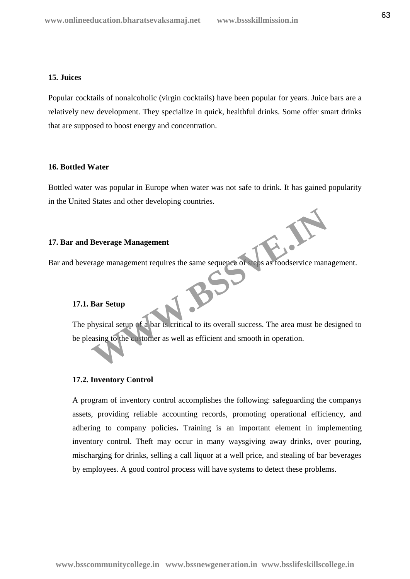# **15. Juices**

Popular cocktails of nonalcoholic (virgin cocktails) have been popular for years. Juice bars are a relatively new development. They specialize in quick, healthful drinks. Some offer smart drinks that are supposed to boost energy and concentration.

# **16. Bottled Water**

Bottled water was popular in Europe when water was not safe to drink. It has gained popularity in the United States and other developing countries.

# **17. Bar and Beverage Management**

Bar and beverage management requires the same sequence of steps as foodservice management.<br>17.1. Bar Setun

# **17.1. Bar Setup**

The physical setup of a bar is critical to its overall success. The area must be designed to be pleasing to the customer as well as efficient and smooth in operation. Beverage Management<br>
Trage management requires the same sequence of steps as foodservice management<br>
Bar Setup<br>
Mysical setup of a bar is critical to its overall success. The area must be determined<br>
to the extension as we

#### **17.2. Inventory Control**

A program of inventory control accomplishes the following: safeguarding the companys assets, providing reliable accounting records, promoting operational efficiency, and adhering to company policies**.** Training is an important element in implementing inventory control. Theft may occur in many waysgiving away drinks, over pouring, mischarging for drinks, selling a call liquor at a well price, and stealing of bar beverages by employees. A good control process will have systems to detect these problems.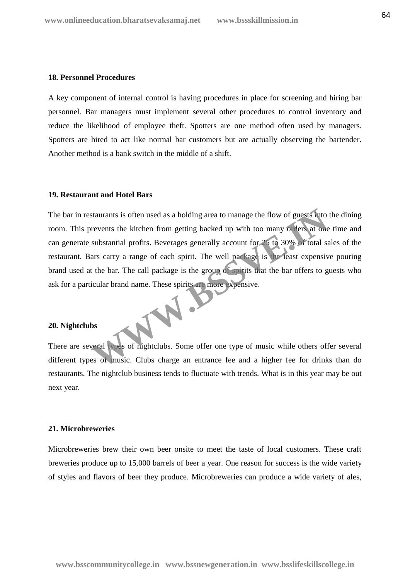# **18. Personnel Procedures**

A key component of internal control is having procedures in place for screening and hiring bar personnel. Bar managers must implement several other procedures to control inventory and reduce the likelihood of employee theft. Spotters are one method often used by managers. Spotters are hired to act like normal bar customers but are actually observing the bartender. Another method is a bank switch in the middle of a shift.

# **19. Restaurant and Hotel Bars**

The bar in restaurants is often used as a holding area to manage the flow of guests into the dining room. This prevents the kitchen from getting backed up with too many orders at one time and can generate substantial profits. Beverages generally account for 25 to 30% of total sales of the restaurant. Bars carry a range of each spirit. The well package is the least expensive pouring brand used at the bar. The call package is the group of spirits that the bar offers to guests who ask for a particular brand name. These spirits are more expensive. WWW.BS

#### **20. Nightclubs**

There are several types of nightclubs. Some offer one type of music while others offer several different types of music. Clubs charge an entrance fee and a higher fee for drinks than do restaurants. The nightclub business tends to fluctuate with trends. What is in this year may be out next year.

#### **21. Microbreweries**

Microbreweries brew their own beer onsite to meet the taste of local customers. These craft breweries produce up to 15,000 barrels of beer a year. One reason for success is the wide variety of styles and flavors of beer they produce. Microbreweries can produce a wide variety of ales,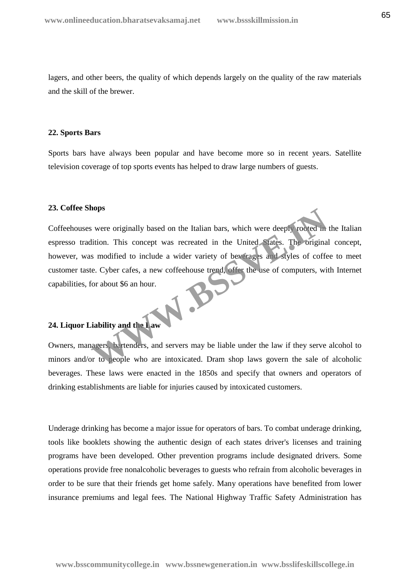lagers, and other beers, the quality of which depends largely on the quality of the raw materials and the skill of the brewer.

#### **22. Sports Bars**

Sports bars have always been popular and have become more so in recent years. Satellite television coverage of top sports events has helped to draw large numbers of guests.

# **23. Coffee Shops**

Coffeehouses were originally based on the Italian bars, which were deeply rooted in the Italian espresso tradition. This concept was recreated in the United States. The original concept, however, was modified to include a wider variety of beverages and styles of coffee to meet customer taste. Cyber cafes, a new coffeehouse trend, offer the use of computers, with Internet capabilities, for about \$6 an hour.<br>24 I internet capabilities, for about \$6 an hour. were originally based on the Italian bars, which were deeply rooted in<br>ition. This concept was recreated in the United States. The original<br>is modified to include a wider variety of beverages and styles of coffe<br>e. Cyber c

# **24. Liquor Liability and the Law**

Owners, managers, bartenders, and servers may be liable under the law if they serve alcohol to minors and/or to people who are intoxicated. Dram shop laws govern the sale of alcoholic beverages. These laws were enacted in the 1850s and specify that owners and operators of drinking establishments are liable for injuries caused by intoxicated customers.

Underage drinking has become a major issue for operators of bars. To combat underage drinking, tools like booklets showing the authentic design of each states driver's licenses and training programs have been developed. Other prevention programs include designated drivers. Some operations provide free nonalcoholic beverages to guests who refrain from alcoholic beverages in order to be sure that their friends get home safely. Many operations have benefited from lower insurance premiums and legal fees. The National Highway Traffic Safety Administration has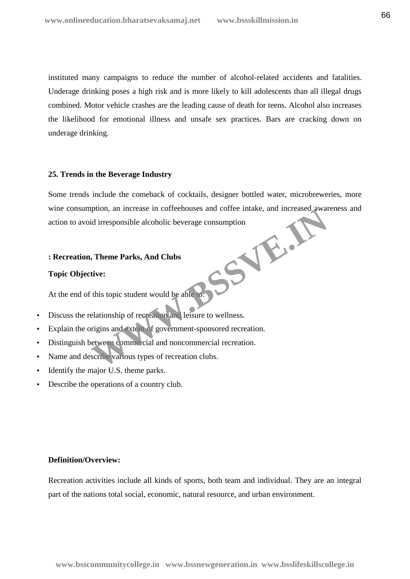instituted many campaigns to reduce the number of alcohol-related accidents and fatalities. Underage drinking poses a high risk and is more likely to kill adolescents than all illegal drugs combined. Motor vehicle crashes are the leading cause of death for teens. Alcohol also increases the likelihood for emotional illness and unsafe sex practices. Bars are cracking down on underage drinking.

# **25. Trends in the Beverage Industry**

Some trends include the comeback of cocktails, designer bottled water, microbreweries, more wine consumption, an increase in coffeehouses and coffee intake, and increased awareness and action to avoid irresponsible alcoholic beverage consumption **WWW.BSSVE.IN**

# **: Recreation, Theme Parks, And Clubs**

### **Topic Objective:**

At the end of this topic student would be able to:

- Discuss the relationship of recreation and leisure to wellness.
- Explain the origins and extent of government-sponsored recreation.
- Distinguish between commercial and noncommercial recreation.
- Name and describe various types of recreation clubs.
- Identify the major U.S. theme parks.
- Describe the operations of a country club.

#### **Definition/Overview:**

Recreation activities include all kinds of sports, both team and individual. They are an integral part of the nations total social, economic, natural resource, and urban environment.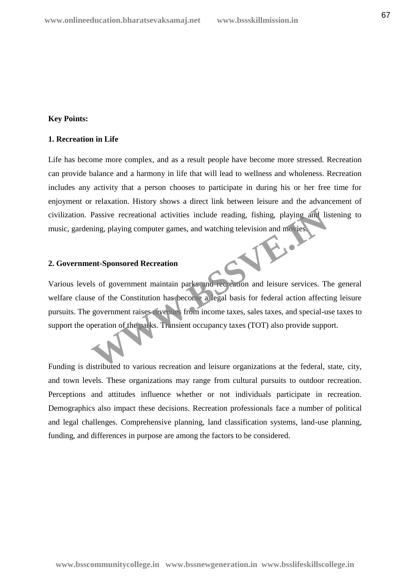# **Key Points:**

# **1. Recreation in Life**

Life has become more complex, and as a result people have become more stressed. Recreation can provide balance and a harmony in life that will lead to wellness and wholeness. Recreation includes any activity that a person chooses to participate in during his or her free time for enjoyment or relaxation. History shows a direct link between leisure and the advancement of civilization. Passive recreational activities include reading, fishing, playing and listening to music, gardening, playing computer games, and watching television and movies.

# **2. Government-Sponsored Recreation**

Various levels of government maintain parks and recreation and leisure services. The general welfare clause of the Constitution has become a legal basis for federal action affecting leisure pursuits. The government raises revenues from income taxes, sales taxes, and special-use taxes to support the operation of the parks. Transient occupancy taxes (TOT) also provide support. Passive recreational activities include reading, fishing, playing and living, playing computer games, and watching television and movies<br> **Example 18 Subset of the Constitution has become a legal basis for federal action a** 

Funding is distributed to various recreation and leisure organizations at the federal, state, city, and town levels. These organizations may range from cultural pursuits to outdoor recreation. Perceptions and attitudes influence whether or not individuals participate in recreation. Demographics also impact these decisions. Recreation professionals face a number of political and legal challenges. Comprehensive planning, land classification systems, land-use planning, funding, and differences in purpose are among the factors to be considered.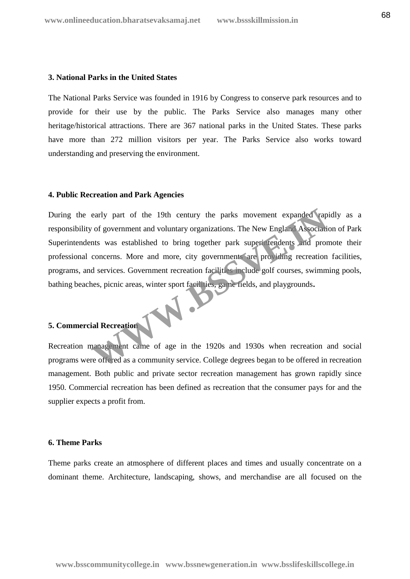## **3. National Parks in the United States**

The National Parks Service was founded in 1916 by Congress to conserve park resources and to provide for their use by the public. The Parks Service also manages many other heritage/historical attractions. There are 367 national parks in the United States. These parks have more than 272 million visitors per year. The Parks Service also works toward understanding and preserving the environment.

# **4. Public Recreation and Park Agencies**

During the early part of the 19th century the parks movement expanded rapidly as a responsibility of government and voluntary organizations. The New England Association of Park Superintendents was established to bring together park superintendents and promote their professional concerns. More and more, city governments are providing recreation facilities, programs, and services. Government recreation facilities include golf courses, swimming pools, bathing beaches, picnic areas, winter sport facilities, game fields, and playgrounds**.** early part of the 19th century the parks movement expanded rap of government and voluntary organizations. The New England Association<br>the was established to bring together park superi tendents and proc<br>concerns. More and m

# **5. Commercial Recreation**

Recreation management came of age in the 1920s and 1930s when recreation and social programs were offered as a community service. College degrees began to be offered in recreation management. Both public and private sector recreation management has grown rapidly since 1950. Commercial recreation has been defined as recreation that the consumer pays for and the supplier expects a profit from.

# **6. Theme Parks**

Theme parks create an atmosphere of different places and times and usually concentrate on a dominant theme. Architecture, landscaping, shows, and merchandise are all focused on the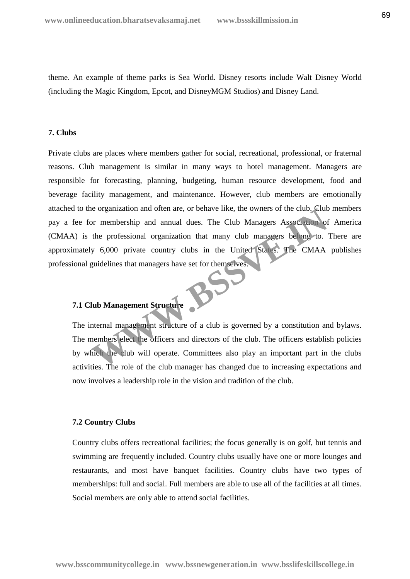theme. An example of theme parks is Sea World. Disney resorts include Walt Disney World (including the Magic Kingdom, Epcot, and DisneyMGM Studios) and Disney Land.

# **7. Clubs**

Private clubs are places where members gather for social, recreational, professional, or fraternal reasons. Club management is similar in many ways to hotel management. Managers are responsible for forecasting, planning, budgeting, human resource development, food and beverage facility management, and maintenance. However, club members are emotionally attached to the organization and often are, or behave like, the owners of the club. Club members pay a fee for membership and annual dues. The Club Managers Association of America (CMAA) is the professional organization that many club managers belong to. There are approximately 6,000 private country clubs in the United States. The CMAA publishes professional guidelines that managers have set for themselves. For membership and annual dues. The Club Managers Association of<br>the professional organization that many club Managers Association of<br>the professional organization that many club managers belong to.<br>y 6,000 private country

# **7.1 Club Management Structure**

The internal management structure of a club is governed by a constitution and bylaws. The members elect the officers and directors of the club. The officers establish policies by which the club will operate. Committees also play an important part in the clubs activities. The role of the club manager has changed due to increasing expectations and now involves a leadership role in the vision and tradition of the club.

# **7.2 Country Clubs**

Country clubs offers recreational facilities; the focus generally is on golf, but tennis and swimming are frequently included. Country clubs usually have one or more lounges and restaurants, and most have banquet facilities. Country clubs have two types of memberships: full and social. Full members are able to use all of the facilities at all times. Social members are only able to attend social facilities.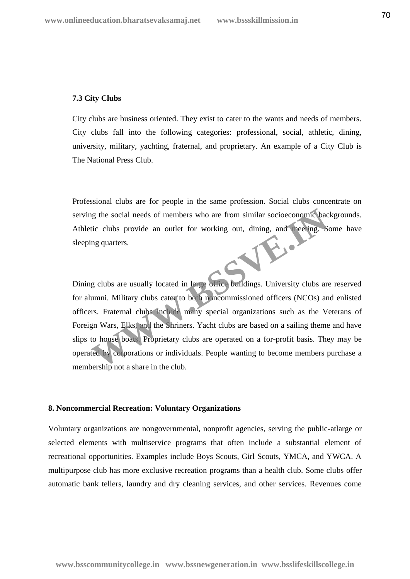#### **7.3 City Clubs**

City clubs are business oriented. They exist to cater to the wants and needs of members. City clubs fall into the following categories: professional, social, athletic, dining, university, military, yachting, fraternal, and proprietary. An example of a City Club is The National Press Club.

Professional clubs are for people in the same profession. Social clubs concentrate on serving the social needs of members who are from similar socioeconomic backgrounds. Athletic clubs provide an outlet for working out, dining, and meeting. Some have sleeping quarters. W.B.

Dining clubs are usually located in large office buildings. University clubs are reserved for alumni. Military clubs cater to both noncommissioned officers (NCOs) and enlisted officers. Fraternal clubs include many special organizations such as the Veterans of Foreign Wars, Elks, and the Shriners. Yacht clubs are based on a sailing theme and have slips to house boats. Proprietary clubs are operated on a for-profit basis. They may be operated by corporations or individuals. People wanting to become members purchase a membership not a share in the club.

#### **8. Noncommercial Recreation: Voluntary Organizations**

Voluntary organizations are nongovernmental, nonprofit agencies, serving the public-atlarge or selected elements with multiservice programs that often include a substantial element of recreational opportunities. Examples include Boys Scouts, Girl Scouts, YMCA, and YWCA. A multipurpose club has more exclusive recreation programs than a health club. Some clubs offer automatic bank tellers, laundry and dry cleaning services, and other services. Revenues come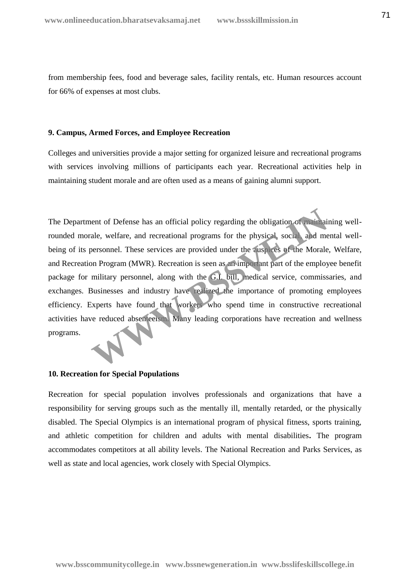from membership fees, food and beverage sales, facility rentals, etc. Human resources account for 66% of expenses at most clubs.

# **9. Campus, Armed Forces, and Employee Recreation**

Colleges and universities provide a major setting for organized leisure and recreational programs with services involving millions of participants each year. Recreational activities help in maintaining student morale and are often used as a means of gaining alumni support.

The Department of Defense has an official policy regarding the obligation of maintaining wellrounded morale, welfare, and recreational programs for the physical, social, and mental well being of its personnel. These services are provided under the auspices of the Morale, Welfare, and Recreation Program (MWR). Recreation is seen as an important part of the employee benefit package for military personnel, along with the G.I. bill, medical service, commissaries, and exchanges. Businesses and industry have realized the importance of promoting employees efficiency. Experts have found that workers who spend time in constructive recreational activities have reduced absenteeism. Many leading corporations have recreation and wellness programs. ent of Defense has an official policy regarding the obligation of particular<br>ale, welfare, and recreational programs for the physical, social and me<br>personnel. These services are provided under the auspress of the Morale<br>o

# **10. Recreation for Special Populations**

Recreation for special population involves professionals and organizations that have a responsibility for serving groups such as the mentally ill, mentally retarded, or the physically disabled. The Special Olympics is an international program of physical fitness, sports training, and athletic competition for children and adults with mental disabilities**.** The program accommodates competitors at all ability levels. The National Recreation and Parks Services, as well as state and local agencies, work closely with Special Olympics.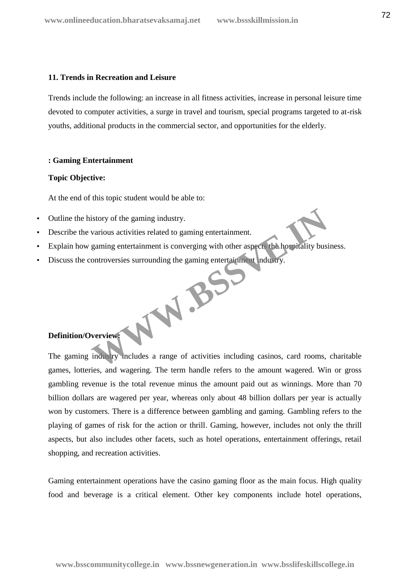# **11. Trends in Recreation and Leisure**

Trends include the following: an increase in all fitness activities, increase in personal leisure time devoted to computer activities, a surge in travel and tourism, special programs targeted to at-risk youths, additional products in the commercial sector, and opportunities for the elderly.

# **: Gaming Entertainment**

# **Topic Objective:**

At the end of this topic student would be able to:

- Outline the history of the gaming industry.
- Describe the various activities related to gaming entertainment.
- Explain how gaming entertainment is converging with other aspects the hospitality business.
- Discuss the controversies surrounding the gaming entertainment industry. WWW.BSC

# **Definition/Overview:**

The gaming industry includes a range of activities including casinos, card rooms, charitable games, lotteries, and wagering. The term handle refers to the amount wagered. Win or gross gambling revenue is the total revenue minus the amount paid out as winnings. More than 70 billion dollars are wagered per year, whereas only about 48 billion dollars per year is actually won by customers. There is a difference between gambling and gaming. Gambling refers to the playing of games of risk for the action or thrill. Gaming, however, includes not only the thrill aspects, but also includes other facets, such as hotel operations, entertainment offerings, retail shopping, and recreation activities.

Gaming entertainment operations have the casino gaming floor as the main focus. High quality food and beverage is a critical element. Other key components include hotel operations,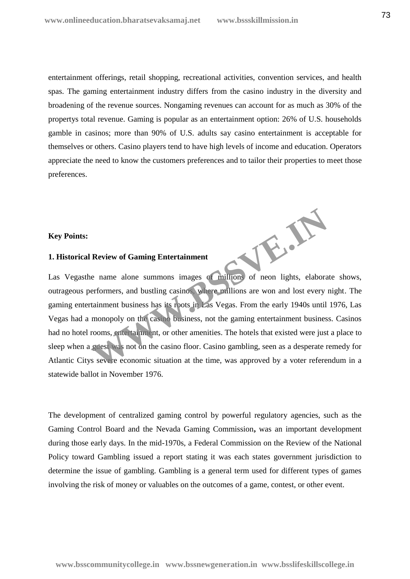entertainment offerings, retail shopping, recreational activities, convention services, and health spas. The gaming entertainment industry differs from the casino industry in the diversity and broadening of the revenue sources. Nongaming revenues can account for as much as 30% of the propertys total revenue. Gaming is popular as an entertainment option: 26% of U.S. households gamble in casinos; more than 90% of U.S. adults say casino entertainment is acceptable for themselves or others. Casino players tend to have high levels of income and education. Operators appreciate the need to know the customers preferences and to tailor their properties to meet those preferences.

## **Key Points:**

## **1. Historical Review of Gaming Entertainment**

Las Vegasthe name alone summons images of millions of neon lights, elaborate shows, outrageous performers, and bustling casinos, where millions are won and lost every night. The gaming entertainment business has its roots in Las Vegas. From the early 1940s until 1976, Las Vegas had a monopoly on the casino business, not the gaming entertainment business. Casinos had no hotel rooms, entertainment, or other amenities. The hotels that existed were just a place to sleep when a guest was not on the casino floor. Casino gambling, seen as a desperate remedy for Atlantic Citys severe economic situation at the time, was approved by a voter referendum in a statewide ballot in November 1976.

W.B.

The development of centralized gaming control by powerful regulatory agencies, such as the Gaming Control Board and the Nevada Gaming Commission**,** was an important development during those early days. In the mid-1970s, a Federal Commission on the Review of the National Policy toward Gambling issued a report stating it was each states government jurisdiction to determine the issue of gambling. Gambling is a general term used for different types of games involving the risk of money or valuables on the outcomes of a game, contest, or other event.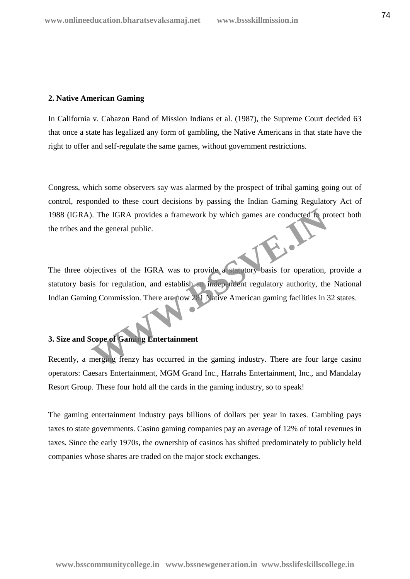## **2. Native American Gaming**

In California v. Cabazon Band of Mission Indians et al. (1987), the Supreme Court decided 63 that once a state has legalized any form of gambling, the Native Americans in that state have the right to offer and self-regulate the same games, without government restrictions.

Congress, which some observers say was alarmed by the prospect of tribal gaming going out of control, responded to these court decisions by passing the Indian Gaming Regulatory Act of 1988 (IGRA). The IGRA provides a framework by which games are conducted to protect both the tribes and the general public.

The three objectives of the IGRA was to provide a statutory basis for operation, provide a statutory basis for regulation, and establish an independent regulatory authority, the National Indian Gaming Commission. There are now 281 Native American gaming facilities in 32 states. The IGRA provides a framework by which games are conducted to provide the general public.<br>
We general public.<br>
We general public.<br>
We general public and establish an independent regulatory authority, the<br>
Independent regul

## **3. Size and Scope of Gaming Entertainment**

Recently, a merging frenzy has occurred in the gaming industry. There are four large casino operators: Caesars Entertainment, MGM Grand Inc., Harrahs Entertainment, Inc., and Mandalay Resort Group. These four hold all the cards in the gaming industry, so to speak!

The gaming entertainment industry pays billions of dollars per year in taxes. Gambling pays taxes to state governments. Casino gaming companies pay an average of 12% of total revenues in taxes. Since the early 1970s, the ownership of casinos has shifted predominately to publicly held companies whose shares are traded on the major stock exchanges.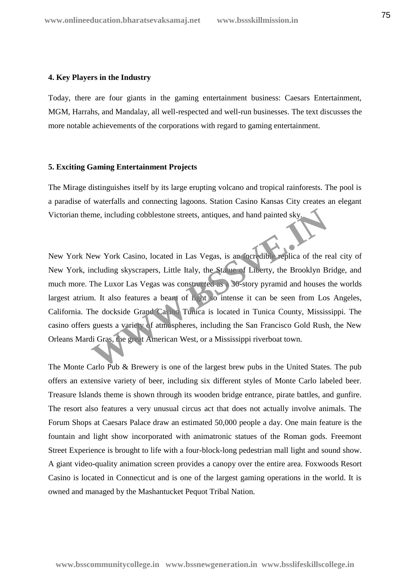#### **4. Key Players in the Industry**

Today, there are four giants in the gaming entertainment business: Caesars Entertainment, MGM, Harrahs, and Mandalay, all well-respected and well-run businesses. The text discusses the more notable achievements of the corporations with regard to gaming entertainment.

## **5. Exciting Gaming Entertainment Projects**

The Mirage distinguishes itself by its large erupting volcano and tropical rainforests. The pool is a paradise of waterfalls and connecting lagoons. Station Casino Kansas City creates an elegant Victorian theme, including cobblestone streets, antiques, and hand painted sky.

New York New York Casino, located in Las Vegas, is an incredible replica of the real city of New York, including skyscrapers, Little Italy, the Statue of Liberty, the Brooklyn Bridge, and much more. The Luxor Las Vegas was constructed as a 30-story pyramid and houses the worlds largest atrium. It also features a beam of light so intense it can be seen from Los Angeles, California. The dockside Grand Casino Tunica is located in Tunica County, Mississippi. The casino offers guests a variety of atmospheres, including the San Francisco Gold Rush, the New Orleans Mardi Gras, the great American West, or a Mississippi riverboat town. me, including cobblestone streets, antiques, and hand painted sky<br>
few York Casino, located in Las Vegas, is an incredible replica of the re<br>
mcluding skyscrapers, Little Italy, the Stature of Liberty, the Brooklyn B<br>
The

The Monte Carlo Pub & Brewery is one of the largest brew pubs in the United States. The pub offers an extensive variety of beer, including six different styles of Monte Carlo labeled beer. Treasure Islands theme is shown through its wooden bridge entrance, pirate battles, and gunfire. The resort also features a very unusual circus act that does not actually involve animals. The Forum Shops at Caesars Palace draw an estimated 50,000 people a day. One main feature is the fountain and light show incorporated with animatronic statues of the Roman gods. Freemont Street Experience is brought to life with a four-block-long pedestrian mall light and sound show. A giant video-quality animation screen provides a canopy over the entire area. Foxwoods Resort Casino is located in Connecticut and is one of the largest gaming operations in the world. It is owned and managed by the Mashantucket Pequot Tribal Nation.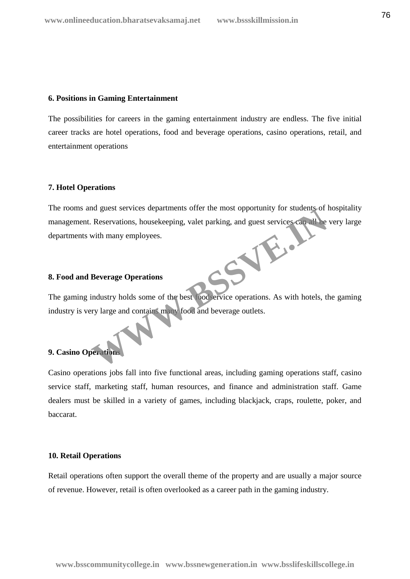#### **6. Positions in Gaming Entertainment**

The possibilities for careers in the gaming entertainment industry are endless. The five initial career tracks are hotel operations, food and beverage operations, casino operations, retail, and entertainment operations

## **7. Hotel Operations**

The rooms and guest services departments offer the most opportunity for students of hospitality management. Reservations, housekeeping, valet parking, and guest services can all be very large departments with many employees. WWW.BS

## **8. Food and Beverage Operations**

The gaming industry holds some of the best foodservice operations. As with hotels, the gaming industry is very large and contains many food and beverage outlets.

## **9. Casino Operations**

Casino operations jobs fall into five functional areas, including gaming operations staff, casino service staff, marketing staff, human resources, and finance and administration staff. Game dealers must be skilled in a variety of games, including blackjack, craps, roulette, poker, and baccarat.

## **10. Retail Operations**

Retail operations often support the overall theme of the property and are usually a major source of revenue. However, retail is often overlooked as a career path in the gaming industry.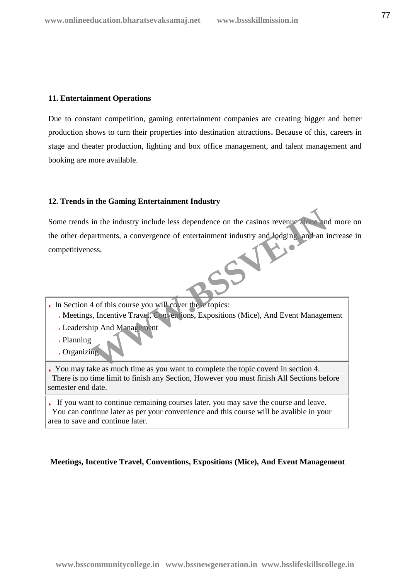## **11. Entertainment Operations**

Due to constant competition, gaming entertainment companies are creating bigger and better production shows to turn their properties into destination attractions**.** Because of this, careers in stage and theater production, lighting and box office management, and talent management and booking are more available.

## **12. Trends in the Gaming Entertainment Industry**

Some trends in the industry include less dependence on the casinos revenue alone and more on the other departments, a convergence of entertainment industry and lodging, and an increase in competitiveness. in the industry include less dependence on the casinos revenue alone and<br>variant ments, a convergence of entertainment industry and lodging and an i<br>sess.

- In Section 4 of this course you will cover these topics:
	- Meetings, Incentive Travel, Conventions, Expositions (Mice), And Event Management
	- Leadership And Management
	- Planning
	- Organizing

You may take as much time as you want to complete the topic coverd in section 4. There is no time limit to finish any Section, However you must finish All Sections before semester end date.

If you want to continue remaining courses later, you may save the course and leave. You can continue later as per your convenience and this course will be avalible in your area to save and continue later.

## **Meetings, Incentive Travel, Conventions, Expositions (Mice), And Event Management**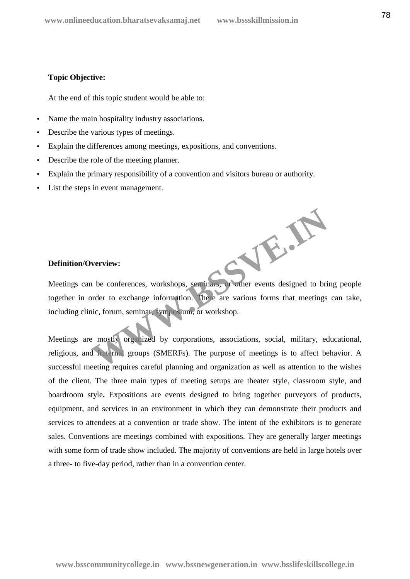## **Topic Objective:**

At the end of this topic student would be able to:

- Name the main hospitality industry associations.
- Describe the various types of meetings.
- Explain the differences among meetings, expositions, and conventions.
- Describe the role of the meeting planner.
- Explain the primary responsibility of a convention and visitors bureau or authority.
- List the steps in event management.

## **Definition/Overview:**

Meetings can be conferences, workshops, seminars, or other events designed to bring people together in order to exchange information. There are various forms that meetings can take, including clinic, forum, seminar, symposium, or workshop. **WWW.BSSVE.IN**

Meetings are mostly organized by corporations, associations, social, military, educational, religious, and fraternal groups (SMERFs). The purpose of meetings is to affect behavior. A successful meeting requires careful planning and organization as well as attention to the wishes of the client. The three main types of meeting setups are theater style, classroom style, and boardroom style**.** Expositions are events designed to bring together purveyors of products, equipment, and services in an environment in which they can demonstrate their products and services to attendees at a convention or trade show. The intent of the exhibitors is to generate sales. Conventions are meetings combined with expositions. They are generally larger meetings with some form of trade show included. The majority of conventions are held in large hotels over a three- to five-day period, rather than in a convention center.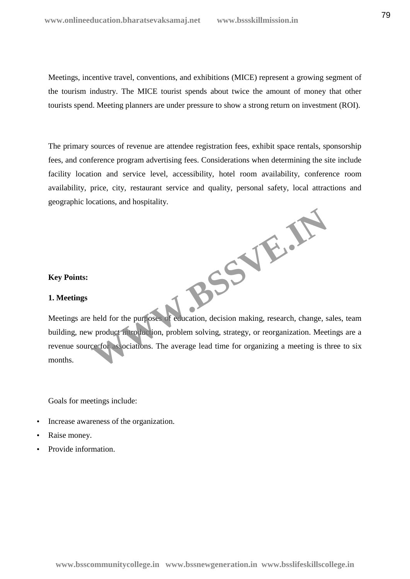Meetings, incentive travel, conventions, and exhibitions (MICE) represent a growing segment of the tourism industry. The MICE tourist spends about twice the amount of money that other tourists spend. Meeting planners are under pressure to show a strong return on investment (ROI).

The primary sources of revenue are attendee registration fees, exhibit space rentals, sponsorship fees, and conference program advertising fees. Considerations when determining the site include facility location and service level, accessibility, hotel room availability, conference room availability, price, city, restaurant service and quality, personal safety, local attractions and geographic locations, and hospitality.

**WWW.BSSVE.IN**

## **Key Points:**

## **1. Meetings**

Meetings are held for the purposes of education, decision making, research, change, sales, team building, new product introduction, problem solving, strategy, or reorganization. Meetings are a revenue source for associations. The average lead time for organizing a meeting is three to six months.

Goals for meetings include:

- Increase awareness of the organization.
- Raise money.
- Provide information.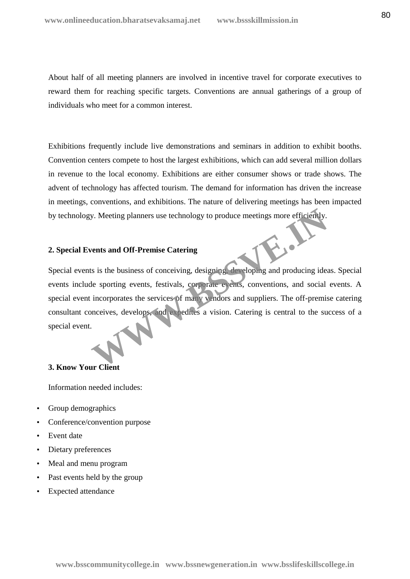About half of all meeting planners are involved in incentive travel for corporate executives to reward them for reaching specific targets. Conventions are annual gatherings of a group of individuals who meet for a common interest.

Exhibitions frequently include live demonstrations and seminars in addition to exhibit booths. Convention centers compete to host the largest exhibitions, which can add several million dollars in revenue to the local economy. Exhibitions are either consumer shows or trade shows. The advent of technology has affected tourism. The demand for information has driven the increase in meetings, conventions, and exhibitions. The nature of delivering meetings has been impacted by technology. Meeting planners use technology to produce meetings more efficiently.

## **2. Special Events and Off-Premise Catering**

Special events is the business of conceiving, designing, developing and producing ideas. Special events include sporting events, festivals, corporate events, conventions, and social events. A special event incorporates the services of many vendors and suppliers. The off-premise catering consultant conceives, develops, and expedites a vision. Catering is central to the success of a special event. W. Meeting planners use technology to produce meetings more efficiently.<br> **Wents and Off-Premise Catering**<br>
Its is the business of conceiving, designing developing and producing idea<br>
le sporting events, festivals, corpora

## **3. Know Your Client**

Information needed includes:

- Group demographics
- Conference/convention purpose
- Event date
- Dietary preferences
- Meal and menu program
- Past events held by the group
- Expected attendance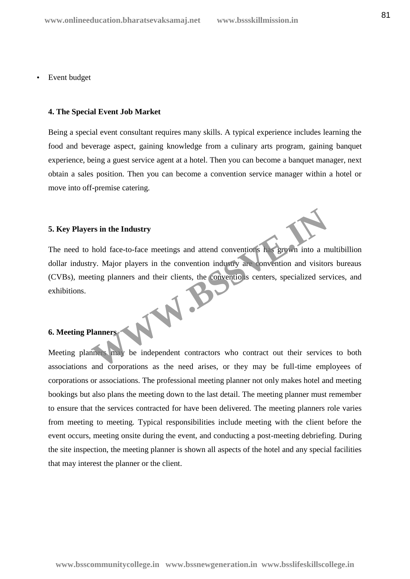## Event budget

#### **4. The Special Event Job Market**

Being a special event consultant requires many skills. A typical experience includes learning the food and beverage aspect, gaining knowledge from a culinary arts program, gaining banquet experience, being a guest service agent at a hotel. Then you can become a banquet manager, next obtain a sales position. Then you can become a convention service manager within a hotel or move into off-premise catering.

## **5. Key Players in the Industry**

The need to hold face-to-face meetings and attend conventions has grown into a multibillion dollar industry. Major players in the convention industry are convention and visitors bureaus (CVBs), meeting planners and their clients, the conventions centers, specialized services, and exhibitions. exhibitions. The state of the Lagrange and the conventions of the State of the State of the Convention and visitor<br>
Hanners and their clients, the conventions centers, specialized served in the state of the conventions of the conventio

## **6. Meeting Planners**

Meeting planners may be independent contractors who contract out their services to both associations and corporations as the need arises, or they may be full-time employees of corporations or associations. The professional meeting planner not only makes hotel and meeting bookings but also plans the meeting down to the last detail. The meeting planner must remember to ensure that the services contracted for have been delivered. The meeting planners role varies from meeting to meeting. Typical responsibilities include meeting with the client before the event occurs, meeting onsite during the event, and conducting a post-meeting debriefing. During the site inspection, the meeting planner is shown all aspects of the hotel and any special facilities that may interest the planner or the client.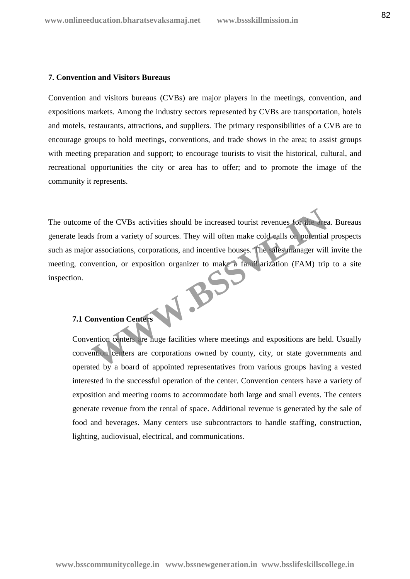## **7. Convention and Visitors Bureaus**

Convention and visitors bureaus (CVBs) are major players in the meetings, convention, and expositions markets. Among the industry sectors represented by CVBs are transportation, hotels and motels, restaurants, attractions, and suppliers. The primary responsibilities of a CVB are to encourage groups to hold meetings, conventions, and trade shows in the area; to assist groups with meeting preparation and support; to encourage tourists to visit the historical, cultural, and recreational opportunities the city or area has to offer; and to promote the image of the community it represents.

The outcome of the CVBs activities should be increased tourist revenues for the area. Bureaus generate leads from a variety of sources. They will often make cold calls on potential prospects such as major associations, corporations, and incentive houses. The sales manager will invite the meeting, convention, or exposition organizer to make a familiarization (FAM) trip to a site inspection. W.BSS

# **7.1 Convention Centers**

Convention centers are huge facilities where meetings and expositions are held. Usually convention centers are corporations owned by county, city, or state governments and operated by a board of appointed representatives from various groups having a vested interested in the successful operation of the center. Convention centers have a variety of exposition and meeting rooms to accommodate both large and small events. The centers generate revenue from the rental of space. Additional revenue is generated by the sale of food and beverages. Many centers use subcontractors to handle staffing, construction, lighting, audiovisual, electrical, and communications.

**www.bsscommunitycollege.in www.bssnewgeneration.in www.bsslifeskillscollege.in**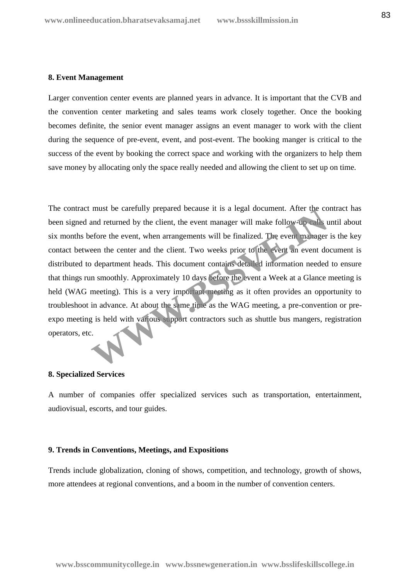#### **8. Event Management**

Larger convention center events are planned years in advance. It is important that the CVB and the convention center marketing and sales teams work closely together. Once the booking becomes definite, the senior event manager assigns an event manager to work with the client during the sequence of pre-event, event, and post-event. The booking manger is critical to the success of the event by booking the correct space and working with the organizers to help them save money by allocating only the space really needed and allowing the client to set up on time.

The contract must be carefully prepared because it is a legal document. After the contract has been signed and returned by the client, the event manager will make follow-up calls until about six months before the event, when arrangements will be finalized. The event manager is the key contact between the center and the client. Two weeks prior to the event an event document is distributed to department heads. This document contains detailed information needed to ensure that things run smoothly. Approximately 10 days before the event a Week at a Glance meeting is held (WAG meeting). This is a very important meeting as it often provides an opportunity to troubleshoot in advance. At about the same time as the WAG meeting, a pre-convention or pre expo meeting is held with various support contractors such as shuttle bus mangers, registration operators, etc. must be carefully prepared because it is a legal document. After the co<br>and returned by the client, the event manager will make follow-up calls<br>tefore the event, when arrangements will be finalized. The event manager<br>een t

## **8. Specialized Services**

A number of companies offer specialized services such as transportation, entertainment, audiovisual, escorts, and tour guides.

## **9. Trends in Conventions, Meetings, and Expositions**

Trends include globalization, cloning of shows, competition, and technology, growth of shows, more attendees at regional conventions, and a boom in the number of convention centers.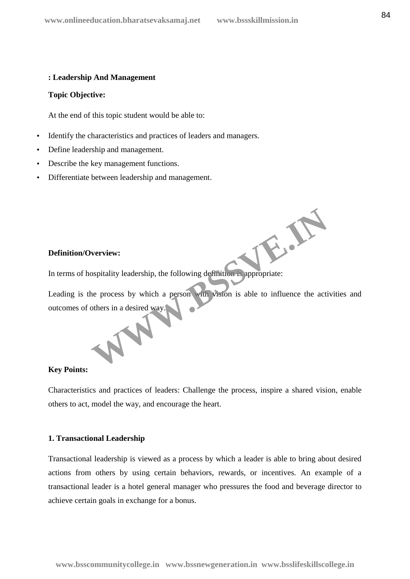## **: Leadership And Management**

## **Topic Objective:**

At the end of this topic student would be able to:

- Identify the characteristics and practices of leaders and managers.
- Define leadership and management.
- Describe the key management functions.
- Differentiate between leadership and management.

## **Definition/Overview:**

In terms of hospitality leadership, the following definition is appropriate:

Leading is the process by which a person with vision is able to influence the activities and outcomes of others in a desired way. Experiment of the Act of the Act of the Act of the Act of the Act of the Act of the Act of the Act of the Act of the Act of the Act of the Act of the Act of the Act of the Act of the Act of the Act of the Act of the Act of

#### **Key Points:**

Characteristics and practices of leaders: Challenge the process, inspire a shared vision, enable others to act, model the way, and encourage the heart.

#### **1. Transactional Leadership**

Transactional leadership is viewed as a process by which a leader is able to bring about desired actions from others by using certain behaviors, rewards, or incentives. An example of a transactional leader is a hotel general manager who pressures the food and beverage director to achieve certain goals in exchange for a bonus.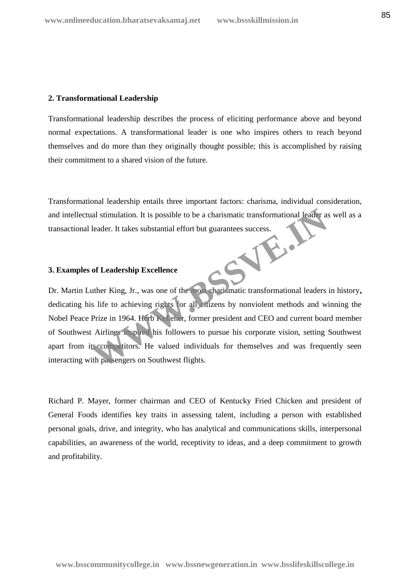## **2. Transformational Leadership**

Transformational leadership describes the process of eliciting performance above and beyond normal expectations. A transformational leader is one who inspires others to reach beyond themselves and do more than they originally thought possible; this is accomplished by raising their commitment to a shared vision of the future.

Transformational leadership entails three important factors: charisma, individual consideration, and intellectual stimulation. It is possible to be a charismatic transformational leader as well as a transactional leader. It takes substantial effort but guarantees success.<br>
3. Examples of Leadership Francisco Success.

## **3. Examples of Leadership Excellence**

Dr. Martin Luther King, Jr., was one of the most charismatic transformational leaders in history**,** dedicating his life to achieving rights for all citizens by nonviolent methods and winning the Nobel Peace Prize in 1964. Herb Kelleher, former president and CEO and current board member of Southwest Airlines inspired his followers to pursue his corporate vision, setting Southwest apart from its competitors. He valued individuals for themselves and was frequently seen interacting with passengers on Southwest flights. The structure of Leadership Excellence<br>
Under a charismatic transformational leader as<br>
leader. It takes substantial effort but guarantees success.<br> **Solution Excellence**<br>
Under King, Jr., was one of the not-charismatic tr

Richard P. Mayer, former chairman and CEO of Kentucky Fried Chicken and president of General Foods identifies key traits in assessing talent, including a person with established personal goals, drive, and integrity, who has analytical and communications skills, interpersonal capabilities, an awareness of the world, receptivity to ideas, and a deep commitment to growth and profitability.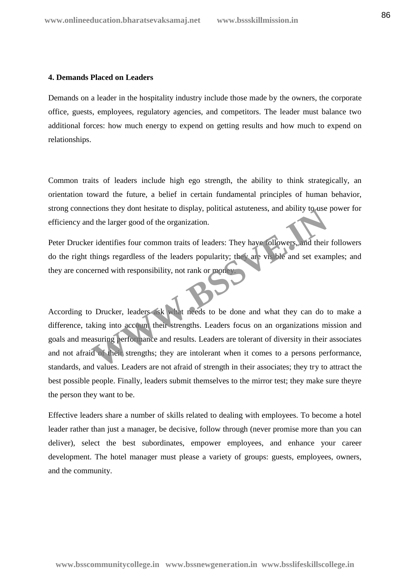## **4. Demands Placed on Leaders**

Demands on a leader in the hospitality industry include those made by the owners, the corporate office, guests, employees, regulatory agencies, and competitors. The leader must balance two additional forces: how much energy to expend on getting results and how much to expend on relationships.

Common traits of leaders include high ego strength, the ability to think strategically, an orientation toward the future, a belief in certain fundamental principles of human behavior, strong connections they dont hesitate to display, political astuteness, and ability to use power for efficiency and the larger good of the organization.

Peter Drucker identifies four common traits of leaders: They have followers, and their followers do the right things regardless of the leaders popularity; they are visible and set examples; and they are concerned with responsibility, not rank or money.

According to Drucker, leaders ask what needs to be done and what they can do to make a difference, taking into account their strengths. Leaders focus on an organizations mission and goals and measuring performance and results. Leaders are tolerant of diversity in their associates and not afraid of their strengths; they are intolerant when it comes to a persons performance, standards, and values. Leaders are not afraid of strength in their associates; they try to attract the best possible people. Finally, leaders submit themselves to the mirror test; they make sure theyre the person they want to be. The state of the organization.<br>
The larger good of the organization.<br>
The larger good of the organization.<br>
The larger good of the organization.<br>
The larger good of the organization.<br>
The larger good of the leaders popular

Effective leaders share a number of skills related to dealing with employees. To become a hotel leader rather than just a manager, be decisive, follow through (never promise more than you can deliver), select the best subordinates, empower employees, and enhance your career development. The hotel manager must please a variety of groups: guests, employees, owners, and the community.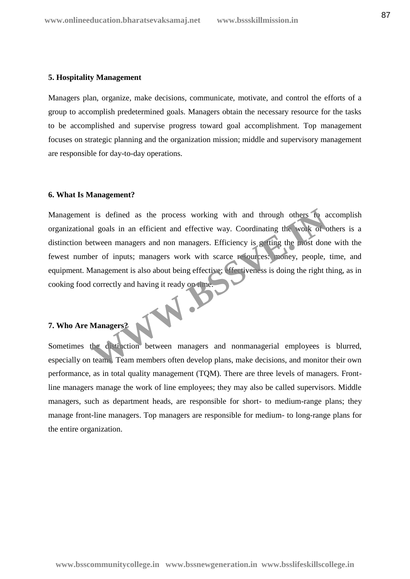#### **5. Hospitality Management**

Managers plan, organize, make decisions, communicate, motivate, and control the efforts of a group to accomplish predetermined goals. Managers obtain the necessary resource for the tasks to be accomplished and supervise progress toward goal accomplishment. Top management focuses on strategic planning and the organization mission; middle and supervisory management are responsible for day-to-day operations.

## **6. What Is Management?**

Management is defined as the process working with and through others to accomplish organizational goals in an efficient and effective way. Coordinating the work of others is a distinction between managers and non managers. Efficiency is getting the most done with the fewest number of inputs; managers work with scarce resources: money, people, time, and equipment. Management is also about being effective; effectiveness is doing the right thing, as in cooking food correctly and having it ready on time. is defined as the process working with and through others to a<br>all goals in an efficient and effective way. Coordinating the work of o<br>tween managers and non managers. Efficiency is getting the most done<br>per of inputs; man

# **7. Who Are Managers?**

Sometimes the distinction between managers and nonmanagerial employees is blurred, especially on teams. Team members often develop plans, make decisions, and monitor their own performance, as in total quality management (TQM). There are three levels of managers. Frontline managers manage the work of line employees; they may also be called supervisors. Middle managers, such as department heads, are responsible for short- to medium-range plans; they manage front-line managers. Top managers are responsible for medium- to long-range plans for the entire organization.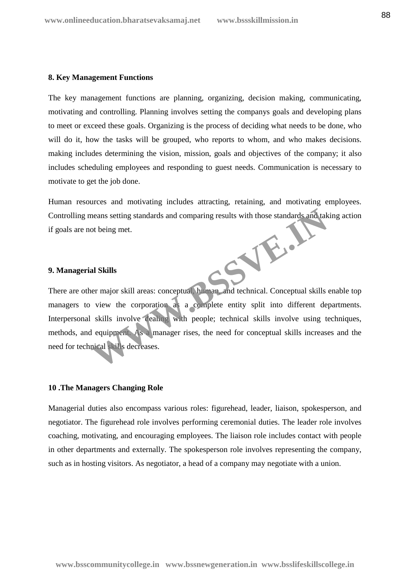#### **8. Key Management Functions**

The key management functions are planning, organizing, decision making, communicating, motivating and controlling. Planning involves setting the companys goals and developing plans to meet or exceed these goals. Organizing is the process of deciding what needs to be done, who will do it, how the tasks will be grouped, who reports to whom, and who makes decisions. making includes determining the vision, mission, goals and objectives of the company; it also includes scheduling employees and responding to guest needs. Communication is necessary to motivate to get the job done.

Human resources and motivating includes attracting, retaining, and motivating employees. Controlling means setting standards and comparing results with those standards and taking action if goals are not being met. **WWW.BSSVE.IN**

## **9. Managerial Skills**

There are other major skill areas: conceptual, human, and technical. Conceptual skills enable top managers to view the corporation as a complete entity split into different departments. Interpersonal skills involve dealing with people; technical skills involve using techniques, methods, and equipment. As a manager rises, the need for conceptual skills increases and the need for technical skills decreases.

## **10 .The Managers Changing Role**

Managerial duties also encompass various roles: figurehead, leader, liaison, spokesperson, and negotiator. The figurehead role involves performing ceremonial duties. The leader role involves coaching, motivating, and encouraging employees. The liaison role includes contact with people in other departments and externally. The spokesperson role involves representing the company, such as in hosting visitors. As negotiator, a head of a company may negotiate with a union.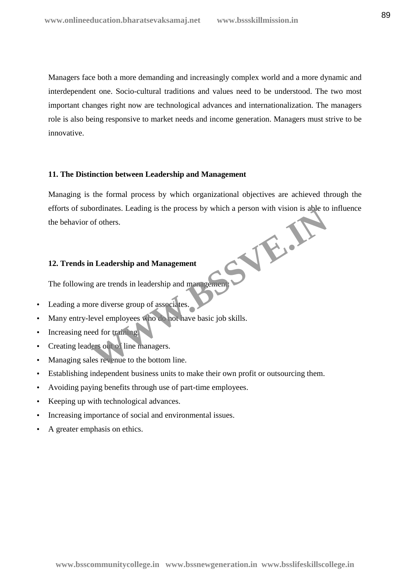Managers face both a more demanding and increasingly complex world and a more dynamic and interdependent one. Socio-cultural traditions and values need to be understood. The two most important changes right now are technological advances and internationalization. The managers role is also being responsive to market needs and income generation. Managers must strive to be innovative.

## **11. The Distinction between Leadership and Management**

Managing is the formal process by which organizational objectives are achieved through the efforts of subordinates. Leading is the process by which a person with vision is able to influence the behavior of others. WE.AS

## **12. Trends in Leadership and Management**

The following are trends in leadership and management

- Leading a more diverse group of associates.
- Many entry-level employees who do not have basic job skills.
- Increasing need for training.
- Creating leaders out of line managers.
- Managing sales revenue to the bottom line.
- Establishing independent business units to make their own profit or outsourcing them.
- Avoiding paying benefits through use of part-time employees.
- Keeping up with technological advances.
- Increasing importance of social and environmental issues.
- A greater emphasis on ethics.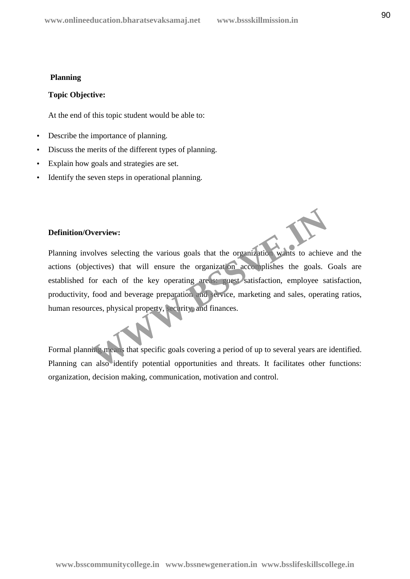## **Planning**

## **Topic Objective:**

At the end of this topic student would be able to:

- Describe the importance of planning.
- Discuss the merits of the different types of planning.
- Explain how goals and strategies are set.
- Identify the seven steps in operational planning.

## **Definition/Overview:**

Planning involves selecting the various goals that the organization wants to achieve and the actions (objectives) that will ensure the organization accomplishes the goals. Goals are established for each of the key operating areas: guest satisfaction, employee satisfaction, productivity, food and beverage preparation and service, marketing and sales, operating ratios, human resources, physical property, security, and finances. **Example 18 Section** the various goals that the organization wants to achieve<br>tives) that will ensure the organization accomplishes the goals.<br>
For each of the key operating are surest satisfaction, employee sa<br>
food and b

Formal planning means that specific goals covering a period of up to several years are identified. Planning can also identify potential opportunities and threats. It facilitates other functions: organization, decision making, communication, motivation and control.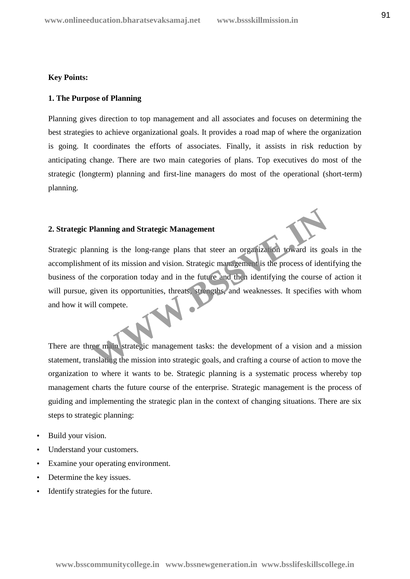## **Key Points:**

## **1. The Purpose of Planning**

Planning gives direction to top management and all associates and focuses on determining the best strategies to achieve organizational goals. It provides a road map of where the organization is going. It coordinates the efforts of associates. Finally, it assists in risk reduction by anticipating change. There are two main categories of plans. Top executives do most of the strategic (longterm) planning and first-line managers do most of the operational (short-term) planning.

## **2. Strategic Planning and Strategic Management**

Strategic planning is the long-range plans that steer an organization toward its goals in the accomplishment of its mission and vision. Strategic management is the process of identifying the business of the corporation today and in the future and then identifying the course of action it will pursue, given its opportunities, threats, strengths, and weaknesses. It specifies with whom and how it will compete. Planning and Strategic Management<br>
nning is the long-range plans that steer an organization toward its go<br>
ent of its mission and vision. Strategic management is the process of ident<br>
the corporation today and in the futur

There are three main strategic management tasks: the development of a vision and a mission statement, translating the mission into strategic goals, and crafting a course of action to move the organization to where it wants to be. Strategic planning is a systematic process whereby top management charts the future course of the enterprise. Strategic management is the process of guiding and implementing the strategic plan in the context of changing situations. There are six steps to strategic planning:

- Build your vision.
- Understand your customers.
- Examine your operating environment.
- Determine the key issues.
- Identify strategies for the future.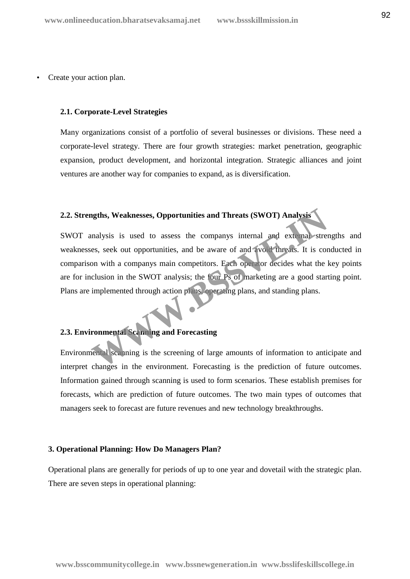Create your action plan.

#### **2.1. Corporate-Level Strategies**

Many organizations consist of a portfolio of several businesses or divisions. These need a corporate-level strategy. There are four growth strategies: market penetration, geographic expansion, product development, and horizontal integration. Strategic alliances and joint ventures are another way for companies to expand, as is diversification.

## **2.2. Strengths, Weaknesses, Opportunities and Threats (SWOT) Analysis**

SWOT analysis is used to assess the companys internal and external strengths and weaknesses, seek out opportunities, and be aware of and avoid threats. It is conducted in comparison with a companys main competitors. Each operator decides what the key points are for inclusion in the SWOT analysis; the four Ps of marketing are a good starting point. Plans are implemented through action plans, operating plans, and standing plans. **Example 18 Set also see SOLUTE AND SET ASSES ASSES ASSESS**<br>
Malysis is used to assess the companys internal and external stress, seek out opportunities, and be aware of and avoid threats. It is coron with a companys main

## **2.3. Environmental Scanning and Forecasting**

Environmental scanning is the screening of large amounts of information to anticipate and interpret changes in the environment. Forecasting is the prediction of future outcomes. Information gained through scanning is used to form scenarios. These establish premises for forecasts, which are prediction of future outcomes. The two main types of outcomes that managers seek to forecast are future revenues and new technology breakthroughs.

## **3. Operational Planning: How Do Managers Plan?**

Operational plans are generally for periods of up to one year and dovetail with the strategic plan. There are seven steps in operational planning: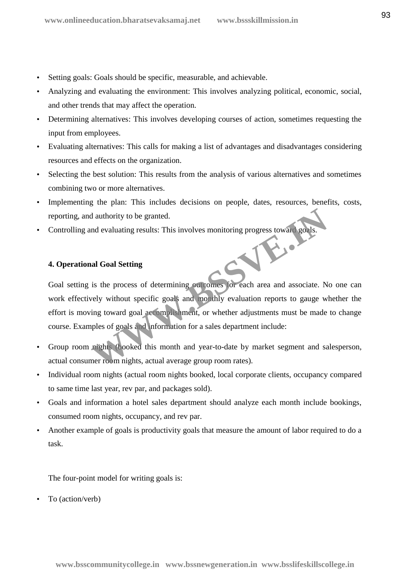- Setting goals: Goals should be specific, measurable, and achievable.
- Analyzing and evaluating the environment: This involves analyzing political, economic, social, and other trends that may affect the operation.
- Determining alternatives: This involves developing courses of action, sometimes requesting the input from employees.
- Evaluating alternatives: This calls for making a list of advantages and disadvantages considering resources and effects on the organization.
- Selecting the best solution: This results from the analysis of various alternatives and sometimes combining two or more alternatives.
- Implementing the plan: This includes decisions on people, dates, resources, benefits, costs, reporting, and authority to be granted.
- Controlling and evaluating results: This involves monitoring progress toward goals.

## **4. Operational Goal Setting**

Goal setting is the process of determining outcomes for each area and associate. No one can work effectively without specific goals and monthly evaluation reports to gauge whether the effort is moving toward goal accomplishment, or whether adjustments must be made to change course. Examples of goals and information for a sales department include: Example 12 authority to be granted.<br>
In evaluating results: This involves monitoring progress toward goals.<br>
In Goal Setting<br>
is the process of determining outcomes for each area and associate. Nevely without specific goal

- Group room nights (booked this month and year-to-date by market segment and salesperson, actual consumer room nights, actual average group room rates).
- Individual room nights (actual room nights booked, local corporate clients, occupancy compared to same time last year, rev par, and packages sold).
- Goals and information a hotel sales department should analyze each month include bookings, consumed room nights, occupancy, and rev par.
- Another example of goals is productivity goals that measure the amount of labor required to do a task.

The four-point model for writing goals is:

To (action/verb)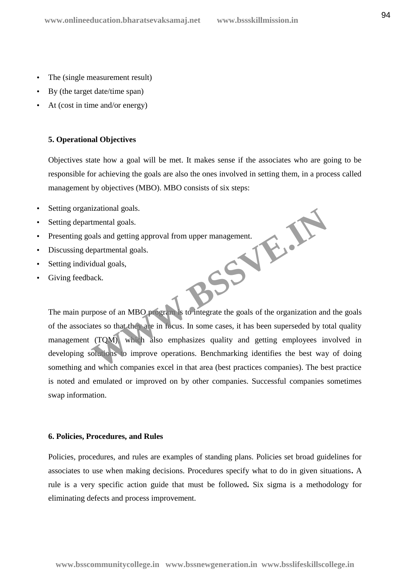- The (single measurement result)
- By (the target date/time span)
- At (cost in time and/or energy)

## **5. Operational Objectives**

Objectives state how a goal will be met. It makes sense if the associates who are going to be responsible for achieving the goals are also the ones involved in setting them, in a process called management by objectives (MBO). MBO consists of six steps:

- Setting organizational goals.
- Setting departmental goals.
- Presenting goals and getting approval from upper management. **WWW.BSSVE.JR**
- Discussing departmental goals.
- Setting individual goals,
- Giving feedback.

The main purpose of an MBO program is to integrate the goals of the organization and the goals of the associates so that they are in focus. In some cases, it has been superseded by total quality management (TQM), which also emphasizes quality and getting employees involved in developing solutions to improve operations. Benchmarking identifies the best way of doing something and which companies excel in that area (best practices companies). The best practice is noted and emulated or improved on by other companies. Successful companies sometimes swap information.

#### **6. Policies, Procedures, and Rules**

Policies, procedures, and rules are examples of standing plans. Policies set broad guidelines for associates to use when making decisions. Procedures specify what to do in given situations**.** A rule is a very specific action guide that must be followed**.** Six sigma is a methodology for eliminating defects and process improvement.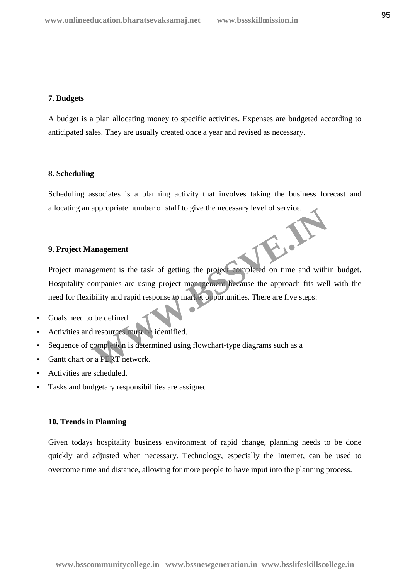## **7. Budgets**

A budget is a plan allocating money to specific activities. Expenses are budgeted according to anticipated sales. They are usually created once a year and revised as necessary.

## **8. Scheduling**

Scheduling associates is a planning activity that involves taking the business forecast and allocating an appropriate number of staff to give the necessary level of service.

## **9. Project Management**

Project management is the task of getting the project completed on time and within budget. Hospitality companies are using project management because the approach fits well with the need for flexibility and rapid response to market opportunities. There are five steps: **Example 2018**<br> **Examplement**<br> **WEBSTERN SEARCH SEARCH SEARCH SEARCH SEARCH SEARCH SEARCH SEARCH SEARCH SEARCH SEARCH SEARCH SEARCH SEARCH SEARCH SEARCH SEARCH SEARCH SEARCH SEARCH SEARCH SEARCH SEARCH SEARCH SEARCH SEARCH** 

- Goals need to be defined.
- Activities and resources must be identified.
- Sequence of completion is determined using flowchart-type diagrams such as a
- Gantt chart or a PERT network.
- Activities are scheduled.
- Tasks and budgetary responsibilities are assigned.

## **10. Trends in Planning**

Given todays hospitality business environment of rapid change, planning needs to be done quickly and adjusted when necessary. Technology, especially the Internet, can be used to overcome time and distance, allowing for more people to have input into the planning process.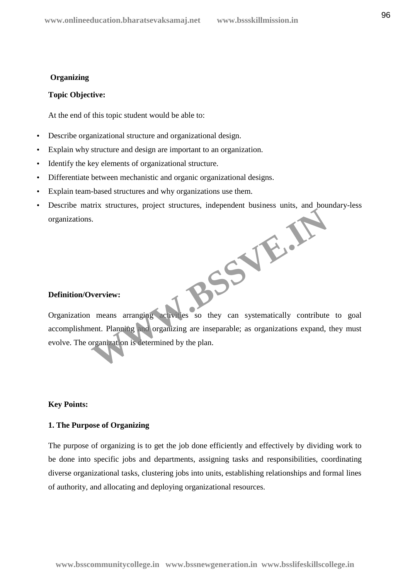## **Organizing**

#### **Topic Objective:**

At the end of this topic student would be able to:

- Describe organizational structure and organizational design.
- Explain why structure and design are important to an organization.
- Identify the key elements of organizational structure.
- Differentiate between mechanistic and organic organizational designs.
- Explain team-based structures and why organizations use them.
- Describe matrix structures, project structures, independent business units, and boundary-less organizations. WWW.BSSVE.JA

## **Definition/Overview:**

Organization means arranging activities so they can systematically contribute to goal accomplishment. Planning and organizing are inseparable; as organizations expand, they must evolve. The organization is determined by the plan.

## **Key Points:**

## **1. The Purpose of Organizing**

The purpose of organizing is to get the job done efficiently and effectively by dividing work to be done into specific jobs and departments, assigning tasks and responsibilities, coordinating diverse organizational tasks, clustering jobs into units, establishing relationships and formal lines of authority, and allocating and deploying organizational resources.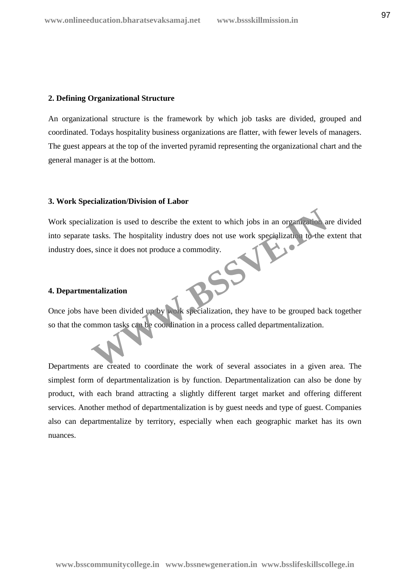## **2. Defining Organizational Structure**

An organizational structure is the framework by which job tasks are divided, grouped and coordinated. Todays hospitality business organizations are flatter, with fewer levels of managers. The guest appears at the top of the inverted pyramid representing the organizational chart and the general manager is at the bottom.

## **3. Work Specialization/Division of Labor**

Work specialization is used to describe the extent to which jobs in an organization are divided into separate tasks. The hospitality industry does not use work specialization to the extent that industry does, since it does not produce a commodity. Example 12 and 12 and 12 and 12 and 12 and 12 and 12 and 12 and 12 and 13 and 13 and 13 and 13 and 15 and 15 and 15 and 15 and 15 and 15 and 15 and 15 and 15 and 16 and 16 and 17 and 18 and 18 and 18 and 18 and 18 and 18 a

## **4. Departmentalization**

Once jobs have been divided up by work specialization, they have to be grouped back together so that the common tasks can be coordination in a process called departmentalization.

Departments are created to coordinate the work of several associates in a given area. The simplest form of departmentalization is by function. Departmentalization can also be done by product, with each brand attracting a slightly different target market and offering different services. Another method of departmentalization is by guest needs and type of guest. Companies also can departmentalize by territory, especially when each geographic market has its own nuances.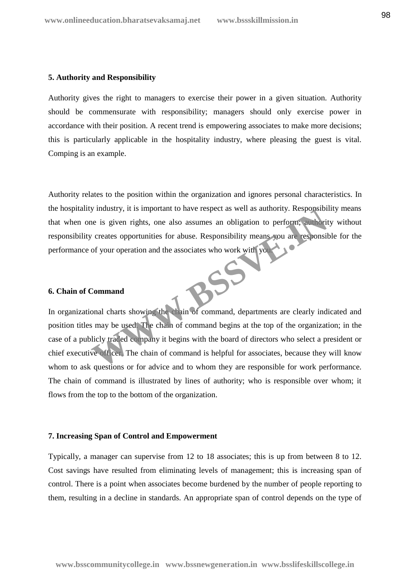#### **5. Authority and Responsibility**

Authority gives the right to managers to exercise their power in a given situation. Authority should be commensurate with responsibility; managers should only exercise power in accordance with their position. A recent trend is empowering associates to make more decisions; this is particularly applicable in the hospitality industry, where pleasing the guest is vital. Comping is an example.

Authority relates to the position within the organization and ignores personal characteristics. In the hospitality industry, it is important to have respect as well as authority. Responsibility means that when one is given rights, one also assumes an obligation to perform; authority without responsibility creates opportunities for abuse. Responsibility means you are responsible for the performance of your operation and the associates who work with you.

## **6. Chain of Command**

In organizational charts showing the chain of command, departments are clearly indicated and position titles may be used. The chain of command begins at the top of the organization; in the case of a publicly traded company it begins with the board of directors who select a president or chief executive officer. The chain of command is helpful for associates, because they will know whom to ask questions or for advice and to whom they are responsible for work performance. The chain of command is illustrated by lines of authority; who is responsible over whom; it flows from the top to the bottom of the organization. Windustry, it is important to nave respect as well as authority. Responsibility reades opportunities for abuse. Responsibility means you are responsibility recates opportunities for abuse. Responsibility means you are resp

#### **7. Increasing Span of Control and Empowerment**

Typically, a manager can supervise from 12 to 18 associates; this is up from between 8 to 12. Cost savings have resulted from eliminating levels of management; this is increasing span of control. There is a point when associates become burdened by the number of people reporting to them, resulting in a decline in standards. An appropriate span of control depends on the type of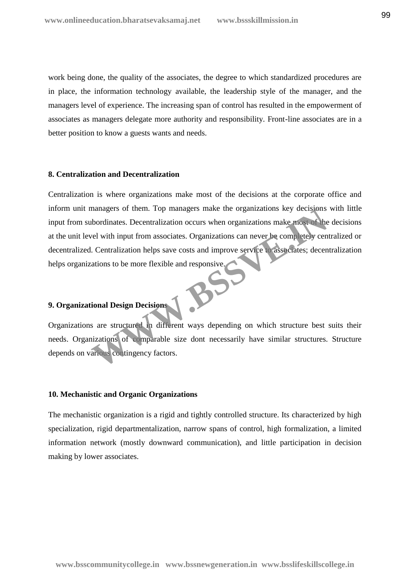work being done, the quality of the associates, the degree to which standardized procedures are in place, the information technology available, the leadership style of the manager, and the managers level of experience. The increasing span of control has resulted in the empowerment of associates as managers delegate more authority and responsibility. Front-line associates are in a better position to know a guests wants and needs.

#### **8. Centralization and Decentralization**

Centralization is where organizations make most of the decisions at the corporate office and inform unit managers of them. Top managers make the organizations key decisions with little input from subordinates. Decentralization occurs when organizations make most of the decisions at the unit level with input from associates. Organizations can never be completely centralized or decentralized. Centralization helps save costs and improve service to associates; decentralization helps organizations to be more flexible and responsive. managers of them. Top managers make the organizations key decisions<br>bordinates. Decentralization occurs when organizations make most of the<br>rel with input from associates. Organizations can never be completely cen<br>cations

## **9. Organizational Design Decisions**

Organizations are structured in different ways depending on which structure best suits their needs. Organizations of comparable size dont necessarily have similar structures. Structure depends on various contingency factors.

## **10. Mechanistic and Organic Organizations**

The mechanistic organization is a rigid and tightly controlled structure. Its characterized by high specialization, rigid departmentalization, narrow spans of control, high formalization, a limited information network (mostly downward communication), and little participation in decision making by lower associates.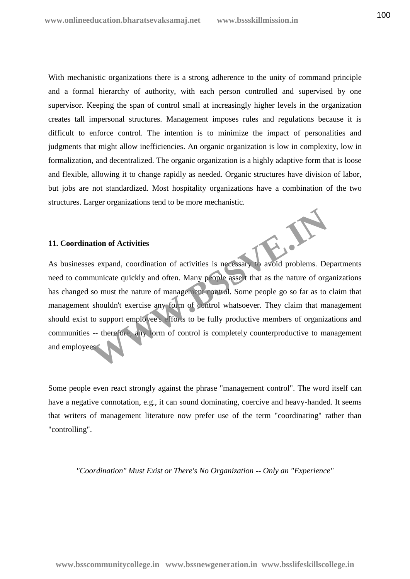With mechanistic organizations there is a strong adherence to the unity of command principle and a formal hierarchy of authority, with each person controlled and supervised by one supervisor. Keeping the span of control small at increasingly higher levels in the organization creates tall impersonal structures. Management imposes rules and regulations because it is difficult to enforce control. The intention is to minimize the impact of personalities and judgments that might allow inefficiencies. An organic organization is low in complexity, low in formalization, and decentralized. The organic organization is a highly adaptive form that is loose and flexible, allowing it to change rapidly as needed. Organic structures have division of labor, but jobs are not standardized. Most hospitality organizations have a combination of the two structures. Larger organizations tend to be more mechanistic.

#### **11. Coordination of Activities**

11. Coordination of Activities<br>As businesses expand, coordination of activities is necessary to avoid problems. Departments need to communicate quickly and often. Many people assert that as the nature of organizations has changed so must the nature of management control. Some people go so far as to claim that management shouldn't exercise any form of control whatsoever. They claim that management should exist to support employee's efforts to be fully productive members of organizations and communities -- therefore, any form of control is completely counterproductive to management and employees. ation of Activities<br>
se sexpand, coordination of activities is necessary<br>
municate quickly and often. Many people asset that as the nature of org<br>
so must the nature of management control. Some people go so far as to<br>
shou

Some people even react strongly against the phrase "management control". The word itself can have a negative connotation, e.g., it can sound dominating, coercive and heavy-handed. It seems that writers of management literature now prefer use of the term "coordinating" rather than "controlling".

*"Coordination" Must Exist or There's No Organization -- Only an "Experience"*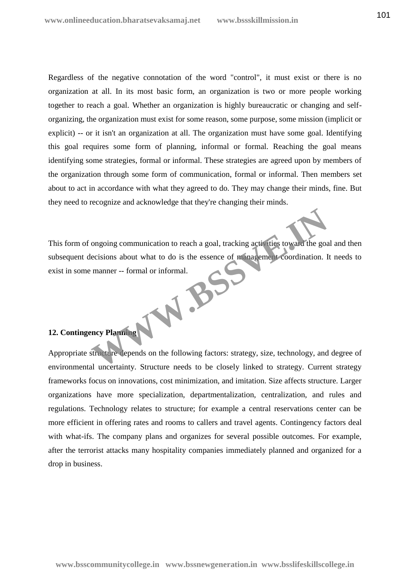Regardless of the negative connotation of the word "control", it must exist or there is no organization at all. In its most basic form, an organization is two or more people working together to reach a goal. Whether an organization is highly bureaucratic or changing and self organizing, the organization must exist for some reason, some purpose, some mission (implicit or explicit) -- or it isn't an organization at all. The organization must have some goal. Identifying this goal requires some form of planning, informal or formal. Reaching the goal means identifying some strategies, formal or informal. These strategies are agreed upon by members of the organization through some form of communication, formal or informal. Then members set about to act in accordance with what they agreed to do. They may change their minds, fine. But they need to recognize and acknowledge that they're changing their minds.

This form of ongoing communication to reach a goal, tracking activities toward the goal and then subsequent decisions about what to do is the essence of management coordination. It needs to exist in some manner -- formal or informal. WWW.BS

## **12. Contingency Planning**

Appropriate structure depends on the following factors: strategy, size, technology, and degree of environmental uncertainty. Structure needs to be closely linked to strategy. Current strategy frameworks focus on innovations, cost minimization, and imitation. Size affects structure. Larger organizations have more specialization, departmentalization, centralization, and rules and regulations. Technology relates to structure; for example a central reservations center can be more efficient in offering rates and rooms to callers and travel agents. Contingency factors deal with what-ifs. The company plans and organizes for several possible outcomes. For example, after the terrorist attacks many hospitality companies immediately planned and organized for a drop in business.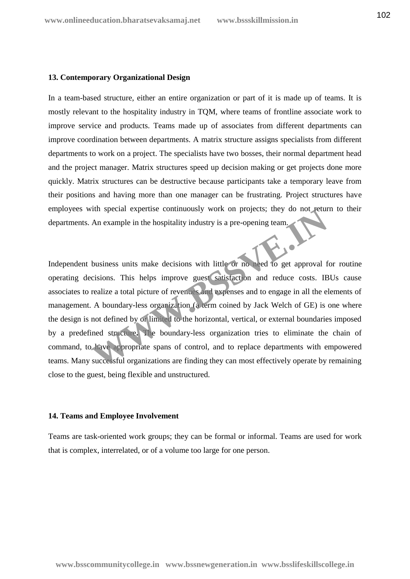## **13. Contemporary Organizational Design**

In a team-based structure, either an entire organization or part of it is made up of teams. It is mostly relevant to the hospitality industry in TQM, where teams of frontline associate work to improve service and products. Teams made up of associates from different departments can improve coordination between departments. A matrix structure assigns specialists from different departments to work on a project. The specialists have two bosses, their normal department head and the project manager. Matrix structures speed up decision making or get projects done more quickly. Matrix structures can be destructive because participants take a temporary leave from their positions and having more than one manager can be frustrating. Project structures have employees with special expertise continuously work on projects; they do not return to their departments. An example in the hospitality industry is a pre-opening team.

Independent business units make decisions with little or no need to get approval for routine operating decisions. This helps improve guest satisfaction and reduce costs. IBUs cause associates to realize a total picture of revenues and expenses and to engage in all the elements of management. A boundary-less organization (a term coined by Jack Welch of GE) is one where the design is not defined by or limited to the horizontal, vertical, or external boundaries imposed by a predefined structure**.** The boundary-less organization tries to eliminate the chain of command, to have appropriate spans of control, and to replace departments with empowered teams. Many successful organizations are finding they can most effectively operate by remaining close to the guest, being flexible and unstructured. The special expertise continuously work on projects; they do not eture<br>An example in the hospitality industry is a pre-opening team.<br>
Business units make decisions with little or not reed to get approval ficisions. This he

#### **14. Teams and Employee Involvement**

Teams are task-oriented work groups; they can be formal or informal. Teams are used for work that is complex, interrelated, or of a volume too large for one person.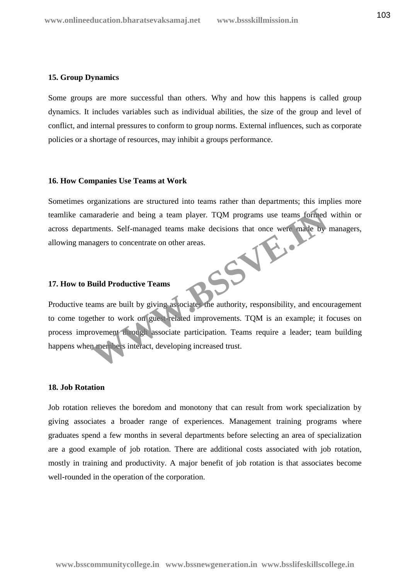#### **15. Group Dynamics**

Some groups are more successful than others. Why and how this happens is called group dynamics. It includes variables such as individual abilities, the size of the group and level of conflict, and internal pressures to conform to group norms. External influences, such as corporate policies or a shortage of resources, may inhibit a groups performance.

#### **16. How Companies Use Teams at Work**

Sometimes organizations are structured into teams rather than departments; this implies more teamlike camaraderie and being a team player. TQM programs use teams formed within or across departments. Self-managed teams make decisions that once were made by managers, allowing managers to concentrate on other areas. W.B.

#### **17. How to Build Productive Teams**

Productive teams are built by giving associates the authority, responsibility, and encouragement to come together to work on guest-related improvements. TQM is an example; it focuses on process improvement through associate participation. Teams require a leader; team building happens when members interact, developing increased trust.

## **18. Job Rotation**

Job rotation relieves the boredom and monotony that can result from work specialization by giving associates a broader range of experiences. Management training programs where graduates spend a few months in several departments before selecting an area of specialization are a good example of job rotation. There are additional costs associated with job rotation, mostly in training and productivity. A major benefit of job rotation is that associates become well-rounded in the operation of the corporation.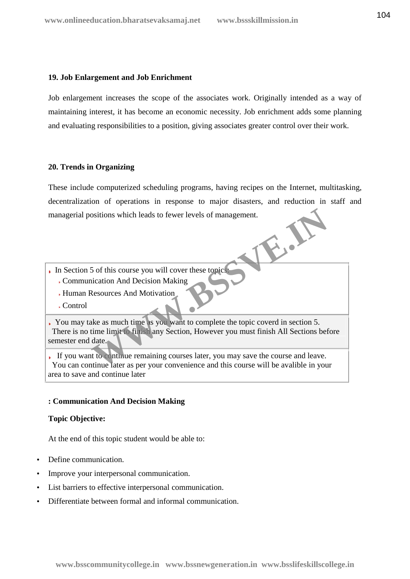## **19. Job Enlargement and Job Enrichment**

Job enlargement increases the scope of the associates work. Originally intended as a way of maintaining interest, it has become an economic necessity. Job enrichment adds some planning and evaluating responsibilities to a position, giving associates greater control over their work.

## **20. Trends in Organizing**

These include computerized scheduling programs, having recipes on the Internet, multitasking, decentralization of operations in response to major disasters, and reduction in staff and managerial positions which leads to fewer levels of management.

- In Section 5 of this course you will cover these topics: Communication And Decision Making
	- Human Resources And Motivation
	- Control

You may take as much time as you want to complete the topic coverd in section 5. There is no time limit to finish any Section, However you must finish All Sections before semester end date. Solitions which leads to fewer levels of management.<br>
Solitions which leads to fewer levels of management.<br>
Solitions And Decision Making<br>
Resources And Motivation<br>
Resources And Motivation<br>
Resources And Motivation<br>
Resou

If you want to continue remaining courses later, you may save the course and leave. You can continue later as per your convenience and this course will be avalible in your area to save and continue later

## **: Communication And Decision Making**

## **Topic Objective:**

At the end of this topic student would be able to:

- Define communication.
- Improve your interpersonal communication.
- List barriers to effective interpersonal communication.
- Differentiate between formal and informal communication.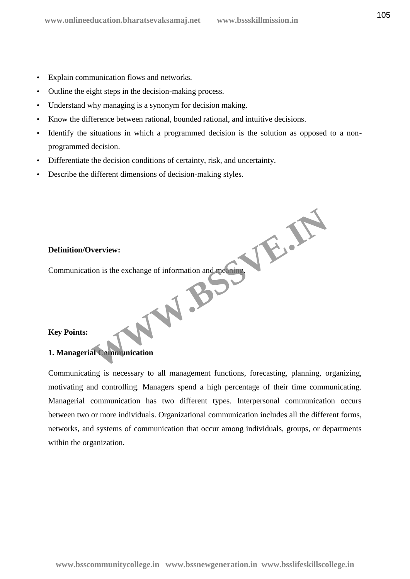- Explain communication flows and networks.
- Outline the eight steps in the decision-making process.
- Understand why managing is a synonym for decision making.
- Know the difference between rational, bounded rational, and intuitive decisions.
- Identify the situations in which a programmed decision is the solution as opposed to a non programmed decision.
- Differentiate the decision conditions of certainty, risk, and uncertainty.
- Describe the different dimensions of decision-making styles.

## **Definition/Overview:**

Communication is the exchange of information and meaning. Werview:<br>
ion is the exchange of information and meaning.<br>
all Communication

## **Key Points:**

## **1. Managerial Communication**

Communicating is necessary to all management functions, forecasting, planning, organizing, motivating and controlling. Managers spend a high percentage of their time communicating. Managerial communication has two different types. Interpersonal communication occurs between two or more individuals. Organizational communication includes all the different forms, networks, and systems of communication that occur among individuals, groups, or departments within the organization.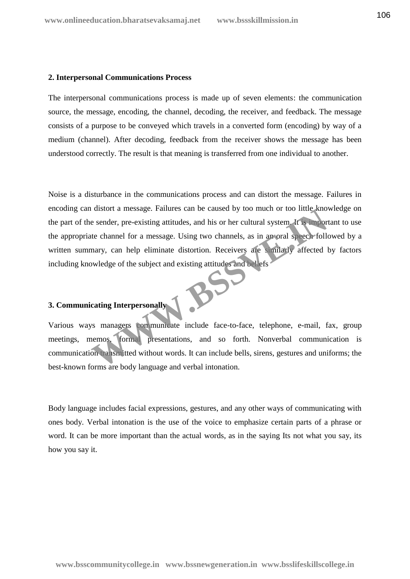## **2. Interpersonal Communications Process**

The interpersonal communications process is made up of seven elements: the communication source, the message, encoding, the channel, decoding, the receiver, and feedback. The message consists of a purpose to be conveyed which travels in a converted form (encoding) by way of a medium (channel). After decoding, feedback from the receiver shows the message has been understood correctly. The result is that meaning is transferred from one individual to another.

Noise is a disturbance in the communications process and can distort the message. Failures in encoding can distort a message. Failures can be caused by too much or too little knowledge on the part of the sender, pre-existing attitudes, and his or her cultural system. It is important to use the appropriate channel for a message. Using two channels, as in an oral speech followed by a written summary, can help eliminate distortion. Receivers are similarly affected by factors including knowledge of the subject and existing attitudes and beliefs The external message. Failures can be caused by too much or too ntile known<br>the esender, pre-existing attitudes, and his or her cultural system. It is import<br>the channel for a message. Using two channels, as in an oral spe

# **3. Communicating Interpersonally**

Various ways managers communicate include face-to-face, telephone, e-mail, fax, group meetings, memos, formal presentations, and so forth. Nonverbal communication is communication transmitted without words. It can include bells, sirens, gestures and uniforms; the best-known forms are body language and verbal intonation.

Body language includes facial expressions, gestures, and any other ways of communicating with ones body. Verbal intonation is the use of the voice to emphasize certain parts of a phrase or word. It can be more important than the actual words, as in the saying Its not what you say, its how you say it.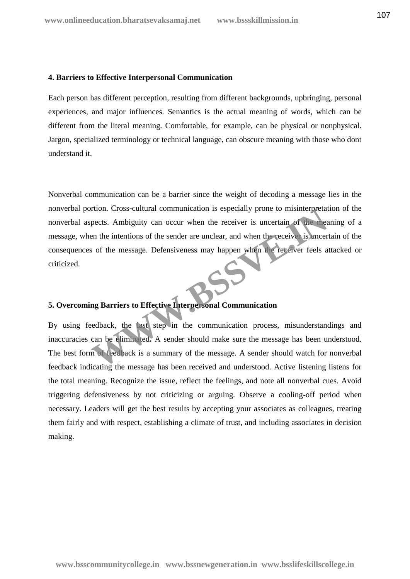## **4. Barriers to Effective Interpersonal Communication**

Each person has different perception, resulting from different backgrounds, upbringing, personal experiences, and major influences. Semantics is the actual meaning of words, which can be different from the literal meaning. Comfortable, for example, can be physical or nonphysical. Jargon, specialized terminology or technical language, can obscure meaning with those who dont understand it.

Nonverbal communication can be a barrier since the weight of decoding a message lies in the nonverbal portion. Cross-cultural communication is especially prone to misinterpretation of the nonverbal aspects. Ambiguity can occur when the receiver is uncertain of the meaning of a message, when the intentions of the sender are unclear, and when the receiver is uncertain of the consequences of the message. Defensiveness may happen when the receiver feels attacked or criticized. From Cross-cultural communication is especially prone to misinterpretate<br>pects. Ambiguity can occur when the receiver is uncertain of the measurement the intentions of the sender are unclear, and when the receiver is uncer

# **5. Overcoming Barriers to Effective Interpersonal Communication**

By using feedback, the last step in the communication process, misunderstandings and inaccuracies can be eliminated**.** A sender should make sure the message has been understood. The best form of feedback is a summary of the message. A sender should watch for nonverbal feedback indicating the message has been received and understood. Active listening listens for the total meaning. Recognize the issue, reflect the feelings, and note all nonverbal cues. Avoid triggering defensiveness by not criticizing or arguing. Observe a cooling-off period when necessary. Leaders will get the best results by accepting your associates as colleagues, treating them fairly and with respect, establishing a climate of trust, and including associates in decision making.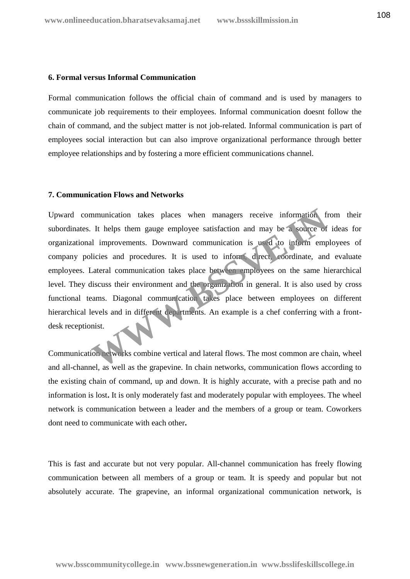## **6. Formal versus Informal Communication**

Formal communication follows the official chain of command and is used by managers to communicate job requirements to their employees. Informal communication doesnt follow the chain of command, and the subject matter is not job-related. Informal communication is part of employees social interaction but can also improve organizational performance through better employee relationships and by fostering a more efficient communications channel.

## **7. Communication Flows and Networks**

Upward communication takes places when managers receive information from their subordinates. It helps them gauge employee satisfaction and may be a source of ideas for organizational improvements. Downward communication is used to inform employees of company policies and procedures. It is used to inform, direct, coordinate, and evaluate employees. Lateral communication takes place between employees on the same hierarchical level. They discuss their environment and the organization in general. It is also used by cross functional teams. Diagonal communication takes place between employees on different hierarchical levels and in different departments. An example is a chef conferring with a frontdesk receptionist. mmunication takes places when managers receive information from the property of the distribution and may be a source of the improvements. Downward communication is used to inform emplicies and procedures. It is used to inf

Communication networks combine vertical and lateral flows. The most common are chain, wheel and all-channel, as well as the grapevine. In chain networks, communication flows according to the existing chain of command, up and down. It is highly accurate, with a precise path and no information is lost**.** It is only moderately fast and moderately popular with employees. The wheel network is communication between a leader and the members of a group or team. Coworkers dont need to communicate with each other**.**

This is fast and accurate but not very popular. All-channel communication has freely flowing communication between all members of a group or team. It is speedy and popular but not absolutely accurate. The grapevine, an informal organizational communication network, is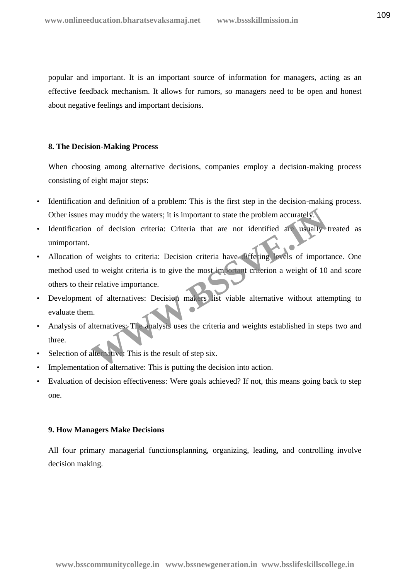popular and important. It is an important source of information for managers, acting as an effective feedback mechanism. It allows for rumors, so managers need to be open and honest about negative feelings and important decisions.

#### **8. The Decision-Making Process**

When choosing among alternative decisions, companies employ a decision-making process consisting of eight major steps:

- Identification and definition of a problem: This is the first step in the decision-making process. Other issues may muddy the waters; it is important to state the problem accurately.
- Identification of decision criteria: Criteria that are not identified are usually treated as unimportant.
- Allocation of weights to criteria: Decision criteria have differing levels of importance. One method used to weight criteria is to give the most important criterion a weight of 10 and score others to their relative importance. may muddy the waters; it is important to state the problem accurately.<br>
1 of decision criteria: Criteria that are not identified are usually to<br>
16 weights to criteria: Decision criteria have free ing levels of import<br>
10
- Development of alternatives: Decision makers list viable alternative without attempting to evaluate them.
- Analysis of alternatives: The analysis uses the criteria and weights established in steps two and three.
- Selection of alternative: This is the result of step six.
- Implementation of alternative: This is putting the decision into action.
- Evaluation of decision effectiveness: Were goals achieved? If not, this means going back to step one.

#### **9. How Managers Make Decisions**

All four primary managerial functionsplanning, organizing, leading, and controlling involve decision making.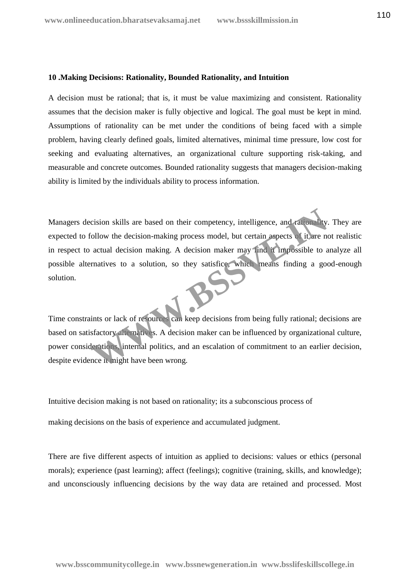# **10 .Making Decisions: Rationality, Bounded Rationality, and Intuition**

A decision must be rational; that is, it must be value maximizing and consistent. Rationality assumes that the decision maker is fully objective and logical. The goal must be kept in mind. Assumptions of rationality can be met under the conditions of being faced with a simple problem, having clearly defined goals, limited alternatives, minimal time pressure, low cost for seeking and evaluating alternatives, an organizational culture supporting risk-taking, and measurable and concrete outcomes. Bounded rationality suggests that managers decision-making ability is limited by the individuals ability to process information.

Managers decision skills are based on their competency, intelligence, and rationality. They are expected to follow the decision-making process model, but certain aspects of it are not realistic in respect to actual decision making. A decision maker may find it impossible to analyze all possible alternatives to a solution, so they satisfice, which means finding a good-enough solution. cision skills are based on their competency, intelligence, and rationally<br>
follow the decision-making process model, but certain aspects of it are no<br>
actual decision making. A decision maker may find it impossible to a<br>
m

Time constraints or lack of resources can keep decisions from being fully rational; decisions are based on satisfactory alternatives. A decision maker can be influenced by organizational culture, power considerations, internal politics, and an escalation of commitment to an earlier decision, despite evidence it might have been wrong.

Intuitive decision making is not based on rationality; its a subconscious process of

making decisions on the basis of experience and accumulated judgment.

There are five different aspects of intuition as applied to decisions: values or ethics (personal morals); experience (past learning); affect (feelings); cognitive (training, skills, and knowledge); and unconsciously influencing decisions by the way data are retained and processed. Most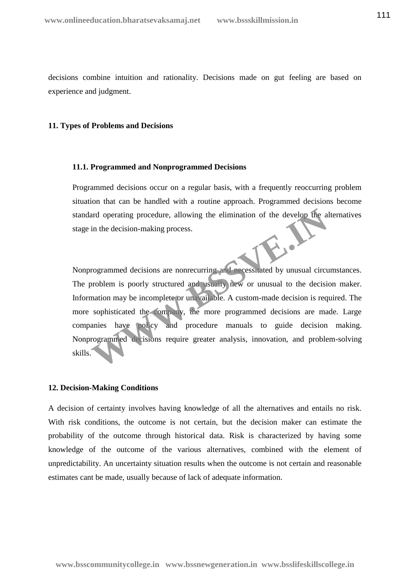decisions combine intuition and rationality. Decisions made on gut feeling are based on experience and judgment.

# **11. Types of Problems and Decisions**

## **11.1. Programmed and Nonprogrammed Decisions**

Programmed decisions occur on a regular basis, with a frequently reoccurring problem situation that can be handled with a routine approach. Programmed decisions become standard operating procedure, allowing the elimination of the develop the alternatives stage in the decision-making process.

Nonprogrammed decisions are nonrecurring and necessitated by unusual circumstances. The problem is poorly structured and usually new or unusual to the decision maker. Information may be incomplete or unavailable. A custom-made decision is required. The more sophisticated the company, the more programmed decisions are made. Large companies have policy and procedure manuals to guide decision making. Nonprogrammed decisions require greater analysis, innovation, and problem-solving skills. and operating procedure, allowing the elimination of the develop the a<br>
in the decision-making process.<br>
We are the decisions are nonrecurring and necessarated by unusual circu<br>
problem is poorly structured and usually new

#### **12. Decision-Making Conditions**

A decision of certainty involves having knowledge of all the alternatives and entails no risk. With risk conditions, the outcome is not certain, but the decision maker can estimate the probability of the outcome through historical data. Risk is characterized by having some knowledge of the outcome of the various alternatives, combined with the element of unpredictability. An uncertainty situation results when the outcome is not certain and reasonable estimates cant be made, usually because of lack of adequate information.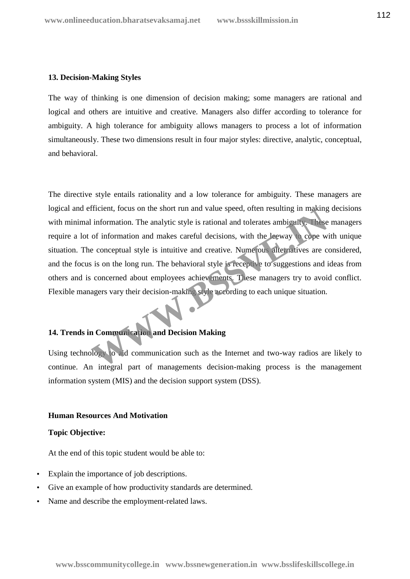# **13. Decision-Making Styles**

The way of thinking is one dimension of decision making; some managers are rational and logical and others are intuitive and creative. Managers also differ according to tolerance for ambiguity. A high tolerance for ambiguity allows managers to process a lot of information simultaneously. These two dimensions result in four major styles: directive, analytic, conceptual, and behavioral.

The directive style entails rationality and a low tolerance for ambiguity. These managers are logical and efficient, focus on the short run and value speed, often resulting in making decisions with minimal information. The analytic style is rational and tolerates ambiguity. These managers require a lot of information and makes careful decisions, with the leeway to cope with unique situation. The conceptual style is intuitive and creative. Numerous alternatives are considered, and the focus is on the long run. The behavioral style is receptive to suggestions and ideas from others and is concerned about employees achievements. These managers try to avoid conflict. Flexible managers vary their decision-making style according to each unique situation. Information. The analytic style is rational and tolerates ambigrafy. These<br>of information and makes careful decisions, with the Leway Cope w.<br>e conceptual style is intuitive and creative. Numerous attenuatives are c<br>is on

# **14. Trends in Communication and Decision Making**

Using technology to aid communication such as the Internet and two-way radios are likely to continue. An integral part of managements decision-making process is the management information system (MIS) and the decision support system (DSS).

#### **Human Resources And Motivation**

# **Topic Objective:**

At the end of this topic student would be able to:

- Explain the importance of job descriptions.
- Give an example of how productivity standards are determined.
- Name and describe the employment-related laws.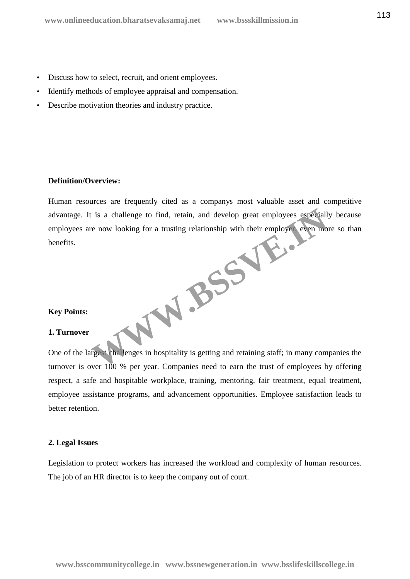- Discuss how to select, recruit, and orient employees.
- Identify methods of employee appraisal and compensation.
- Describe motivation theories and industry practice.

# **Definition/Overview:**

Human resources are frequently cited as a companys most valuable asset and competitive advantage. It is a challenge to find, retain, and develop great employees especially because employees are now looking for a trusting relationship with their employer, even more so than benefits. **WWW.BSSVE.**<br> **WWW.BSSVE.** 

#### **Key Points:**

# **1. Turnover**

One of the largest challenges in hospitality is getting and retaining staff; in many companies the turnover is over 100 % per year. Companies need to earn the trust of employees by offering respect, a safe and hospitable workplace, training, mentoring, fair treatment, equal treatment, employee assistance programs, and advancement opportunities. Employee satisfaction leads to better retention.

#### **2. Legal Issues**

Legislation to protect workers has increased the workload and complexity of human resources. The job of an HR director is to keep the company out of court.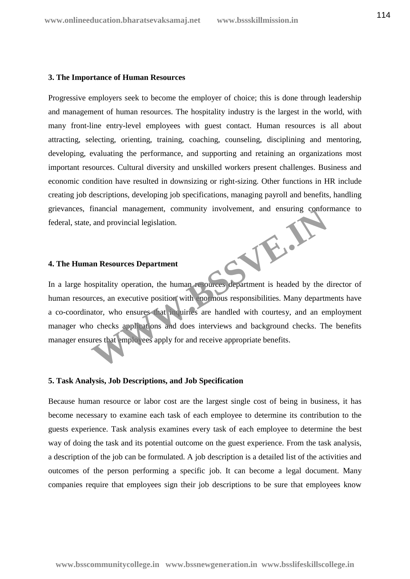#### **3. The Importance of Human Resources**

Progressive employers seek to become the employer of choice; this is done through leadership and management of human resources. The hospitality industry is the largest in the world, with many front-line entry-level employees with guest contact. Human resources is all about attracting, selecting, orienting, training, coaching, counseling, disciplining and mentoring, developing, evaluating the performance, and supporting and retaining an organizations most important resources. Cultural diversity and unskilled workers present challenges. Business and economic condition have resulted in downsizing or right-sizing. Other functions in HR include creating job descriptions, developing job specifications, managing payroll and benefits, handling grievances, financial management, community involvement, and ensuring conformance to federal, state, and provincial legislation. **WWW.BSSVE.IN**

# **4. The Human Resources Department**

In a large hospitality operation, the human resources department is headed by the director of human resources, an executive position with enormous responsibilities. Many departments have a co-coordinator, who ensures that inquiries are handled with courtesy, and an employment manager who checks applications and does interviews and background checks. The benefits manager ensures that employees apply for and receive appropriate benefits.

#### **5. Task Analysis, Job Descriptions, and Job Specification**

Because human resource or labor cost are the largest single cost of being in business, it has become necessary to examine each task of each employee to determine its contribution to the guests experience. Task analysis examines every task of each employee to determine the best way of doing the task and its potential outcome on the guest experience. From the task analysis, a description of the job can be formulated. A job description is a detailed list of the activities and outcomes of the person performing a specific job. It can become a legal document. Many companies require that employees sign their job descriptions to be sure that employees know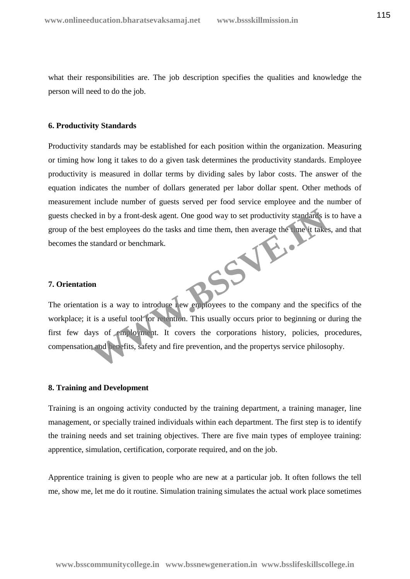what their responsibilities are. The job description specifies the qualities and knowledge the person will need to do the job.

#### **6. Productivity Standards**

Productivity standards may be established for each position within the organization. Measuring or timing how long it takes to do a given task determines the productivity standards. Employee productivity is measured in dollar terms by dividing sales by labor costs. The answer of the equation indicates the number of dollars generated per labor dollar spent. Other methods of measurement include number of guests served per food service employee and the number of guests checked in by a front-desk agent. One good way to set productivity standards is to have a group of the best employees do the tasks and time them, then average the time it takes, and that becomes the standard or benchmark. **255 14 Miles** 

# **7. Orientation**

The orientation is a way to introduce new employees to the company and the specifics of the workplace; it is a useful tool for retention. This usually occurs prior to beginning or during the first few days of employment. It covers the corporations history, policies, procedures, compensation and benefits, safety and fire prevention, and the propertys service philosophy.

#### **8. Training and Development**

Training is an ongoing activity conducted by the training department, a training manager, line management, or specially trained individuals within each department. The first step is to identify the training needs and set training objectives. There are five main types of employee training: apprentice, simulation, certification, corporate required, and on the job.

Apprentice training is given to people who are new at a particular job. It often follows the tell me, show me, let me do it routine. Simulation training simulates the actual work place sometimes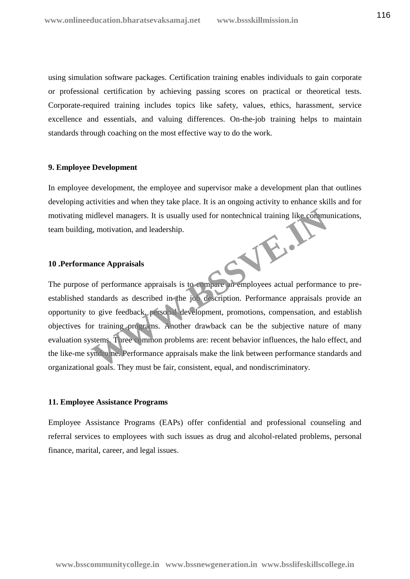using simulation software packages. Certification training enables individuals to gain corporate or professional certification by achieving passing scores on practical or theoretical tests. Corporate-required training includes topics like safety, values, ethics, harassment, service excellence and essentials, and valuing differences. On-the-job training helps to maintain standards through coaching on the most effective way to do the work.

#### **9. Employee Development**

In employee development, the employee and supervisor make a development plan that outlines developing activities and when they take place. It is an ongoing activity to enhance skills and for motivating midlevel managers. It is usually used for nontechnical training like communications, team building, motivation, and leadership. **WASSER** 

#### **10 .Performance Appraisals**

The purpose of performance appraisals is to compare an employees actual performance to pre established standards as described in the job description. Performance appraisals provide an opportunity to give feedback, personal development, promotions, compensation, and establish objectives for training programs. Another drawback can be the subjective nature of many evaluation systems. Three common problems are: recent behavior influences, the halo effect, and the like-me syndrome. Performance appraisals make the link between performance standards and organizational goals. They must be fair, consistent, equal, and nondiscriminatory.

#### **11. Employee Assistance Programs**

Employee Assistance Programs (EAPs) offer confidential and professional counseling and referral services to employees with such issues as drug and alcohol-related problems, personal finance, marital, career, and legal issues.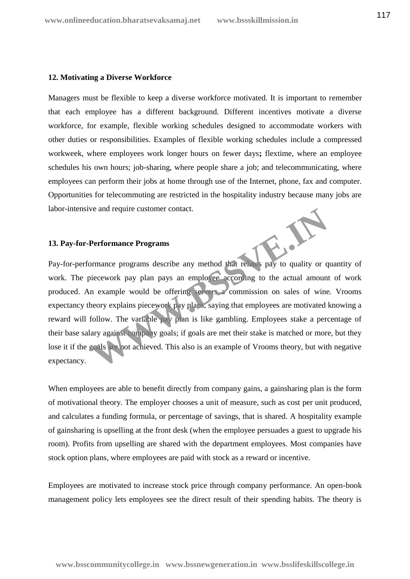## **12. Motivating a Diverse Workforce**

Managers must be flexible to keep a diverse workforce motivated. It is important to remember that each employee has a different background. Different incentives motivate a diverse workforce, for example, flexible working schedules designed to accommodate workers with other duties or responsibilities. Examples of flexible working schedules include a compressed workweek, where employees work longer hours on fewer days**;** flextime, where an employee schedules his own hours; job-sharing, where people share a job; and telecommunicating, where employees can perform their jobs at home through use of the Internet, phone, fax and computer. Opportunities for telecommuting are restricted in the hospitality industry because many jobs are labor-intensive and require customer contact.

#### **13. Pay-for-Performance Programs**

Pay-for-performance programs describe any method that relates pay to quality or quantity of work. The piecework pay plan pays an employee according to the actual amount of work produced. An example would be offering servers a commission on sales of wine. Vrooms expectancy theory explains piecework pay plans, saying that employees are motivated knowing a reward will follow. The variable pay plan is like gambling. Employees stake a percentage of their base salary against company goals; if goals are met their stake is matched or more, but they lose it if the goals are not achieved. This also is an example of Vrooms theory, but with negative expectancy. Performance Programs<br>
Performance Programs<br>
In the programs describe any method that relates pay to quality or q<br>
iecework pay plan pays an employee according to the actual amount<br>
in example would be offering servers a co

When employees are able to benefit directly from company gains, a gainsharing plan is the form of motivational theory. The employer chooses a unit of measure, such as cost per unit produced, and calculates a funding formula, or percentage of savings, that is shared. A hospitality example of gainsharing is upselling at the front desk (when the employee persuades a guest to upgrade his room). Profits from upselling are shared with the department employees. Most companies have stock option plans, where employees are paid with stock as a reward or incentive.

Employees are motivated to increase stock price through company performance. An open-book management policy lets employees see the direct result of their spending habits. The theory is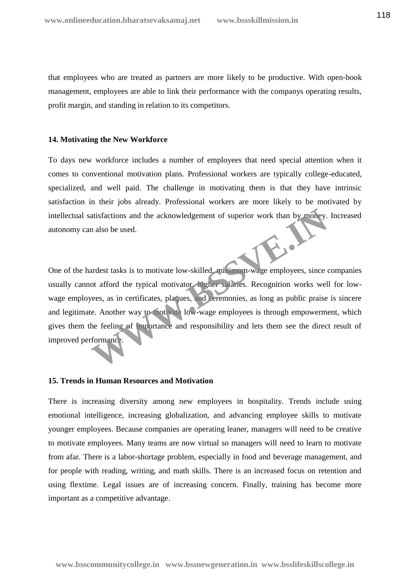that employees who are treated as partners are more likely to be productive. With open-book management, employees are able to link their performance with the companys operating results, profit margin, and standing in relation to its competitors.

#### **14. Motivating the New Workforce**

To days new workforce includes a number of employees that need special attention when it comes to conventional motivation plans. Professional workers are typically college-educated, specialized, and well paid. The challenge in motivating them is that they have intrinsic satisfaction in their jobs already. Professional workers are more likely to be motivated by intellectual satisfactions and the acknowledgement of superior work than by money. Increased autonomy can also be used.

One of the hardest tasks is to motivate low-skilled, minimum-wage employees, since companies usually cannot afford the typical motivator, higher salaries. Recognition works well for low wage employees, as in certificates, plaques, and ceremonies, as long as public praise is sincere and legitimate. Another way to motivate low-wage employees is through empowerment, which gives them the feeling of importance and responsibility and lets them see the direct result of improved performance. atisfactions and the acknowledgement of superior work than by money.<br>
n also be used.<br>
ardest tasks is to motivate low-skilled, **motivation**-wage employees, since to<br>
ot afford the typical motivator higher salaries. Recogn

#### **15. Trends in Human Resources and Motivation**

There is increasing diversity among new employees in hospitality. Trends include using emotional intelligence, increasing globalization, and advancing employee skills to motivate younger employees. Because companies are operating leaner, managers will need to be creative to motivate employees. Many teams are now virtual so managers will need to learn to motivate from afar. There is a labor-shortage problem, especially in food and beverage management, and for people with reading, writing, and math skills. There is an increased focus on retention and using flextime. Legal issues are of increasing concern. Finally, training has become more important as a competitive advantage.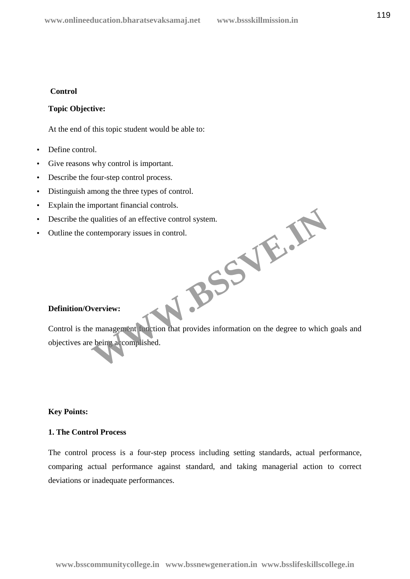# **Control**

# **Topic Objective:**

At the end of this topic student would be able to:

- Define control.
- Give reasons why control is important.
- Describe the four-step control process.
- Distinguish among the three types of control.
- Explain the important financial controls.
- Describe the qualities of an effective control system.
- Outline the contemporary issues in control.

#### **Definition/Overview:**

Control is the management function that provides information on the degree to which goals and objectives are being accomplished. **WASS** 

# **Key Points:**

# **1. The Control Process**

The control process is a four-step process including setting standards, actual performance, comparing actual performance against standard, and taking managerial action to correct deviations or inadequate performances.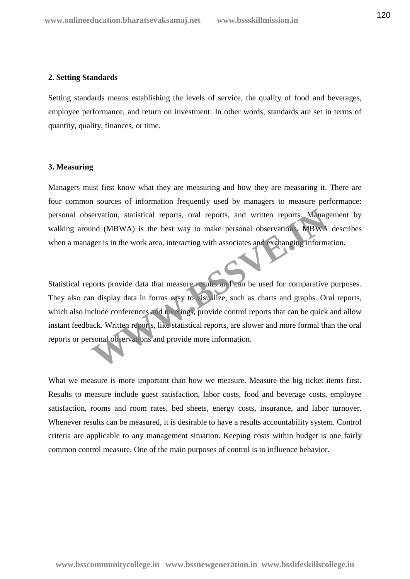# **2. Setting Standards**

Setting standards means establishing the levels of service, the quality of food and beverages, employee performance, and return on investment. In other words, standards are set in terms of quantity, quality, finances, or time.

# **3. Measuring**

Managers must first know what they are measuring and how they are measuring it. There are four common sources of information frequently used by managers to measure performance: personal observation, statistical reports, oral reports, and written reports. Management by walking around (MBWA) is the best way to make personal observations**.** MBWA describes when a manager is in the work area, interacting with associates and exchanging information.

Statistical reports provide data that measure results and can be used for comparative purposes. They also can display data in forms easy to visualize, such as charts and graphs. Oral reports, which also include conferences and meetings, provide control reports that can be quick and allow instant feedback. Written reports, like statistical reports, are slower and more formal than the oral reports or personal observations and provide more information. Experience and the best way to make personal observation. Management (MBWA) is the best way to make personal observation. MBWA<br>ger is in the work area, interacting with associates and exchanging informations<br>oorts provide

What we measure is more important than how we measure. Measure the big ticket items first. Results to measure include guest satisfaction, labor costs, food and beverage costs, employee satisfaction, rooms and room rates, bed sheets, energy costs, insurance, and labor turnover. Whenever results can be measured, it is desirable to have a results accountability system. Control criteria are applicable to any management situation. Keeping costs within budget is one fairly common control measure. One of the main purposes of control is to influence behavior.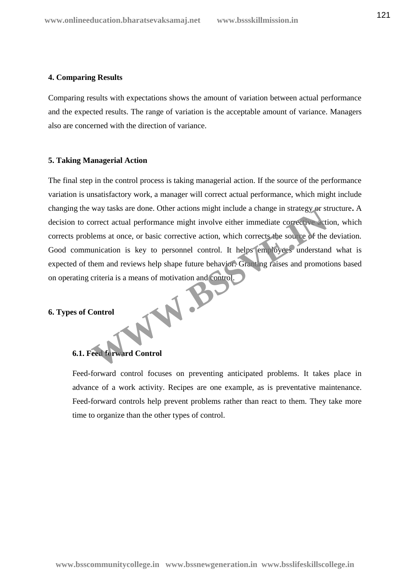# **4. Comparing Results**

Comparing results with expectations shows the amount of variation between actual performance and the expected results. The range of variation is the acceptable amount of variance. Managers also are concerned with the direction of variance.

# **5. Taking Managerial Action**

The final step in the control process is taking managerial action. If the source of the performance variation is unsatisfactory work, a manager will correct actual performance, which might include changing the way tasks are done. Other actions might include a change in strategy or structure**.** A decision to correct actual performance might involve either immediate corrective action, which corrects problems at once, or basic corrective action, which corrects the source of the deviation. Good communication is key to personnel control. It helps employees understand what is expected of them and reviews help shape future behavior. Granting raises and promotions based on operating criteria is a means of motivation and control. W.B.

#### **6. Types of Control**

# **6.1. Feed forward Control**

Feed-forward control focuses on preventing anticipated problems. It takes place in advance of a work activity. Recipes are one example, as is preventative maintenance. Feed-forward controls help prevent problems rather than react to them. They take more time to organize than the other types of control.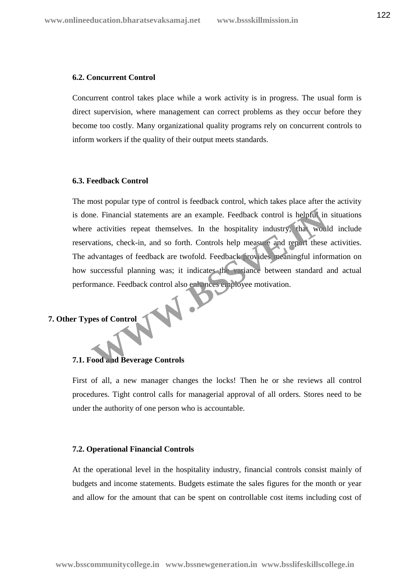#### **6.2. Concurrent Control**

Concurrent control takes place while a work activity is in progress. The usual form is direct supervision, where management can correct problems as they occur before they become too costly. Many organizational quality programs rely on concurrent controls to inform workers if the quality of their output meets standards.

#### **6.3. Feedback Control**

The most popular type of control is feedback control, which takes place after the activity is done. Financial statements are an example. Feedback control is helpful in situations where activities repeat themselves. In the hospitality industry, that would include reservations, check-in, and so forth. Controls help measure and report these activities. The advantages of feedback are twofold. Feedback provides meaningful information on how successful planning was; it indicates the variance between standard and actual performance. Feedback control also enhances employee motivation. The external statements are an example. Feedback control is helpful in<br>
2 activities repeat themselves. In the hospitality industry, that would<br>
activities repeat themselves. In the hospitality industry, that would<br>
action

# **7. Other Types of Control**

#### **7.1. Food and Beverage Controls**

First of all, a new manager changes the locks! Then he or she reviews all control procedures. Tight control calls for managerial approval of all orders. Stores need to be under the authority of one person who is accountable.

#### **7.2. Operational Financial Controls**

At the operational level in the hospitality industry, financial controls consist mainly of budgets and income statements. Budgets estimate the sales figures for the month or year and allow for the amount that can be spent on controllable cost items including cost of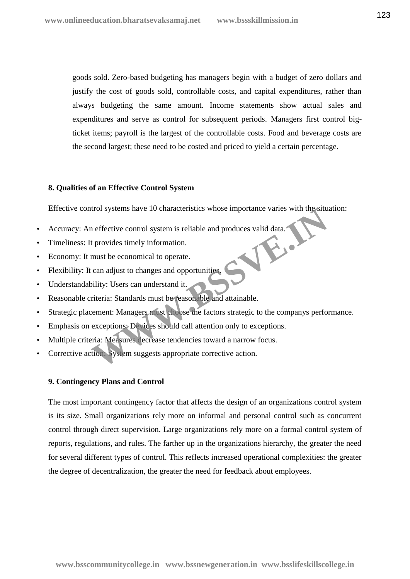goods sold. Zero-based budgeting has managers begin with a budget of zero dollars and justify the cost of goods sold, controllable costs, and capital expenditures, rather than always budgeting the same amount. Income statements show actual sales and expenditures and serve as control for subsequent periods. Managers first control bigticket items; payroll is the largest of the controllable costs. Food and beverage costs are the second largest; these need to be costed and priced to yield a certain percentage.

#### **8. Qualities of an Effective Control System**

Effective control systems have 10 characteristics whose importance varies with the situation:

- Accuracy: An effective control system is reliable and produces valid data.
- Timeliness: It provides timely information.
- Economy: It must be economical to operate.
- Flexibility: It can adjust to changes and opportunities.
- Understandability: Users can understand it.
- Reasonable criteria: Standards must be reasonable and attainable.
- Strategic placement: Managers must choose the factors strategic to the companys performance. The systems have 10 characteristics whose importance varies with the situ<br>
in effective control system is reliable and produces valid data.<br>
t provides timely information.<br>
must be economical to operate.<br>
can adjust to cha
- Emphasis on exceptions: Devices should call attention only to exceptions.
- Multiple criteria: Measures decrease tendencies toward a narrow focus.
- Corrective action: System suggests appropriate corrective action.

# **9. Contingency Plans and Control**

The most important contingency factor that affects the design of an organizations control system is its size. Small organizations rely more on informal and personal control such as concurrent control through direct supervision. Large organizations rely more on a formal control system of reports, regulations, and rules. The farther up in the organizations hierarchy, the greater the need for several different types of control. This reflects increased operational complexities: the greater the degree of decentralization, the greater the need for feedback about employees.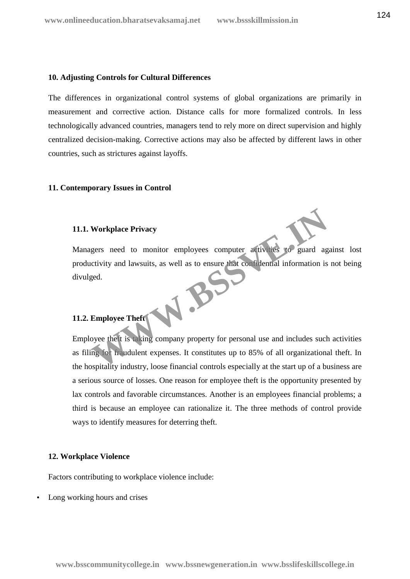#### **10. Adjusting Controls for Cultural Differences**

The differences in organizational control systems of global organizations are primarily in measurement and corrective action. Distance calls for more formalized controls. In less technologically advanced countries, managers tend to rely more on direct supervision and highly centralized decision-making. Corrective actions may also be affected by different laws in other countries, such as strictures against layoffs.

#### **11. Contemporary Issues in Control**

# **11.1. Workplace Privacy**

Managers need to monitor employees computer activities to guard against lost productivity and lawsuits, as well as to ensure that confidential information is not being divulged. W.B.

# **11.2. Employee Theft**

Employee theft is taking company property for personal use and includes such activities as filing for fraudulent expenses. It constitutes up to 85% of all organizational theft. In the hospitality industry, loose financial controls especially at the start up of a business are a serious source of losses. One reason for employee theft is the opportunity presented by lax controls and favorable circumstances. Another is an employees financial problems; a third is because an employee can rationalize it. The three methods of control provide ways to identify measures for deterring theft.

#### **12. Workplace Violence**

Factors contributing to workplace violence include:

Long working hours and crises